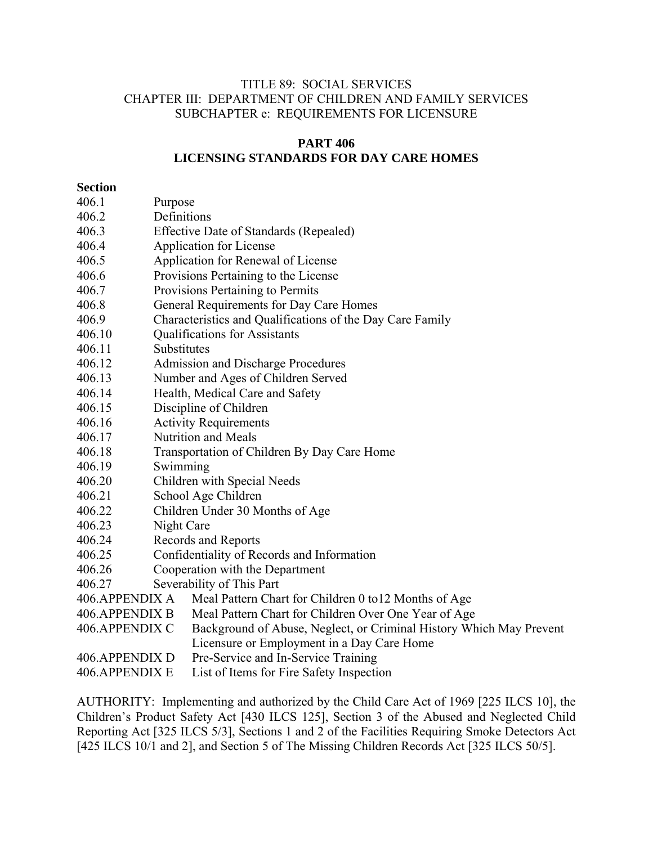### TITLE 89: SOCIAL SERVICES CHAPTER III: DEPARTMENT OF CHILDREN AND FAMILY SERVICES SUBCHAPTER e: REQUIREMENTS FOR LICENSURE

#### **PART 406**

# **LICENSING STANDARDS FOR DAY CARE HOMES**

#### **Section**

- 406.1 Purpose
- 406.2 Definitions
- 406.3 Effective Date of Standards (Repealed)
- 406.4 Application for License
- 406.5 Application for Renewal of License
- 406.6 Provisions Pertaining to the License
- 406.7 Provisions Pertaining to Permits
- 406.8 General Requirements for Day Care Homes
- 406.9 Characteristics and Qualifications of the Day Care Family
- 406.10 Qualifications for Assistants
- 406.11 Substitutes
- 406.12 Admission and Discharge Procedures
- 406.13 Number and Ages of Children Served
- 406.14 Health, Medical Care and Safety
- 406.15 Discipline of Children
- 406.16 Activity Requirements
- 406.17 Nutrition and Meals
- 406.18 Transportation of Children By Day Care Home
- 406.19 Swimming
- 406.20 Children with Special Needs
- 406.21 School Age Children
- 406.22 Children Under 30 Months of Age
- 406.23 Night Care
- 406.24 Records and Reports
- 406.25 Confidentiality of Records and Information
- 406.26 Cooperation with the Department
- 406.27 Severability of This Part
- 406.APPENDIX A Meal Pattern Chart for Children 0 to12 Months of Age
- 406.APPENDIX B Meal Pattern Chart for Children Over One Year of Age
- 406.APPENDIX C Background of Abuse, Neglect, or Criminal History Which May Prevent
- Licensure or Employment in a Day Care Home
- 406.APPENDIX D Pre-Service and In-Service Training
- 406.APPENDIX E List of Items for Fire Safety Inspection

AUTHORITY: Implementing and authorized by the Child Care Act of 1969 [225 ILCS 10], the Children's Product Safety Act [430 ILCS 125], Section 3 of the Abused and Neglected Child Reporting Act [325 ILCS 5/3], Sections 1 and 2 of the Facilities Requiring Smoke Detectors Act [425 ILCS 10/1 and 2], and Section 5 of The Missing Children Records Act [325 ILCS 50/5].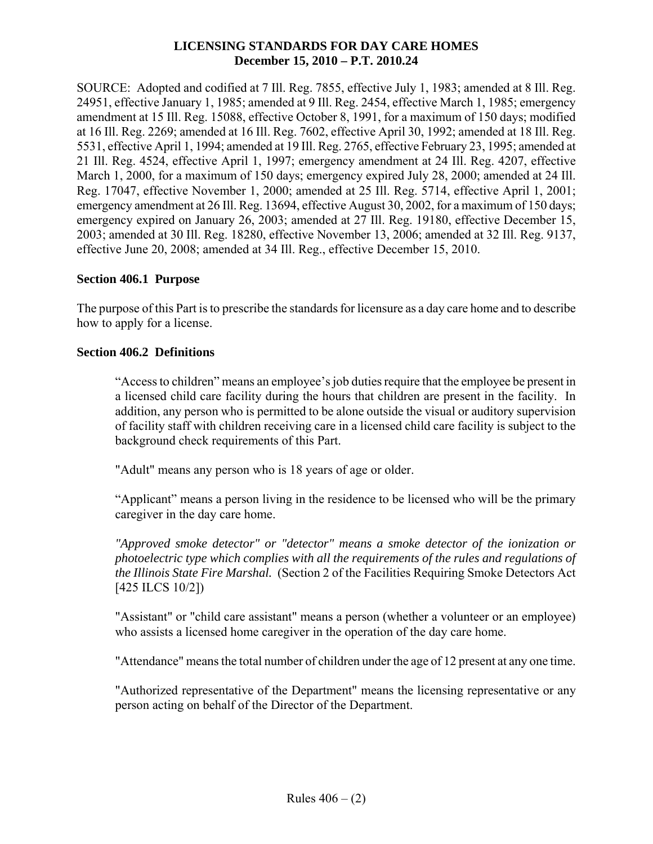SOURCE: Adopted and codified at 7 Ill. Reg. 7855, effective July 1, 1983; amended at 8 Ill. Reg. 24951, effective January 1, 1985; amended at 9 Ill. Reg. 2454, effective March 1, 1985; emergency amendment at 15 Ill. Reg. 15088, effective October 8, 1991, for a maximum of 150 days; modified at 16 Ill. Reg. 2269; amended at 16 Ill. Reg. 7602, effective April 30, 1992; amended at 18 Ill. Reg. 5531, effective April 1, 1994; amended at 19 Ill. Reg. 2765, effective February 23, 1995; amended at 21 Ill. Reg. 4524, effective April 1, 1997; emergency amendment at 24 Ill. Reg. 4207, effective March 1, 2000, for a maximum of 150 days; emergency expired July 28, 2000; amended at 24 Ill. Reg. 17047, effective November 1, 2000; amended at 25 Ill. Reg. 5714, effective April 1, 2001; emergency amendment at 26 Ill. Reg. 13694, effective August 30, 2002, for a maximum of 150 days; emergency expired on January 26, 2003; amended at 27 Ill. Reg. 19180, effective December 15, 2003; amended at 30 Ill. Reg. 18280, effective November 13, 2006; amended at 32 Ill. Reg. 9137, effective June 20, 2008; amended at 34 Ill. Reg., effective December 15, 2010.

# **Section 406.1 Purpose**

The purpose of this Part is to prescribe the standards for licensure as a day care home and to describe how to apply for a license.

# **Section 406.2 Definitions**

"Access to children" means an employee's job duties require that the employee be present in a licensed child care facility during the hours that children are present in the facility. In addition, any person who is permitted to be alone outside the visual or auditory supervision of facility staff with children receiving care in a licensed child care facility is subject to the background check requirements of this Part.

"Adult" means any person who is 18 years of age or older.

"Applicant" means a person living in the residence to be licensed who will be the primary caregiver in the day care home.

*"Approved smoke detector" or "detector" means a smoke detector of the ionization or photoelectric type which complies with all the requirements of the rules and regulations of the Illinois State Fire Marshal.* (Section 2 of the Facilities Requiring Smoke Detectors Act [425 ILCS 10/2])

"Assistant" or "child care assistant" means a person (whether a volunteer or an employee) who assists a licensed home caregiver in the operation of the day care home.

"Attendance" means the total number of children under the age of 12 present at any one time.

"Authorized representative of the Department" means the licensing representative or any person acting on behalf of the Director of the Department.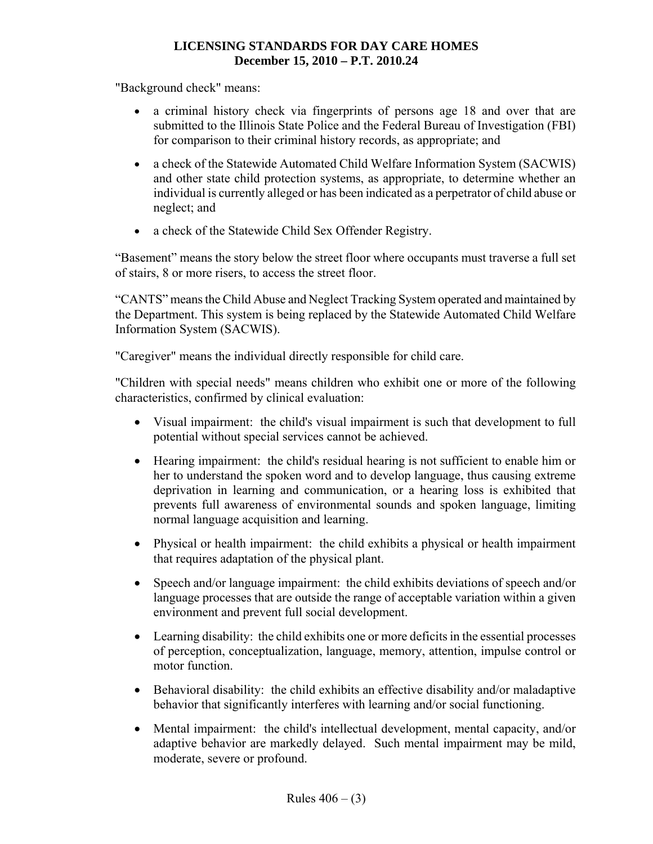"Background check" means:

- a criminal history check via fingerprints of persons age 18 and over that are submitted to the Illinois State Police and the Federal Bureau of Investigation (FBI) for comparison to their criminal history records, as appropriate; and
- a check of the Statewide Automated Child Welfare Information System (SACWIS) and other state child protection systems, as appropriate, to determine whether an individual is currently alleged or has been indicated as a perpetrator of child abuse or neglect; and
- a check of the Statewide Child Sex Offender Registry.

"Basement" means the story below the street floor where occupants must traverse a full set of stairs, 8 or more risers, to access the street floor.

"CANTS" means the Child Abuse and Neglect Tracking System operated and maintained by the Department. This system is being replaced by the Statewide Automated Child Welfare Information System (SACWIS).

"Caregiver" means the individual directly responsible for child care.

"Children with special needs" means children who exhibit one or more of the following characteristics, confirmed by clinical evaluation:

- Visual impairment: the child's visual impairment is such that development to full potential without special services cannot be achieved.
- Hearing impairment: the child's residual hearing is not sufficient to enable him or her to understand the spoken word and to develop language, thus causing extreme deprivation in learning and communication, or a hearing loss is exhibited that prevents full awareness of environmental sounds and spoken language, limiting normal language acquisition and learning.
- Physical or health impairment: the child exhibits a physical or health impairment that requires adaptation of the physical plant.
- Speech and/or language impairment: the child exhibits deviations of speech and/or language processes that are outside the range of acceptable variation within a given environment and prevent full social development.
- Learning disability: the child exhibits one or more deficits in the essential processes of perception, conceptualization, language, memory, attention, impulse control or motor function.
- Behavioral disability: the child exhibits an effective disability and/or maladaptive behavior that significantly interferes with learning and/or social functioning.
- Mental impairment: the child's intellectual development, mental capacity, and/or adaptive behavior are markedly delayed. Such mental impairment may be mild, moderate, severe or profound.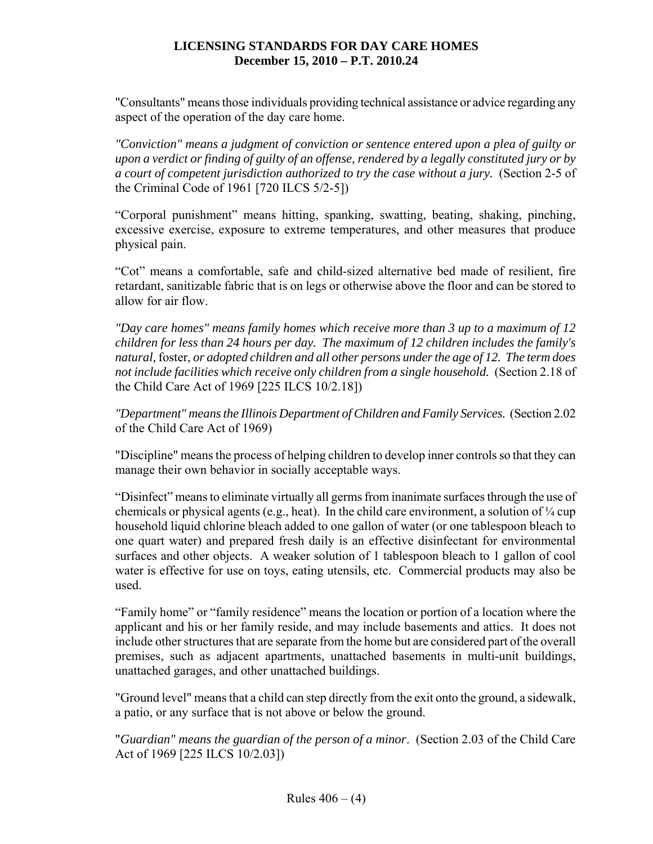"Consultants" means those individuals providing technical assistance or advice regarding any aspect of the operation of the day care home.

*"Conviction" means a judgment of conviction or sentence entered upon a plea of guilty or upon a verdict or finding of guilty of an offense, rendered by a legally constituted jury or by a court of competent jurisdiction authorized to try the case without a jury.* (Section 2-5 of the Criminal Code of 1961 [720 ILCS 5/2-5])

"Corporal punishment" means hitting, spanking, swatting, beating, shaking, pinching, excessive exercise, exposure to extreme temperatures, and other measures that produce physical pain.

"Cot" means a comfortable, safe and child-sized alternative bed made of resilient, fire retardant, sanitizable fabric that is on legs or otherwise above the floor and can be stored to allow for air flow.

*"Day care homes" means family homes which receive more than 3 up to a maximum of 12 children for less than 24 hours per day. The maximum of 12 children includes the family's natural,* foster, *or adopted children and all other persons under the age of 12. The term does not include facilities which receive only children from a single household.* (Section 2.18 of the Child Care Act of 1969 [225 ILCS 10/2.18])

*"Department" means the Illinois Department of Children and Family Services.* (Section 2.02 of the Child Care Act of 1969)

"Discipline" means the process of helping children to develop inner controls so that they can manage their own behavior in socially acceptable ways.

"Disinfect" means to eliminate virtually all germs from inanimate surfaces through the use of chemicals or physical agents (e.g., heat). In the child care environment, a solution of  $\frac{1}{4}$  cup household liquid chlorine bleach added to one gallon of water (or one tablespoon bleach to one quart water) and prepared fresh daily is an effective disinfectant for environmental surfaces and other objects. A weaker solution of 1 tablespoon bleach to 1 gallon of cool water is effective for use on toys, eating utensils, etc. Commercial products may also be used.

"Family home" or "family residence" means the location or portion of a location where the applicant and his or her family reside, and may include basements and attics. It does not include other structures that are separate from the home but are considered part of the overall premises, such as adjacent apartments, unattached basements in multi-unit buildings, unattached garages, and other unattached buildings.

"Ground level" means that a child can step directly from the exit onto the ground, a sidewalk, a patio, or any surface that is not above or below the ground.

"*Guardian" means the guardian of the person of a minor*. (Section 2.03 of the Child Care Act of 1969 [225 ILCS 10/2.03])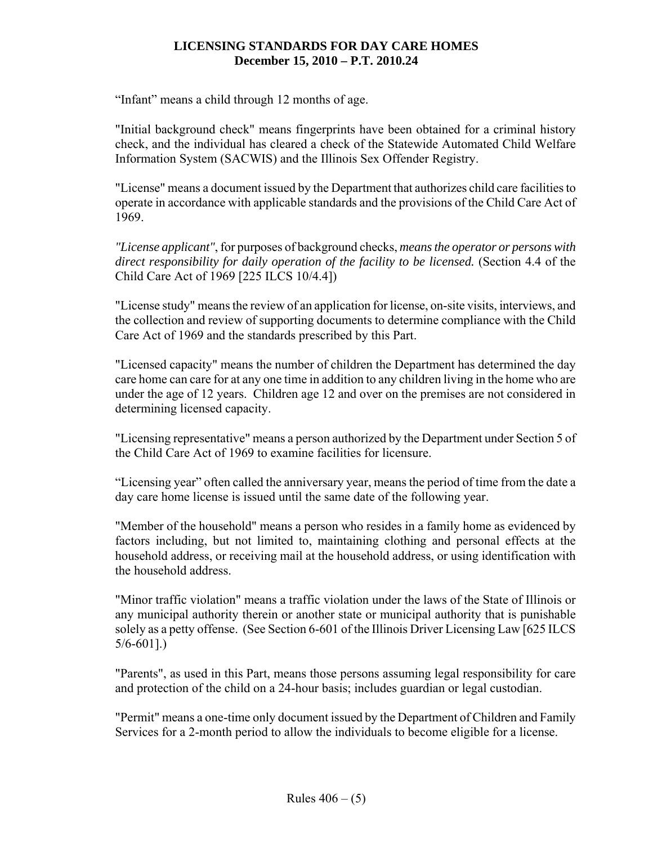"Infant" means a child through 12 months of age.

"Initial background check" means fingerprints have been obtained for a criminal history check, and the individual has cleared a check of the Statewide Automated Child Welfare Information System (SACWIS) and the Illinois Sex Offender Registry.

"License" means a document issued by the Department that authorizes child care facilities to operate in accordance with applicable standards and the provisions of the Child Care Act of 1969.

*"License applicant"*, for purposes of background checks, *means the operator or persons with direct responsibility for daily operation of the facility to be licensed.* (Section 4.4 of the Child Care Act of 1969 [225 ILCS 10/4.4])

"License study" means the review of an application for license, on-site visits, interviews, and the collection and review of supporting documents to determine compliance with the Child Care Act of 1969 and the standards prescribed by this Part.

"Licensed capacity" means the number of children the Department has determined the day care home can care for at any one time in addition to any children living in the home who are under the age of 12 years. Children age 12 and over on the premises are not considered in determining licensed capacity.

"Licensing representative" means a person authorized by the Department under Section 5 of the Child Care Act of 1969 to examine facilities for licensure.

"Licensing year" often called the anniversary year, means the period of time from the date a day care home license is issued until the same date of the following year.

"Member of the household" means a person who resides in a family home as evidenced by factors including, but not limited to, maintaining clothing and personal effects at the household address, or receiving mail at the household address, or using identification with the household address.

"Minor traffic violation" means a traffic violation under the laws of the State of Illinois or any municipal authority therein or another state or municipal authority that is punishable solely as a petty offense. (See Section 6-601 of the Illinois Driver Licensing Law [625 ILCS 5/6-601].)

"Parents", as used in this Part, means those persons assuming legal responsibility for care and protection of the child on a 24-hour basis; includes guardian or legal custodian.

"Permit" means a one-time only document issued by the Department of Children and Family Services for a 2-month period to allow the individuals to become eligible for a license.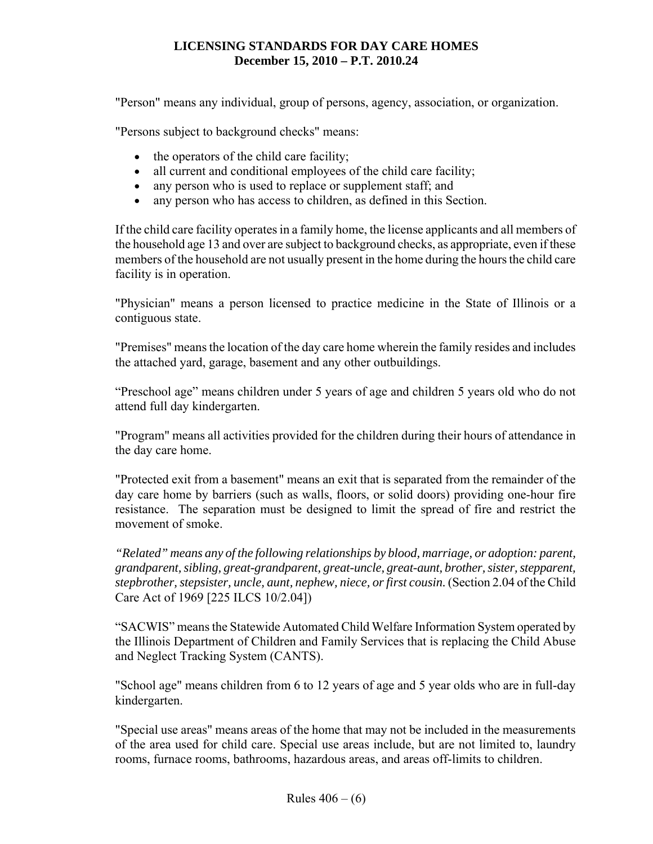"Person" means any individual, group of persons, agency, association, or organization.

"Persons subject to background checks" means:

- the operators of the child care facility;
- all current and conditional employees of the child care facility;
- any person who is used to replace or supplement staff; and
- any person who has access to children, as defined in this Section.

If the child care facility operates in a family home, the license applicants and all members of the household age 13 and over are subject to background checks, as appropriate, even if these members of the household are not usually present in the home during the hours the child care facility is in operation.

"Physician" means a person licensed to practice medicine in the State of Illinois or a contiguous state.

"Premises" means the location of the day care home wherein the family resides and includes the attached yard, garage, basement and any other outbuildings.

"Preschool age" means children under 5 years of age and children 5 years old who do not attend full day kindergarten.

"Program" means all activities provided for the children during their hours of attendance in the day care home.

"Protected exit from a basement" means an exit that is separated from the remainder of the day care home by barriers (such as walls, floors, or solid doors) providing one-hour fire resistance. The separation must be designed to limit the spread of fire and restrict the movement of smoke.

*"Related" means any of the following relationships by blood, marriage, or adoption: parent, grandparent, sibling, great-grandparent, great-uncle, great-aunt, brother, sister, stepparent, stepbrother, stepsister, uncle, aunt, nephew, niece, or first cousin.* (Section 2.04 of the Child Care Act of 1969 [225 ILCS 10/2.04])

"SACWIS" means the Statewide Automated Child Welfare Information System operated by the Illinois Department of Children and Family Services that is replacing the Child Abuse and Neglect Tracking System (CANTS).

"School age" means children from 6 to 12 years of age and 5 year olds who are in full-day kindergarten.

"Special use areas" means areas of the home that may not be included in the measurements of the area used for child care. Special use areas include, but are not limited to, laundry rooms, furnace rooms, bathrooms, hazardous areas, and areas off-limits to children.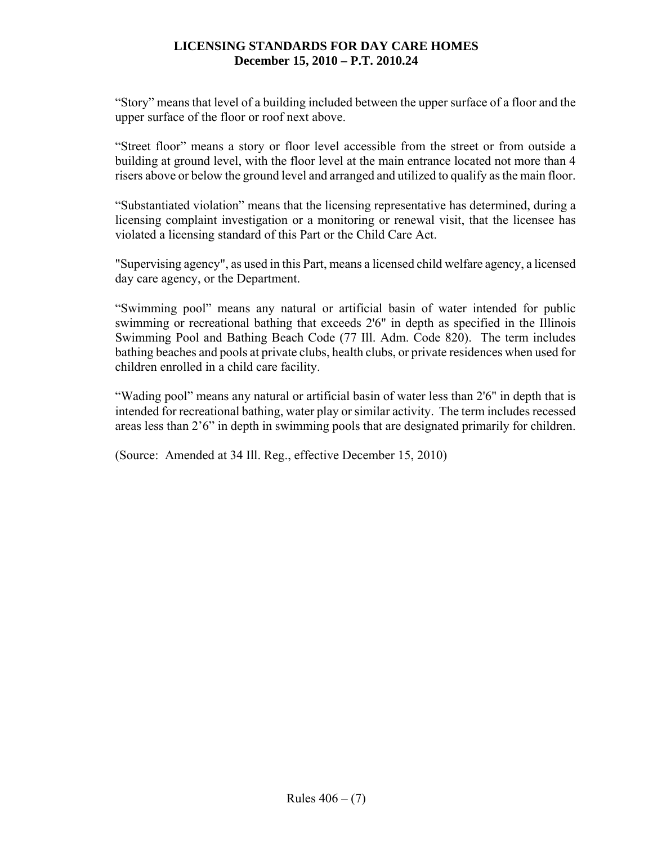"Story" means that level of a building included between the upper surface of a floor and the upper surface of the floor or roof next above.

"Street floor" means a story or floor level accessible from the street or from outside a building at ground level, with the floor level at the main entrance located not more than 4 risers above or below the ground level and arranged and utilized to qualify as the main floor.

"Substantiated violation" means that the licensing representative has determined, during a licensing complaint investigation or a monitoring or renewal visit, that the licensee has violated a licensing standard of this Part or the Child Care Act.

"Supervising agency", as used in this Part, means a licensed child welfare agency, a licensed day care agency, or the Department.

"Swimming pool" means any natural or artificial basin of water intended for public swimming or recreational bathing that exceeds 2'6" in depth as specified in the Illinois Swimming Pool and Bathing Beach Code (77 Ill. Adm. Code 820). The term includes bathing beaches and pools at private clubs, health clubs, or private residences when used for children enrolled in a child care facility.

"Wading pool" means any natural or artificial basin of water less than 2'6" in depth that is intended for recreational bathing, water play or similar activity. The term includes recessed areas less than 2'6" in depth in swimming pools that are designated primarily for children.

(Source: Amended at 34 Ill. Reg., effective December 15, 2010)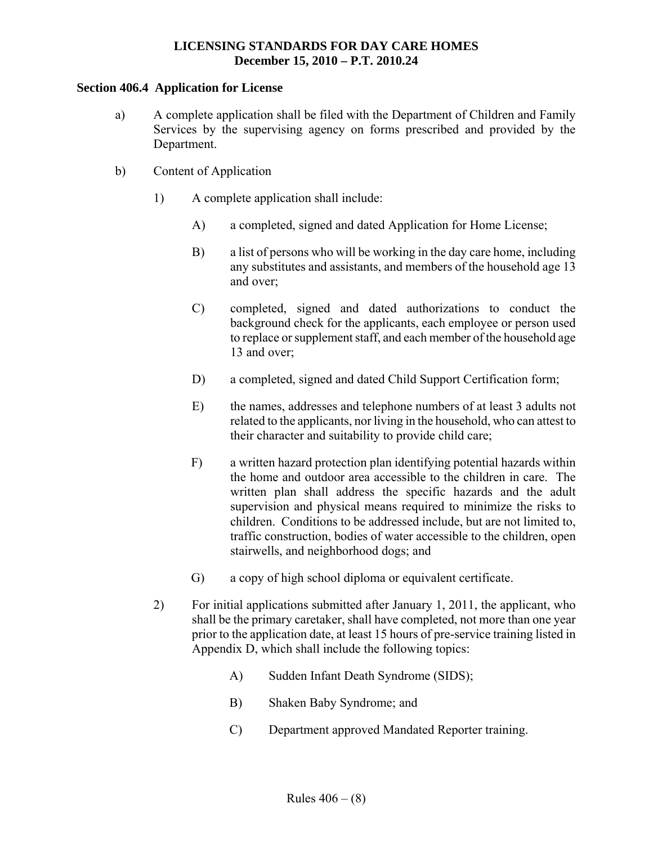#### **Section 406.4 Application for License**

- a) A complete application shall be filed with the Department of Children and Family Services by the supervising agency on forms prescribed and provided by the Department.
- b) Content of Application
	- 1) A complete application shall include:
		- A) a completed, signed and dated Application for Home License;
		- B) a list of persons who will be working in the day care home, including any substitutes and assistants, and members of the household age 13 and over;
		- C) completed, signed and dated authorizations to conduct the background check for the applicants, each employee or person used to replace or supplement staff, and each member of the household age 13 and over;
		- D) a completed, signed and dated Child Support Certification form;
		- E) the names, addresses and telephone numbers of at least 3 adults not related to the applicants, nor living in the household, who can attest to their character and suitability to provide child care;
		- F) a written hazard protection plan identifying potential hazards within the home and outdoor area accessible to the children in care. The written plan shall address the specific hazards and the adult supervision and physical means required to minimize the risks to children. Conditions to be addressed include, but are not limited to, traffic construction, bodies of water accessible to the children, open stairwells, and neighborhood dogs; and
		- G) a copy of high school diploma or equivalent certificate.
	- 2) For initial applications submitted after January 1, 2011, the applicant, who shall be the primary caretaker, shall have completed, not more than one year prior to the application date, at least 15 hours of pre-service training listed in Appendix D, which shall include the following topics:
		- A) Sudden Infant Death Syndrome (SIDS);
		- B) Shaken Baby Syndrome; and
		- C) Department approved Mandated Reporter training.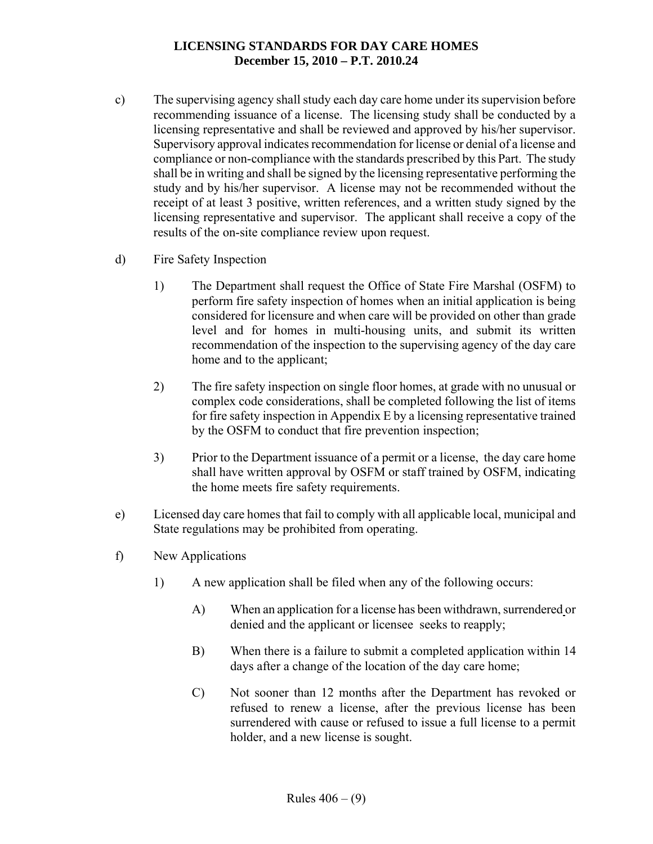- c) The supervising agency shall study each day care home under its supervision before recommending issuance of a license. The licensing study shall be conducted by a licensing representative and shall be reviewed and approved by his/her supervisor. Supervisory approval indicates recommendation for license or denial of a license and compliance or non-compliance with the standards prescribed by this Part. The study shall be in writing and shall be signed by the licensing representative performing the study and by his/her supervisor. A license may not be recommended without the receipt of at least 3 positive, written references, and a written study signed by the licensing representative and supervisor. The applicant shall receive a copy of the results of the on-site compliance review upon request.
- d) Fire Safety Inspection
	- 1) The Department shall request the Office of State Fire Marshal (OSFM) to perform fire safety inspection of homes when an initial application is being considered for licensure and when care will be provided on other than grade level and for homes in multi-housing units, and submit its written recommendation of the inspection to the supervising agency of the day care home and to the applicant;
	- 2) The fire safety inspection on single floor homes, at grade with no unusual or complex code considerations, shall be completed following the list of items for fire safety inspection in Appendix E by a licensing representative trained by the OSFM to conduct that fire prevention inspection;
	- 3) Prior to the Department issuance of a permit or a license, the day care home shall have written approval by OSFM or staff trained by OSFM, indicating the home meets fire safety requirements.
- e) Licensed day care homes that fail to comply with all applicable local, municipal and State regulations may be prohibited from operating.
- f) New Applications
	- 1) A new application shall be filed when any of the following occurs:
		- A) When an application for a license has been withdrawn, surrendered or denied and the applicant or licensee seeks to reapply;
		- B) When there is a failure to submit a completed application within 14 days after a change of the location of the day care home;
		- C) Not sooner than 12 months after the Department has revoked or refused to renew a license, after the previous license has been surrendered with cause or refused to issue a full license to a permit holder, and a new license is sought.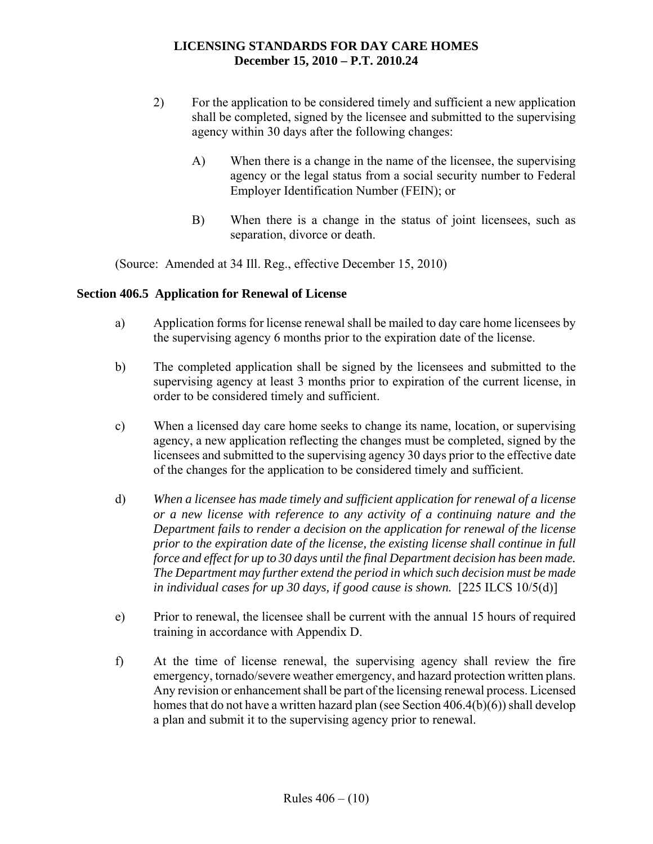- 2) For the application to be considered timely and sufficient a new application shall be completed, signed by the licensee and submitted to the supervising agency within 30 days after the following changes:
	- A) When there is a change in the name of the licensee, the supervising agency or the legal status from a social security number to Federal Employer Identification Number (FEIN); or
	- B) When there is a change in the status of joint licensees, such as separation, divorce or death.

(Source: Amended at 34 Ill. Reg., effective December 15, 2010)

### **Section 406.5 Application for Renewal of License**

- a) Application forms for license renewal shall be mailed to day care home licensees by the supervising agency 6 months prior to the expiration date of the license.
- b) The completed application shall be signed by the licensees and submitted to the supervising agency at least 3 months prior to expiration of the current license, in order to be considered timely and sufficient.
- c) When a licensed day care home seeks to change its name, location, or supervising agency, a new application reflecting the changes must be completed, signed by the licensees and submitted to the supervising agency 30 days prior to the effective date of the changes for the application to be considered timely and sufficient.
- d) *When a licensee has made timely and sufficient application for renewal of a license or a new license with reference to any activity of a continuing nature and the Department fails to render a decision on the application for renewal of the license prior to the expiration date of the license, the existing license shall continue in full force and effect for up to 30 days until the final Department decision has been made. The Department may further extend the period in which such decision must be made in individual cases for up 30 days, if good cause is shown.* [225 ILCS 10/5(d)]
- e) Prior to renewal, the licensee shall be current with the annual 15 hours of required training in accordance with Appendix D.
- f) At the time of license renewal, the supervising agency shall review the fire emergency, tornado/severe weather emergency, and hazard protection written plans. Any revision or enhancement shall be part of the licensing renewal process. Licensed homes that do not have a written hazard plan (see Section 406.4(b)(6)) shall develop a plan and submit it to the supervising agency prior to renewal.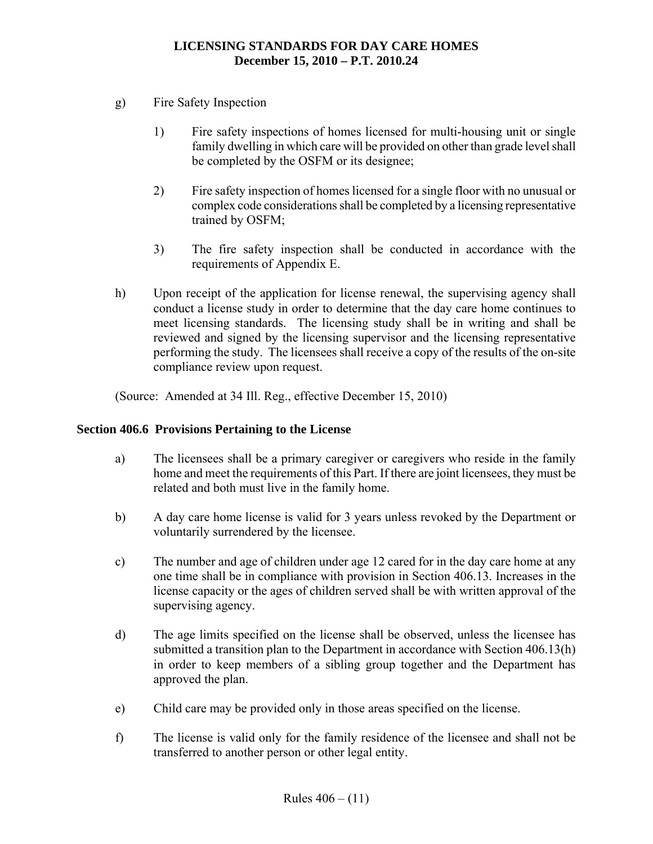- g) Fire Safety Inspection
	- 1) Fire safety inspections of homes licensed for multi-housing unit or single family dwelling in which care will be provided on other than grade level shall be completed by the OSFM or its designee;
	- 2) Fire safety inspection of homes licensed for a single floor with no unusual or complex code considerations shall be completed by a licensing representative trained by OSFM;
	- 3) The fire safety inspection shall be conducted in accordance with the requirements of Appendix E.
- h) Upon receipt of the application for license renewal, the supervising agency shall conduct a license study in order to determine that the day care home continues to meet licensing standards. The licensing study shall be in writing and shall be reviewed and signed by the licensing supervisor and the licensing representative performing the study. The licensees shall receive a copy of the results of the on-site compliance review upon request.

(Source: Amended at 34 Ill. Reg., effective December 15, 2010)

#### **Section 406.6 Provisions Pertaining to the License**

- a) The licensees shall be a primary caregiver or caregivers who reside in the family home and meet the requirements of this Part. If there are joint licensees, they must be related and both must live in the family home.
- b) A day care home license is valid for 3 years unless revoked by the Department or voluntarily surrendered by the licensee.
- c) The number and age of children under age 12 cared for in the day care home at any one time shall be in compliance with provision in Section 406.13. Increases in the license capacity or the ages of children served shall be with written approval of the supervising agency.
- d) The age limits specified on the license shall be observed, unless the licensee has submitted a transition plan to the Department in accordance with Section 406.13(h) in order to keep members of a sibling group together and the Department has approved the plan.
- e) Child care may be provided only in those areas specified on the license.
- f) The license is valid only for the family residence of the licensee and shall not be transferred to another person or other legal entity.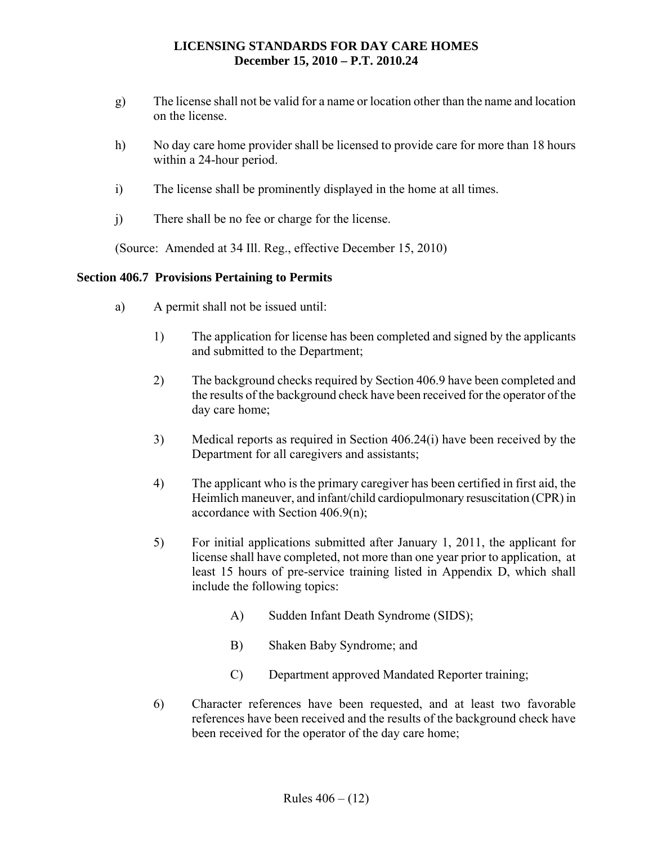- g) The license shall not be valid for a name or location other than the name and location on the license.
- h) No day care home provider shall be licensed to provide care for more than 18 hours within a 24-hour period.
- i) The license shall be prominently displayed in the home at all times.
- j) There shall be no fee or charge for the license.

(Source: Amended at 34 Ill. Reg., effective December 15, 2010)

#### **Section 406.7 Provisions Pertaining to Permits**

- a) A permit shall not be issued until:
	- 1) The application for license has been completed and signed by the applicants and submitted to the Department;
	- 2) The background checks required by Section 406.9 have been completed and the results of the background check have been received for the operator of the day care home;
	- 3) Medical reports as required in Section 406.24(i) have been received by the Department for all caregivers and assistants;
	- 4) The applicant who is the primary caregiver has been certified in first aid, the Heimlich maneuver, and infant/child cardiopulmonary resuscitation (CPR) in accordance with Section 406.9(n);
	- 5) For initial applications submitted after January 1, 2011, the applicant for license shall have completed, not more than one year prior to application, at least 15 hours of pre-service training listed in Appendix D, which shall include the following topics:
		- A) Sudden Infant Death Syndrome (SIDS);
		- B) Shaken Baby Syndrome; and
		- C) Department approved Mandated Reporter training;
	- 6) Character references have been requested, and at least two favorable references have been received and the results of the background check have been received for the operator of the day care home;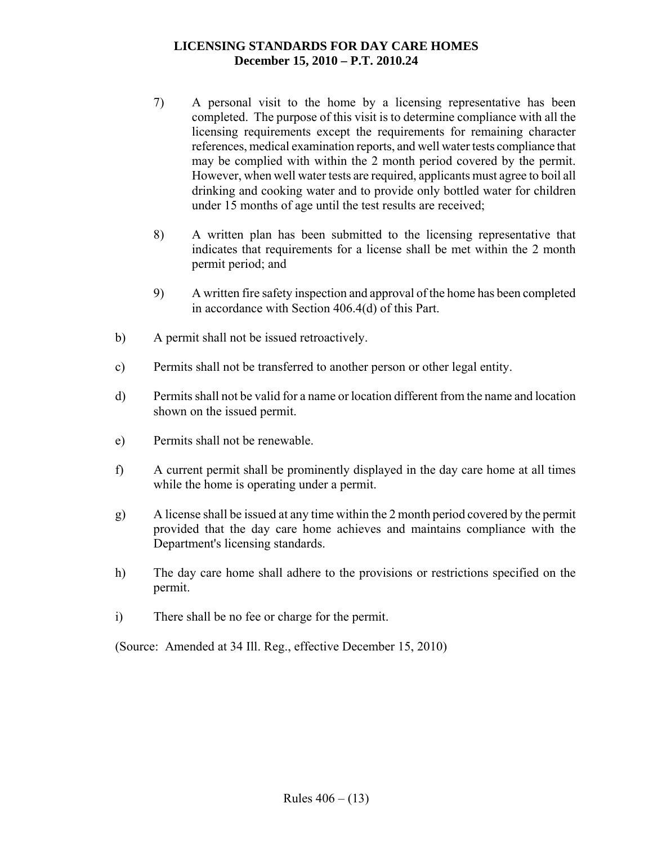- 7) A personal visit to the home by a licensing representative has been completed. The purpose of this visit is to determine compliance with all the licensing requirements except the requirements for remaining character references, medical examination reports, and well water tests compliance that may be complied with within the 2 month period covered by the permit. However, when well water tests are required, applicants must agree to boil all drinking and cooking water and to provide only bottled water for children under 15 months of age until the test results are received;
- 8) A written plan has been submitted to the licensing representative that indicates that requirements for a license shall be met within the 2 month permit period; and
- 9) A written fire safety inspection and approval of the home has been completed in accordance with Section 406.4(d) of this Part.
- b) A permit shall not be issued retroactively.
- c) Permits shall not be transferred to another person or other legal entity.
- d) Permits shall not be valid for a name or location different from the name and location shown on the issued permit.
- e) Permits shall not be renewable.
- f) A current permit shall be prominently displayed in the day care home at all times while the home is operating under a permit.
- g) A license shall be issued at any time within the 2 month period covered by the permit provided that the day care home achieves and maintains compliance with the Department's licensing standards.
- h) The day care home shall adhere to the provisions or restrictions specified on the permit.
- i) There shall be no fee or charge for the permit.

(Source: Amended at 34 Ill. Reg., effective December 15, 2010)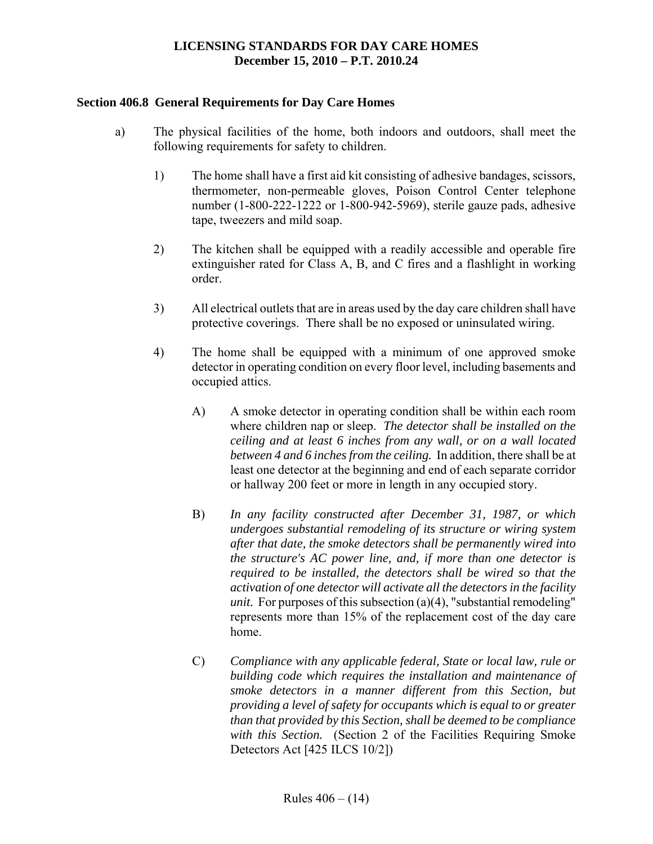### **Section 406.8 General Requirements for Day Care Homes**

- a) The physical facilities of the home, both indoors and outdoors, shall meet the following requirements for safety to children.
	- 1) The home shall have a first aid kit consisting of adhesive bandages, scissors, thermometer, non-permeable gloves, Poison Control Center telephone number (1-800-222-1222 or 1-800-942-5969), sterile gauze pads, adhesive tape, tweezers and mild soap.
	- 2) The kitchen shall be equipped with a readily accessible and operable fire extinguisher rated for Class A, B, and C fires and a flashlight in working order.
	- 3) All electrical outlets that are in areas used by the day care children shall have protective coverings. There shall be no exposed or uninsulated wiring.
	- 4) The home shall be equipped with a minimum of one approved smoke detector in operating condition on every floor level, including basements and occupied attics.
		- A) A smoke detector in operating condition shall be within each room where children nap or sleep. *The detector shall be installed on the ceiling and at least 6 inches from any wall, or on a wall located between 4 and 6 inches from the ceiling.* In addition, there shall be at least one detector at the beginning and end of each separate corridor or hallway 200 feet or more in length in any occupied story.
		- B) *In any facility constructed after December 31, 1987, or which undergoes substantial remodeling of its structure or wiring system after that date, the smoke detectors shall be permanently wired into the structure's AC power line, and, if more than one detector is required to be installed, the detectors shall be wired so that the activation of one detector will activate all the detectors in the facility unit.* For purposes of this subsection (a)(4), "substantial remodeling" represents more than 15% of the replacement cost of the day care home.
		- C) *Compliance with any applicable federal, State or local law, rule or building code which requires the installation and maintenance of smoke detectors in a manner different from this Section, but providing a level of safety for occupants which is equal to or greater than that provided by this Section, shall be deemed to be compliance with this Section.* (Section 2 of the Facilities Requiring Smoke Detectors Act [425 ILCS 10/2])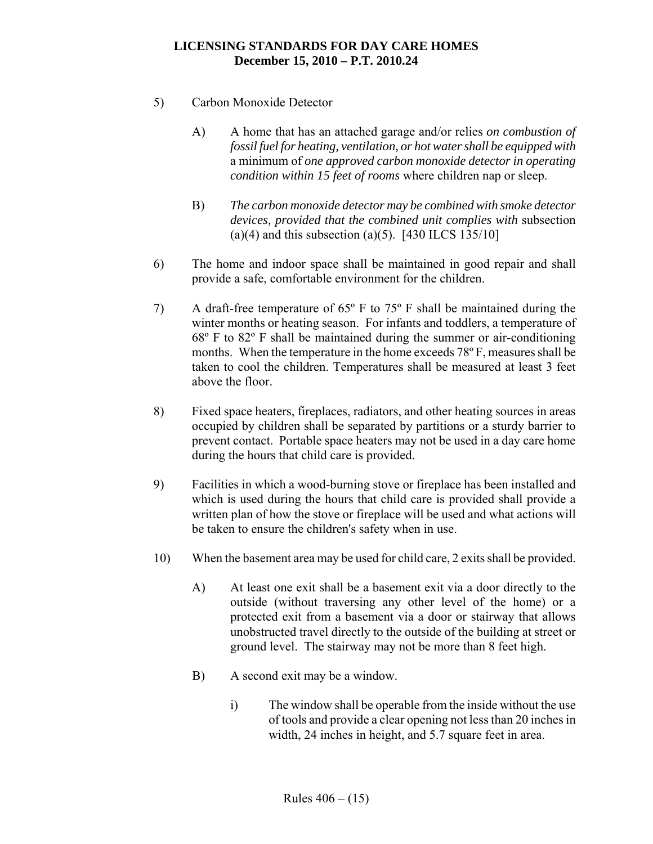- 5) Carbon Monoxide Detector
	- A) A home that has an attached garage and/or relies *on combustion of fossil fuel for heating, ventilation, or hot water shall be equipped with* a minimum of *one approved carbon monoxide detector in operating condition within 15 feet of rooms* where children nap or sleep.
	- B) *The carbon monoxide detector may be combined with smoke detector devices, provided that the combined unit complies with* subsection (a)(4) and this subsection (a)(5). [430 ILCS 135/10]
- 6) The home and indoor space shall be maintained in good repair and shall provide a safe, comfortable environment for the children.
- 7) A draft-free temperature of 65º F to 75º F shall be maintained during the winter months or heating season. For infants and toddlers, a temperature of 68º F to 82º F shall be maintained during the summer or air-conditioning months. When the temperature in the home exceeds 78º F, measures shall be taken to cool the children. Temperatures shall be measured at least 3 feet above the floor.
- 8) Fixed space heaters, fireplaces, radiators, and other heating sources in areas occupied by children shall be separated by partitions or a sturdy barrier to prevent contact. Portable space heaters may not be used in a day care home during the hours that child care is provided.
- 9) Facilities in which a wood-burning stove or fireplace has been installed and which is used during the hours that child care is provided shall provide a written plan of how the stove or fireplace will be used and what actions will be taken to ensure the children's safety when in use.
- 10) When the basement area may be used for child care, 2 exits shall be provided.
	- A) At least one exit shall be a basement exit via a door directly to the outside (without traversing any other level of the home) or a protected exit from a basement via a door or stairway that allows unobstructed travel directly to the outside of the building at street or ground level. The stairway may not be more than 8 feet high.
	- B) A second exit may be a window.
		- i) The window shall be operable from the inside without the use of tools and provide a clear opening not less than 20 inches in width, 24 inches in height, and 5.7 square feet in area.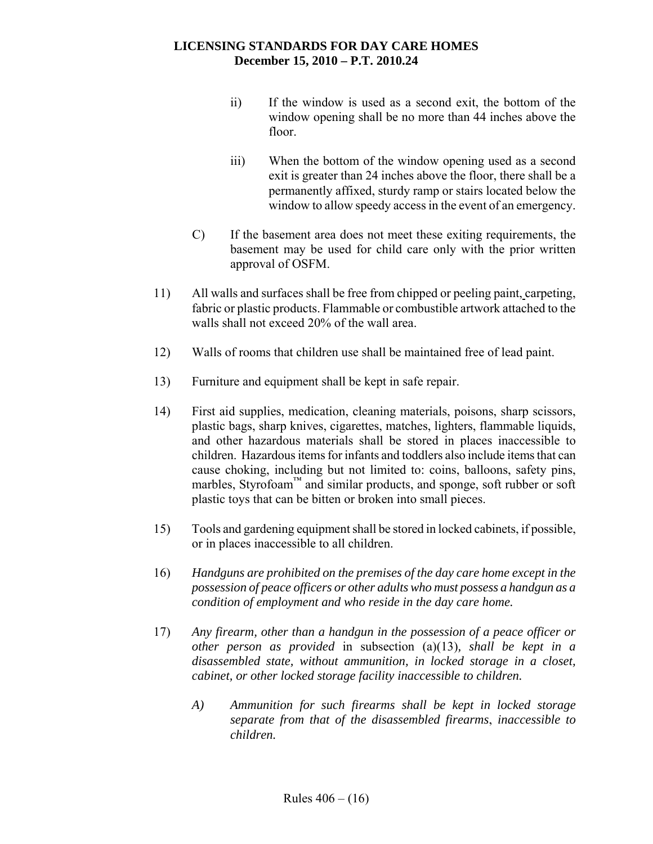- ii) If the window is used as a second exit, the bottom of the window opening shall be no more than 44 inches above the floor.
- iii) When the bottom of the window opening used as a second exit is greater than 24 inches above the floor, there shall be a permanently affixed, sturdy ramp or stairs located below the window to allow speedy access in the event of an emergency.
- C) If the basement area does not meet these exiting requirements, the basement may be used for child care only with the prior written approval of OSFM.
- 11) All walls and surfaces shall be free from chipped or peeling paint, carpeting, fabric or plastic products. Flammable or combustible artwork attached to the walls shall not exceed 20% of the wall area.
- 12) Walls of rooms that children use shall be maintained free of lead paint.
- 13) Furniture and equipment shall be kept in safe repair.
- 14) First aid supplies, medication, cleaning materials, poisons, sharp scissors, plastic bags, sharp knives, cigarettes, matches, lighters, flammable liquids, and other hazardous materials shall be stored in places inaccessible to children. Hazardous items for infants and toddlers also include items that can cause choking, including but not limited to: coins, balloons, safety pins, marbles, Styrofoam™ and similar products, and sponge, soft rubber or soft plastic toys that can be bitten or broken into small pieces.
- 15) Tools and gardening equipment shall be stored in locked cabinets, if possible, or in places inaccessible to all children.
- 16) *Handguns are prohibited on the premises of the day care home except in the possession of peace officers or other adults who must possess a handgun as a condition of employment and who reside in the day care home.*
- 17) *Any firearm, other than a handgun in the possession of a peace officer or other person as provided* in subsection (a)(13)*, shall be kept in a disassembled state, without ammunition, in locked storage in a closet, cabinet, or other locked storage facility inaccessible to children.* 
	- *A) Ammunition for such firearms shall be kept in locked storage separate from that of the disassembled firearms*, *inaccessible to children.*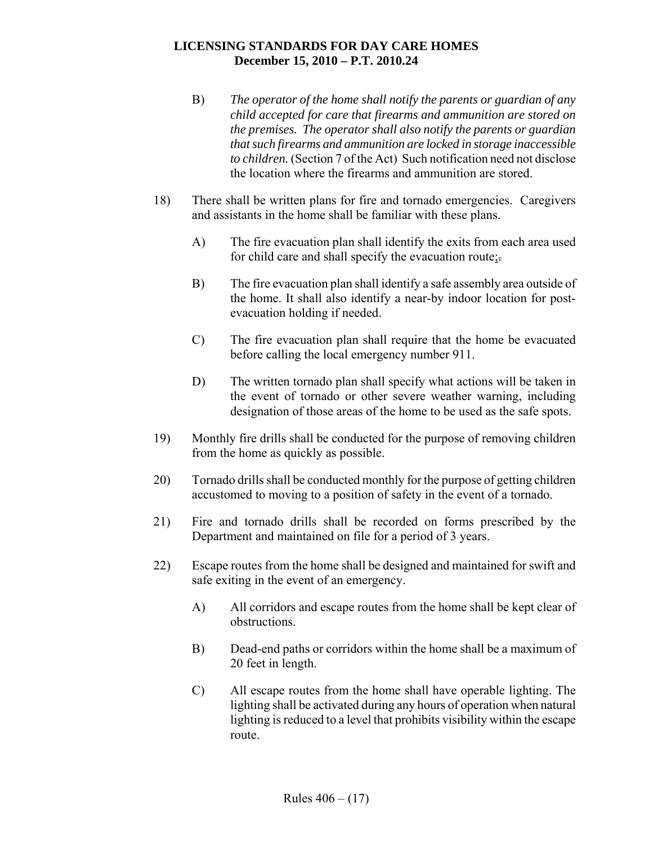- B) *The operator of the home shall notify the parents or guardian of any child accepted for care that firearms and ammunition are stored on the premises. The operator shall also notify the parents or guardian that such firearms and ammunition are locked in storage inaccessible to children.* (Section 7 of the Act) Such notification need not disclose the location where the firearms and ammunition are stored.
- 18) There shall be written plans for fire and tornado emergencies. Caregivers and assistants in the home shall be familiar with these plans.
	- A) The fire evacuation plan shall identify the exits from each area used for child care and shall specify the evacuation route;
	- B) The fire evacuation plan shall identify a safe assembly area outside of the home. It shall also identify a near-by indoor location for postevacuation holding if needed.
	- C) The fire evacuation plan shall require that the home be evacuated before calling the local emergency number 911.
	- D) The written tornado plan shall specify what actions will be taken in the event of tornado or other severe weather warning, including designation of those areas of the home to be used as the safe spots.
- 19) Monthly fire drills shall be conducted for the purpose of removing children from the home as quickly as possible.
- 20) Tornado drills shall be conducted monthly for the purpose of getting children accustomed to moving to a position of safety in the event of a tornado.
- 21) Fire and tornado drills shall be recorded on forms prescribed by the Department and maintained on file for a period of 3 years.
- 22) Escape routes from the home shall be designed and maintained for swift and safe exiting in the event of an emergency.
	- A) All corridors and escape routes from the home shall be kept clear of obstructions.
	- B) Dead-end paths or corridors within the home shall be a maximum of 20 feet in length.
	- C) All escape routes from the home shall have operable lighting. The lighting shall be activated during any hours of operation when natural lighting is reduced to a level that prohibits visibility within the escape route.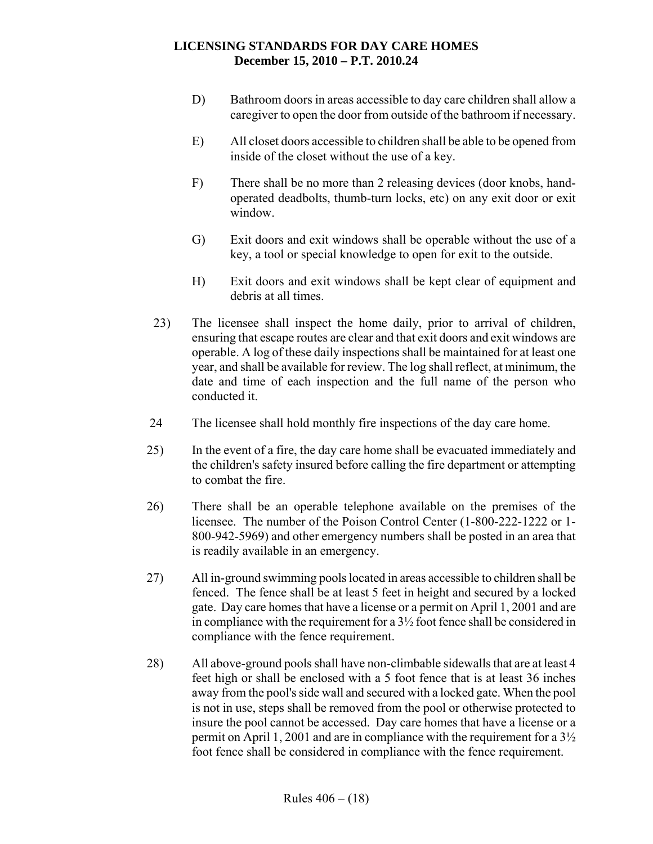- D) Bathroom doors in areas accessible to day care children shall allow a caregiver to open the door from outside of the bathroom if necessary.
- E) All closet doors accessible to children shall be able to be opened from inside of the closet without the use of a key.
- F) There shall be no more than 2 releasing devices (door knobs, handoperated deadbolts, thumb-turn locks, etc) on any exit door or exit window.
- G) Exit doors and exit windows shall be operable without the use of a key, a tool or special knowledge to open for exit to the outside.
- H) Exit doors and exit windows shall be kept clear of equipment and debris at all times.
- 23) The licensee shall inspect the home daily, prior to arrival of children, ensuring that escape routes are clear and that exit doors and exit windows are operable. A log of these daily inspections shall be maintained for at least one year, and shall be available for review. The log shall reflect, at minimum, the date and time of each inspection and the full name of the person who conducted it.
- 24 The licensee shall hold monthly fire inspections of the day care home.
- 25) In the event of a fire, the day care home shall be evacuated immediately and the children's safety insured before calling the fire department or attempting to combat the fire.
- 26) There shall be an operable telephone available on the premises of the licensee. The number of the Poison Control Center (1-800-222-1222 or 1- 800-942-5969) and other emergency numbers shall be posted in an area that is readily available in an emergency.
- 27) All in-ground swimming pools located in areas accessible to children shall be fenced. The fence shall be at least 5 feet in height and secured by a locked gate. Day care homes that have a license or a permit on April 1, 2001 and are in compliance with the requirement for a 3½ foot fence shall be considered in compliance with the fence requirement.
- 28) All above-ground pools shall have non-climbable sidewalls that are at least 4 feet high or shall be enclosed with a 5 foot fence that is at least 36 inches away from the pool's side wall and secured with a locked gate. When the pool is not in use, steps shall be removed from the pool or otherwise protected to insure the pool cannot be accessed. Day care homes that have a license or a permit on April 1, 2001 and are in compliance with the requirement for a 3½ foot fence shall be considered in compliance with the fence requirement.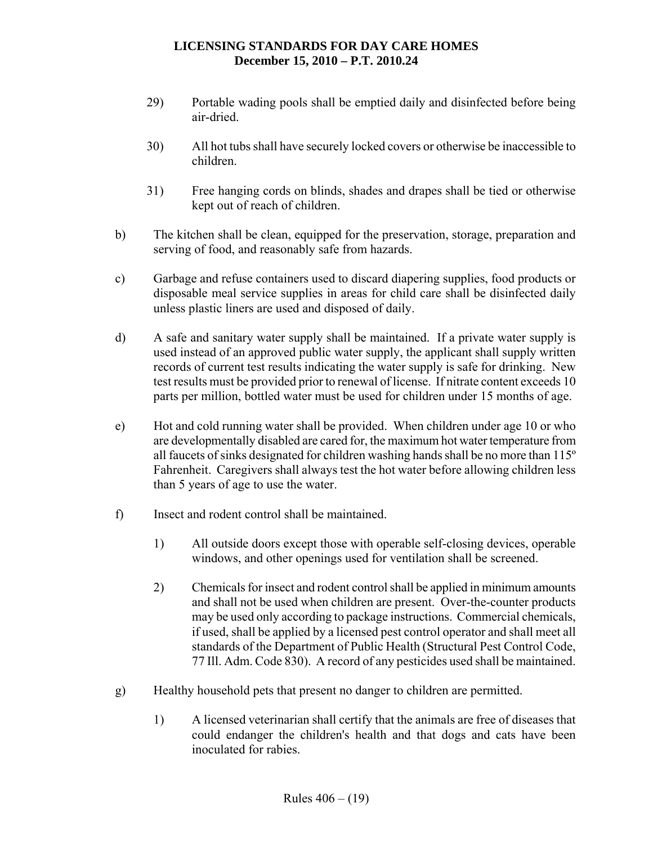- 29) Portable wading pools shall be emptied daily and disinfected before being air-dried.
- 30) All hot tubs shall have securely locked covers or otherwise be inaccessible to children.
- 31) Free hanging cords on blinds, shades and drapes shall be tied or otherwise kept out of reach of children.
- b) The kitchen shall be clean, equipped for the preservation, storage, preparation and serving of food, and reasonably safe from hazards.
- c) Garbage and refuse containers used to discard diapering supplies, food products or disposable meal service supplies in areas for child care shall be disinfected daily unless plastic liners are used and disposed of daily.
- d) A safe and sanitary water supply shall be maintained. If a private water supply is used instead of an approved public water supply, the applicant shall supply written records of current test results indicating the water supply is safe for drinking. New test results must be provided prior to renewal of license. If nitrate content exceeds 10 parts per million, bottled water must be used for children under 15 months of age.
- e) Hot and cold running water shall be provided. When children under age 10 or who are developmentally disabled are cared for, the maximum hot water temperature from all faucets of sinks designated for children washing hands shall be no more than 115º Fahrenheit. Caregivers shall always test the hot water before allowing children less than 5 years of age to use the water.
- f) Insect and rodent control shall be maintained.
	- 1) All outside doors except those with operable self-closing devices, operable windows, and other openings used for ventilation shall be screened.
	- 2) Chemicals for insect and rodent control shall be applied in minimum amounts and shall not be used when children are present. Over-the-counter products may be used only according to package instructions. Commercial chemicals, if used, shall be applied by a licensed pest control operator and shall meet all standards of the Department of Public Health (Structural Pest Control Code, 77 Ill. Adm. Code 830). A record of any pesticides used shall be maintained.
- g) Healthy household pets that present no danger to children are permitted.
	- 1) A licensed veterinarian shall certify that the animals are free of diseases that could endanger the children's health and that dogs and cats have been inoculated for rabies.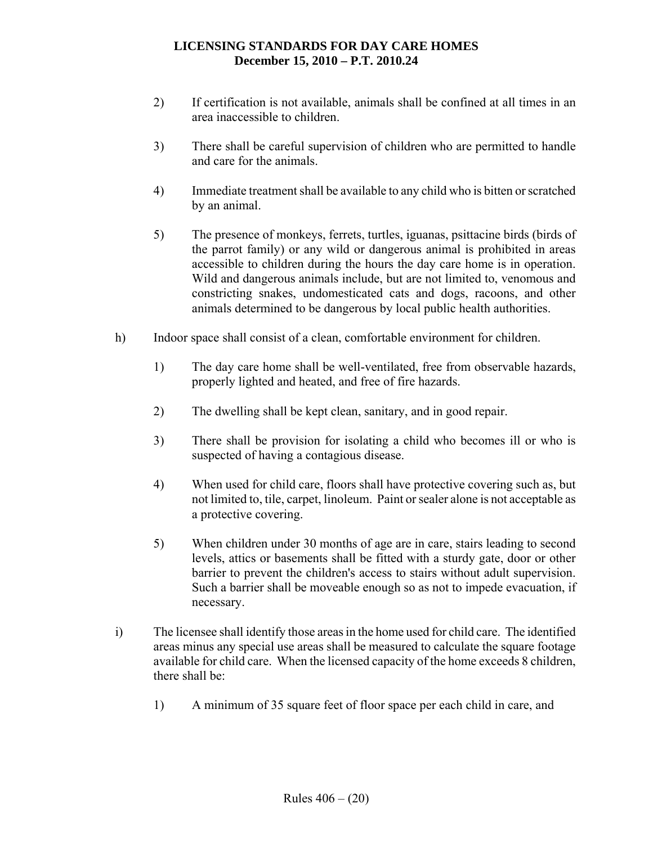- 2) If certification is not available, animals shall be confined at all times in an area inaccessible to children.
- 3) There shall be careful supervision of children who are permitted to handle and care for the animals.
- 4) Immediate treatment shall be available to any child who is bitten or scratched by an animal.
- 5) The presence of monkeys, ferrets, turtles, iguanas, psittacine birds (birds of the parrot family) or any wild or dangerous animal is prohibited in areas accessible to children during the hours the day care home is in operation. Wild and dangerous animals include, but are not limited to, venomous and constricting snakes, undomesticated cats and dogs, racoons, and other animals determined to be dangerous by local public health authorities.
- h) Indoor space shall consist of a clean, comfortable environment for children.
	- 1) The day care home shall be well-ventilated, free from observable hazards, properly lighted and heated, and free of fire hazards.
	- 2) The dwelling shall be kept clean, sanitary, and in good repair.
	- 3) There shall be provision for isolating a child who becomes ill or who is suspected of having a contagious disease.
	- 4) When used for child care, floors shall have protective covering such as, but not limited to, tile, carpet, linoleum. Paint or sealer alone is not acceptable as a protective covering.
	- 5) When children under 30 months of age are in care, stairs leading to second levels, attics or basements shall be fitted with a sturdy gate, door or other barrier to prevent the children's access to stairs without adult supervision. Such a barrier shall be moveable enough so as not to impede evacuation, if necessary.
- i) The licensee shall identify those areas in the home used for child care. The identified areas minus any special use areas shall be measured to calculate the square footage available for child care. When the licensed capacity of the home exceeds 8 children, there shall be:
	- 1) A minimum of 35 square feet of floor space per each child in care, and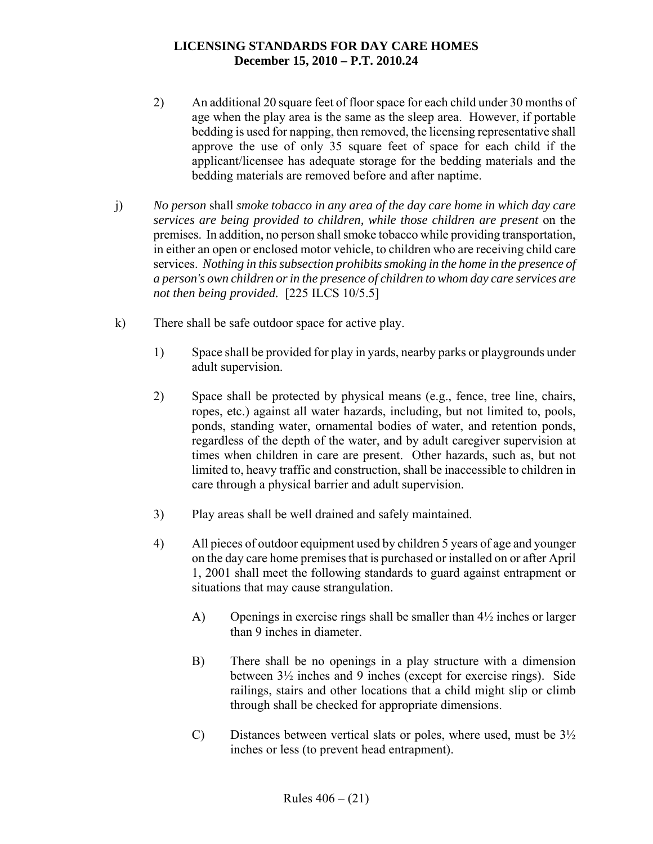- 2) An additional 20 square feet of floor space for each child under 30 months of age when the play area is the same as the sleep area. However, if portable bedding is used for napping, then removed, the licensing representative shall approve the use of only 35 square feet of space for each child if the applicant/licensee has adequate storage for the bedding materials and the bedding materials are removed before and after naptime.
- j) *No person* shall *smoke tobacco in any area of the day care home in which day care services are being provided to children, while those children are present* on the premises. In addition, no person shall smoke tobacco while providing transportation, in either an open or enclosed motor vehicle, to children who are receiving child care services. *Nothing in this subsection prohibits smoking in the home in the presence of a person's own children or in the presence of children to whom day care services are not then being provided.* [225 ILCS 10/5.5]
- k) There shall be safe outdoor space for active play.
	- 1) Space shall be provided for play in yards, nearby parks or playgrounds under adult supervision.
	- 2) Space shall be protected by physical means (e.g., fence, tree line, chairs, ropes, etc.) against all water hazards, including, but not limited to, pools, ponds, standing water, ornamental bodies of water, and retention ponds, regardless of the depth of the water, and by adult caregiver supervision at times when children in care are present. Other hazards, such as, but not limited to, heavy traffic and construction, shall be inaccessible to children in care through a physical barrier and adult supervision.
	- 3) Play areas shall be well drained and safely maintained.
	- 4) All pieces of outdoor equipment used by children 5 years of age and younger on the day care home premises that is purchased or installed on or after April 1, 2001 shall meet the following standards to guard against entrapment or situations that may cause strangulation.
		- A) Openings in exercise rings shall be smaller than  $4\frac{1}{2}$  inches or larger than 9 inches in diameter.
		- B) There shall be no openings in a play structure with a dimension between 3½ inches and 9 inches (except for exercise rings). Side railings, stairs and other locations that a child might slip or climb through shall be checked for appropriate dimensions.
		- C) Distances between vertical slats or poles, where used, must be 3½ inches or less (to prevent head entrapment).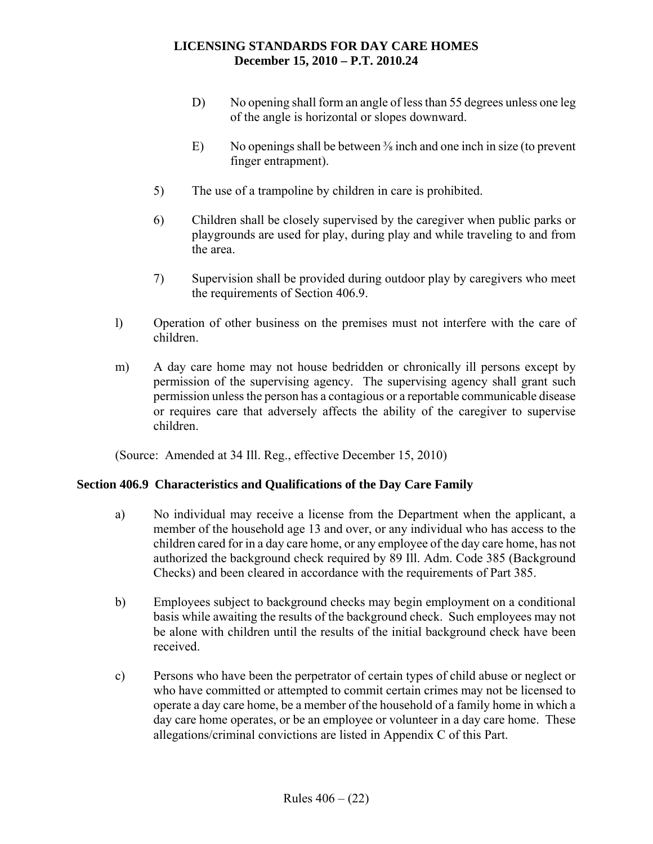- D) No opening shall form an angle of less than 55 degrees unless one leg of the angle is horizontal or slopes downward.
- E) No openings shall be between  $\frac{3}{8}$  inch and one inch in size (to prevent finger entrapment).
- 5) The use of a trampoline by children in care is prohibited.
- 6) Children shall be closely supervised by the caregiver when public parks or playgrounds are used for play, during play and while traveling to and from the area.
- 7) Supervision shall be provided during outdoor play by caregivers who meet the requirements of Section 406.9.
- l) Operation of other business on the premises must not interfere with the care of children.
- m) A day care home may not house bedridden or chronically ill persons except by permission of the supervising agency. The supervising agency shall grant such permission unless the person has a contagious or a reportable communicable disease or requires care that adversely affects the ability of the caregiver to supervise children.

(Source: Amended at 34 Ill. Reg., effective December 15, 2010)

#### **Section 406.9 Characteristics and Qualifications of the Day Care Family**

- a) No individual may receive a license from the Department when the applicant, a member of the household age 13 and over, or any individual who has access to the children cared for in a day care home, or any employee of the day care home, has not authorized the background check required by 89 Ill. Adm. Code 385 (Background Checks) and been cleared in accordance with the requirements of Part 385.
- b) Employees subject to background checks may begin employment on a conditional basis while awaiting the results of the background check. Such employees may not be alone with children until the results of the initial background check have been received.
- c) Persons who have been the perpetrator of certain types of child abuse or neglect or who have committed or attempted to commit certain crimes may not be licensed to operate a day care home, be a member of the household of a family home in which a day care home operates, or be an employee or volunteer in a day care home. These allegations/criminal convictions are listed in Appendix C of this Part.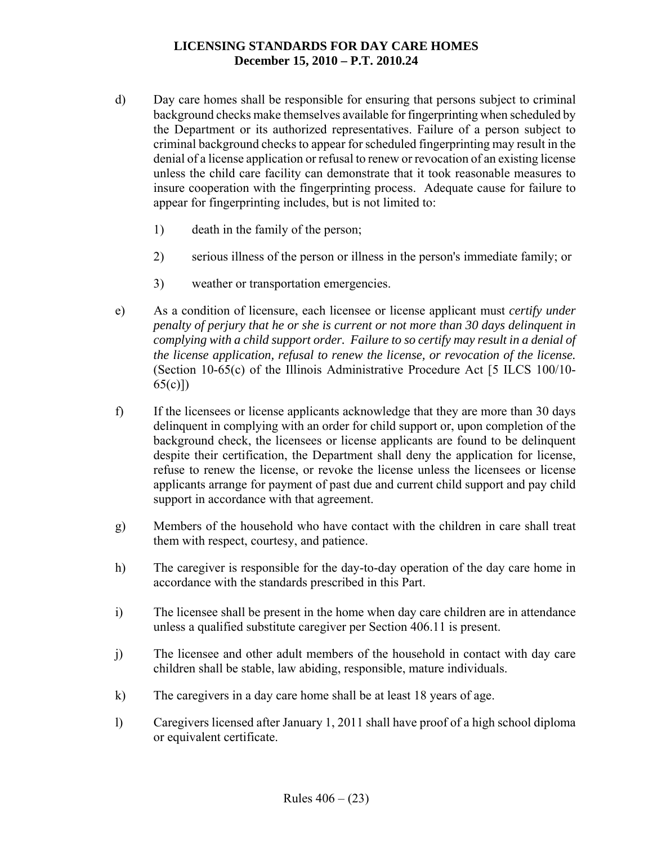- d) Day care homes shall be responsible for ensuring that persons subject to criminal background checks make themselves available for fingerprinting when scheduled by the Department or its authorized representatives. Failure of a person subject to criminal background checks to appear for scheduled fingerprinting may result in the denial of a license application or refusal to renew or revocation of an existing license unless the child care facility can demonstrate that it took reasonable measures to insure cooperation with the fingerprinting process. Adequate cause for failure to appear for fingerprinting includes, but is not limited to:
	- 1) death in the family of the person;
	- 2) serious illness of the person or illness in the person's immediate family; or
	- 3) weather or transportation emergencies.
- e) As a condition of licensure, each licensee or license applicant must *certify under penalty of perjury that he or she is current or not more than 30 days delinquent in complying with a child support order. Failure to so certify may result in a denial of the license application, refusal to renew the license, or revocation of the license.* (Section 10-65(c) of the Illinois Administrative Procedure Act [5 ILCS 100/10- 65(c)])
- f) If the licensees or license applicants acknowledge that they are more than 30 days delinquent in complying with an order for child support or, upon completion of the background check, the licensees or license applicants are found to be delinquent despite their certification, the Department shall deny the application for license, refuse to renew the license, or revoke the license unless the licensees or license applicants arrange for payment of past due and current child support and pay child support in accordance with that agreement.
- g) Members of the household who have contact with the children in care shall treat them with respect, courtesy, and patience.
- h) The caregiver is responsible for the day-to-day operation of the day care home in accordance with the standards prescribed in this Part.
- i) The licensee shall be present in the home when day care children are in attendance unless a qualified substitute caregiver per Section 406.11 is present.
- j) The licensee and other adult members of the household in contact with day care children shall be stable, law abiding, responsible, mature individuals.
- k) The caregivers in a day care home shall be at least 18 years of age.
- l) Caregivers licensed after January 1, 2011 shall have proof of a high school diploma or equivalent certificate.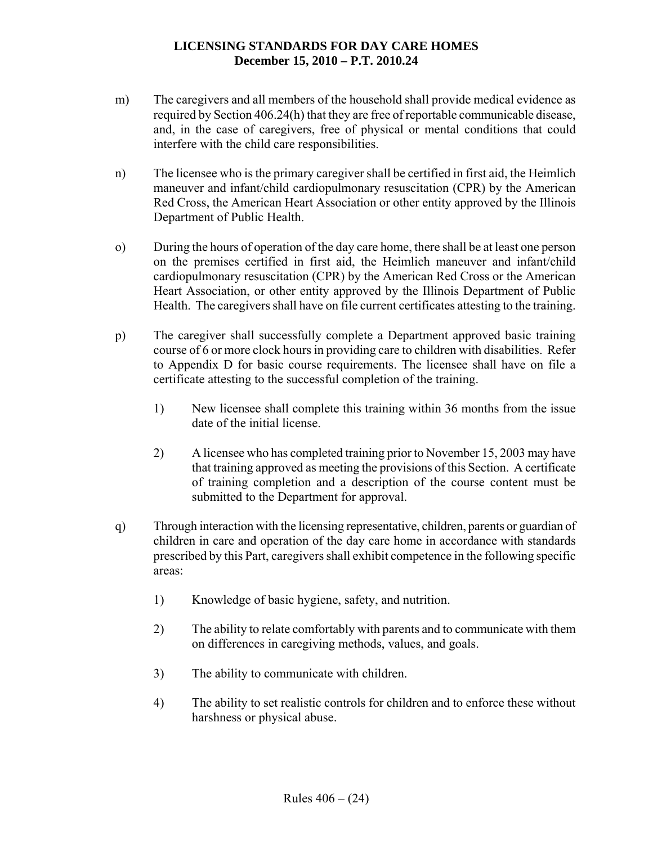- m) The caregivers and all members of the household shall provide medical evidence as required by Section 406.24(h) that they are free of reportable communicable disease, and, in the case of caregivers, free of physical or mental conditions that could interfere with the child care responsibilities.
- n) The licensee who is the primary caregiver shall be certified in first aid, the Heimlich maneuver and infant/child cardiopulmonary resuscitation (CPR) by the American Red Cross, the American Heart Association or other entity approved by the Illinois Department of Public Health.
- o) During the hours of operation of the day care home, there shall be at least one person on the premises certified in first aid, the Heimlich maneuver and infant/child cardiopulmonary resuscitation (CPR) by the American Red Cross or the American Heart Association, or other entity approved by the Illinois Department of Public Health. The caregivers shall have on file current certificates attesting to the training.
- p) The caregiver shall successfully complete a Department approved basic training course of 6 or more clock hours in providing care to children with disabilities. Refer to Appendix D for basic course requirements. The licensee shall have on file a certificate attesting to the successful completion of the training.
	- 1) New licensee shall complete this training within 36 months from the issue date of the initial license.
	- 2) A licensee who has completed training prior to November 15, 2003 may have that training approved as meeting the provisions of this Section. A certificate of training completion and a description of the course content must be submitted to the Department for approval.
- q) Through interaction with the licensing representative, children, parents or guardian of children in care and operation of the day care home in accordance with standards prescribed by this Part, caregivers shall exhibit competence in the following specific areas:
	- 1) Knowledge of basic hygiene, safety, and nutrition.
	- 2) The ability to relate comfortably with parents and to communicate with them on differences in caregiving methods, values, and goals.
	- 3) The ability to communicate with children.
	- 4) The ability to set realistic controls for children and to enforce these without harshness or physical abuse.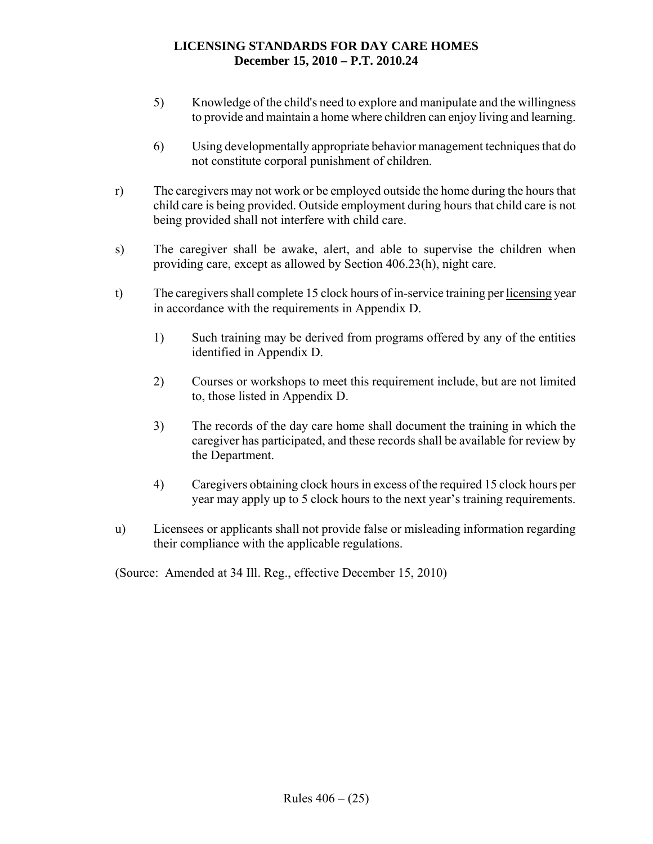- 5) Knowledge of the child's need to explore and manipulate and the willingness to provide and maintain a home where children can enjoy living and learning.
- 6) Using developmentally appropriate behavior management techniques that do not constitute corporal punishment of children.
- r) The caregivers may not work or be employed outside the home during the hours that child care is being provided. Outside employment during hours that child care is not being provided shall not interfere with child care.
- s) The caregiver shall be awake, alert, and able to supervise the children when providing care, except as allowed by Section 406.23(h), night care.
- t) The caregivers shall complete 15 clock hours of in-service training per licensing year in accordance with the requirements in Appendix D.
	- 1) Such training may be derived from programs offered by any of the entities identified in Appendix D.
	- 2) Courses or workshops to meet this requirement include, but are not limited to, those listed in Appendix D.
	- 3) The records of the day care home shall document the training in which the caregiver has participated, and these records shall be available for review by the Department.
	- 4) Caregivers obtaining clock hours in excess of the required 15 clock hours per year may apply up to 5 clock hours to the next year's training requirements.
- u) Licensees or applicants shall not provide false or misleading information regarding their compliance with the applicable regulations.

(Source: Amended at 34 Ill. Reg., effective December 15, 2010)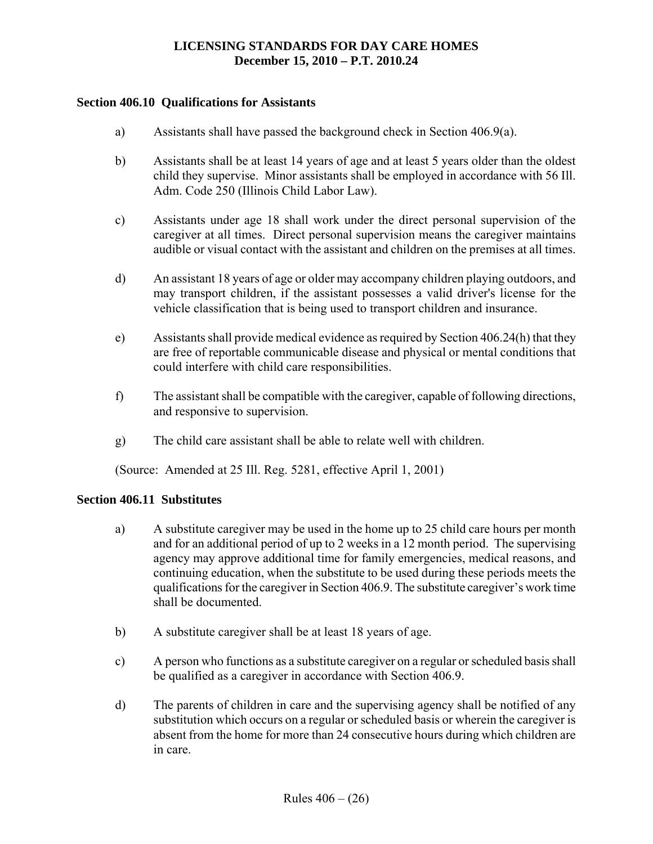#### **Section 406.10 Qualifications for Assistants**

- a) Assistants shall have passed the background check in Section 406.9(a).
- b) Assistants shall be at least 14 years of age and at least 5 years older than the oldest child they supervise. Minor assistants shall be employed in accordance with 56 Ill. Adm. Code 250 (Illinois Child Labor Law).
- c) Assistants under age 18 shall work under the direct personal supervision of the caregiver at all times. Direct personal supervision means the caregiver maintains audible or visual contact with the assistant and children on the premises at all times.
- d) An assistant 18 years of age or older may accompany children playing outdoors, and may transport children, if the assistant possesses a valid driver's license for the vehicle classification that is being used to transport children and insurance.
- e) Assistants shall provide medical evidence as required by Section 406.24(h) that they are free of reportable communicable disease and physical or mental conditions that could interfere with child care responsibilities.
- f) The assistant shall be compatible with the caregiver, capable of following directions, and responsive to supervision.
- g) The child care assistant shall be able to relate well with children.

(Source: Amended at 25 Ill. Reg. 5281, effective April 1, 2001)

#### **Section 406.11 Substitutes**

- a) A substitute caregiver may be used in the home up to 25 child care hours per month and for an additional period of up to 2 weeks in a 12 month period. The supervising agency may approve additional time for family emergencies, medical reasons, and continuing education, when the substitute to be used during these periods meets the qualifications for the caregiver in Section 406.9. The substitute caregiver's work time shall be documented.
- b) A substitute caregiver shall be at least 18 years of age.
- c) A person who functions as a substitute caregiver on a regular or scheduled basis shall be qualified as a caregiver in accordance with Section 406.9.
- d) The parents of children in care and the supervising agency shall be notified of any substitution which occurs on a regular or scheduled basis or wherein the caregiver is absent from the home for more than 24 consecutive hours during which children are in care.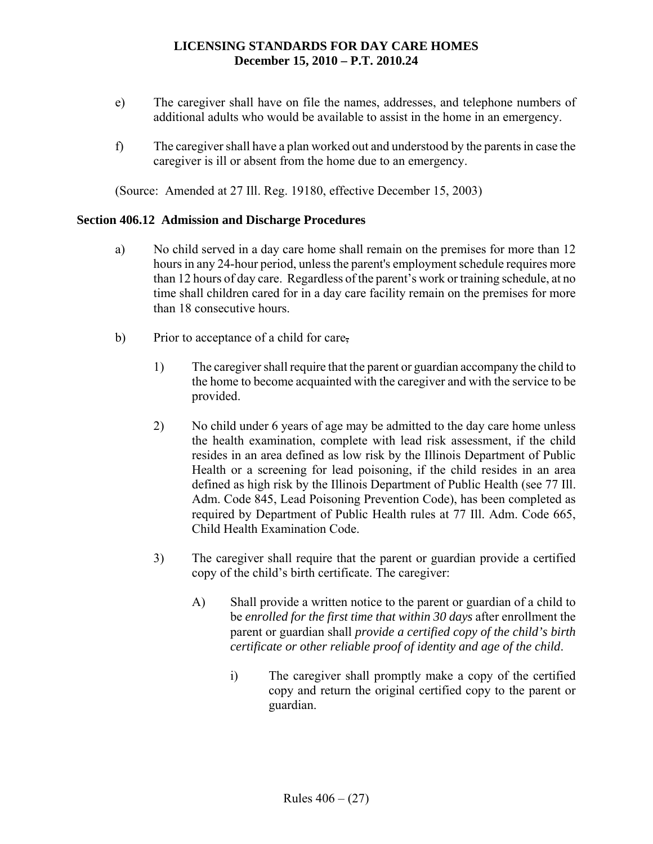- e) The caregiver shall have on file the names, addresses, and telephone numbers of additional adults who would be available to assist in the home in an emergency.
- f) The caregiver shall have a plan worked out and understood by the parents in case the caregiver is ill or absent from the home due to an emergency.

(Source: Amended at 27 Ill. Reg. 19180, effective December 15, 2003)

#### **Section 406.12 Admission and Discharge Procedures**

- a) No child served in a day care home shall remain on the premises for more than 12 hours in any 24-hour period, unless the parent's employment schedule requires more than 12 hours of day care. Regardless of the parent's work or training schedule, at no time shall children cared for in a day care facility remain on the premises for more than 18 consecutive hours.
- b) Prior to acceptance of a child for care,
	- 1) The caregiver shall require that the parent or guardian accompany the child to the home to become acquainted with the caregiver and with the service to be provided.
	- 2) No child under 6 years of age may be admitted to the day care home unless the health examination, complete with lead risk assessment, if the child resides in an area defined as low risk by the Illinois Department of Public Health or a screening for lead poisoning, if the child resides in an area defined as high risk by the Illinois Department of Public Health (see 77 Ill. Adm. Code 845, Lead Poisoning Prevention Code), has been completed as required by Department of Public Health rules at 77 Ill. Adm. Code 665, Child Health Examination Code.
	- 3) The caregiver shall require that the parent or guardian provide a certified copy of the child's birth certificate. The caregiver:
		- A) Shall provide a written notice to the parent or guardian of a child to be *enrolled for the first time that within 30 days* after enrollment the parent or guardian shall *provide a certified copy of the child's birth certificate or other reliable proof of identity and age of the child*.
			- i) The caregiver shall promptly make a copy of the certified copy and return the original certified copy to the parent or guardian.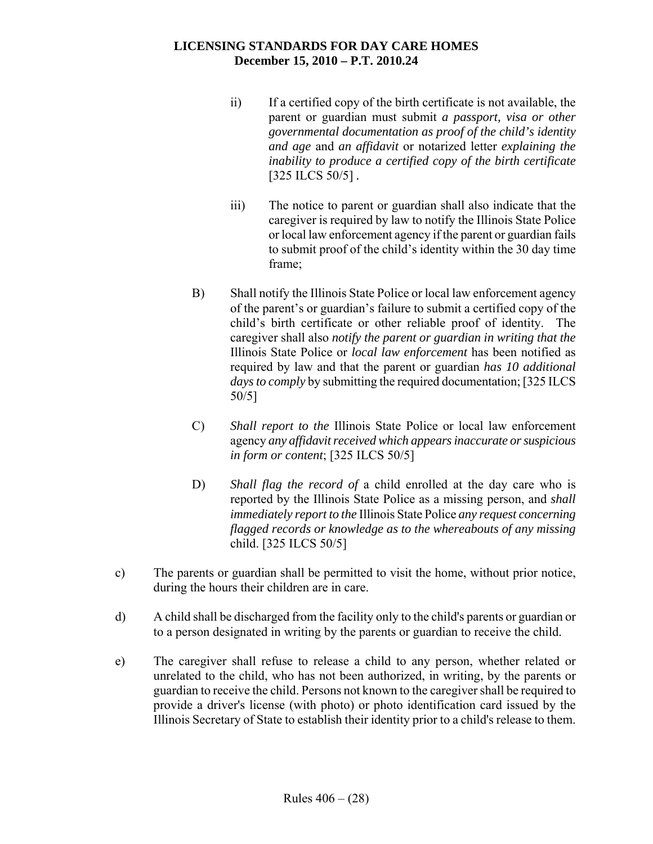- ii) If a certified copy of the birth certificate is not available, the parent or guardian must submit *a passport, visa or other governmental documentation as proof of the child's identity and age* and *an affidavit* or notarized letter *explaining the inability to produce a certified copy of the birth certificate* [325 ILCS 50/5] *.*
- iii) The notice to parent or guardian shall also indicate that the caregiver is required by law to notify the Illinois State Police or local law enforcement agency if the parent or guardian fails to submit proof of the child's identity within the 30 day time frame;
- B) Shall notify the Illinois State Police or local law enforcement agency of the parent's or guardian's failure to submit a certified copy of the child's birth certificate or other reliable proof of identity. The caregiver shall also *notify the parent or guardian in writing that the*  Illinois State Police or *local law enforcement* has been notified as required by law and that the parent or guardian *has 10 additional days to comply* by submitting the required documentation; [325 ILCS 50/5]
- C) *Shall report to the* Illinois State Police or local law enforcement agency *any affidavit received which appears inaccurate or suspicious in form or content*; [325 ILCS 50/5]
- D) *Shall flag the record of* a child enrolled at the day care who is reported by the Illinois State Police as a missing person, and *shall immediately report to the* Illinois State Police *any request concerning flagged records or knowledge as to the whereabouts of any missing* child. [325 ILCS 50/5]
- c) The parents or guardian shall be permitted to visit the home, without prior notice, during the hours their children are in care.
- d) A child shall be discharged from the facility only to the child's parents or guardian or to a person designated in writing by the parents or guardian to receive the child.
- e) The caregiver shall refuse to release a child to any person, whether related or unrelated to the child, who has not been authorized, in writing, by the parents or guardian to receive the child. Persons not known to the caregiver shall be required to provide a driver's license (with photo) or photo identification card issued by the Illinois Secretary of State to establish their identity prior to a child's release to them.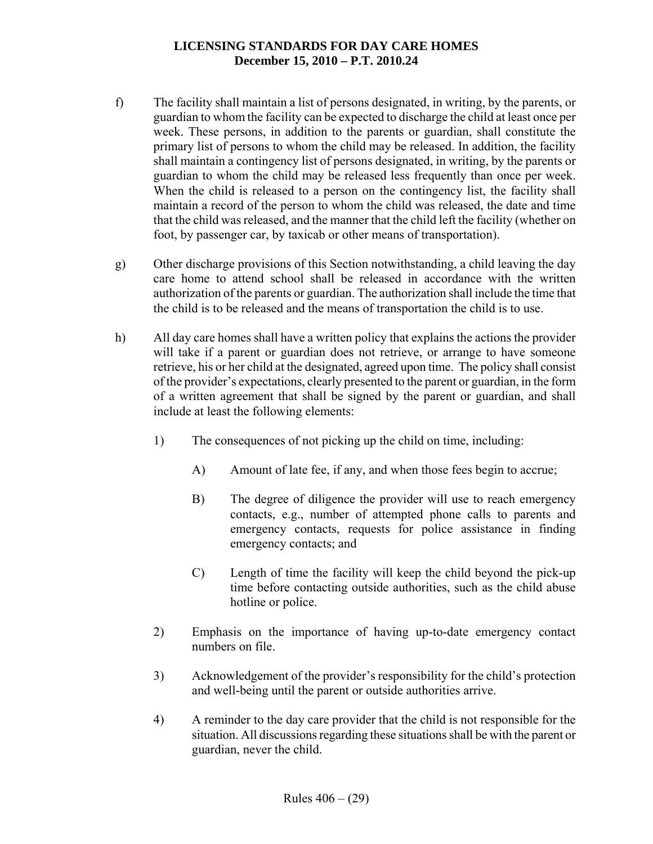- f) The facility shall maintain a list of persons designated, in writing, by the parents, or guardian to whom the facility can be expected to discharge the child at least once per week. These persons, in addition to the parents or guardian, shall constitute the primary list of persons to whom the child may be released. In addition, the facility shall maintain a contingency list of persons designated, in writing, by the parents or guardian to whom the child may be released less frequently than once per week. When the child is released to a person on the contingency list, the facility shall maintain a record of the person to whom the child was released, the date and time that the child was released, and the manner that the child left the facility (whether on foot, by passenger car, by taxicab or other means of transportation).
- g) Other discharge provisions of this Section notwithstanding, a child leaving the day care home to attend school shall be released in accordance with the written authorization of the parents or guardian. The authorization shall include the time that the child is to be released and the means of transportation the child is to use.
- h) All day care homes shall have a written policy that explains the actions the provider will take if a parent or guardian does not retrieve, or arrange to have someone retrieve, his or her child at the designated, agreed upon time. The policy shall consist of the provider's expectations, clearly presented to the parent or guardian, in the form of a written agreement that shall be signed by the parent or guardian, and shall include at least the following elements:
	- 1) The consequences of not picking up the child on time, including:
		- A) Amount of late fee, if any, and when those fees begin to accrue;
		- B) The degree of diligence the provider will use to reach emergency contacts, e.g., number of attempted phone calls to parents and emergency contacts, requests for police assistance in finding emergency contacts; and
		- C) Length of time the facility will keep the child beyond the pick-up time before contacting outside authorities, such as the child abuse hotline or police.
	- 2) Emphasis on the importance of having up-to-date emergency contact numbers on file.
	- 3) Acknowledgement of the provider's responsibility for the child's protection and well-being until the parent or outside authorities arrive.
	- 4) A reminder to the day care provider that the child is not responsible for the situation. All discussions regarding these situations shall be with the parent or guardian, never the child.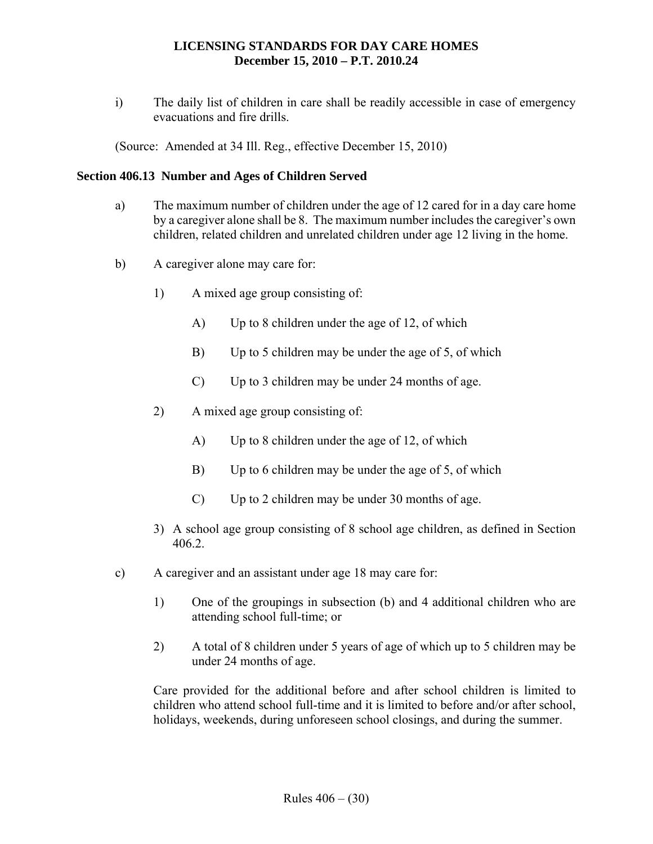i) The daily list of children in care shall be readily accessible in case of emergency evacuations and fire drills.

(Source: Amended at 34 Ill. Reg., effective December 15, 2010)

#### **Section 406.13 Number and Ages of Children Served**

- a) The maximum number of children under the age of 12 cared for in a day care home by a caregiver alone shall be 8. The maximum number includes the caregiver's own children, related children and unrelated children under age 12 living in the home.
- b) A caregiver alone may care for:
	- 1) A mixed age group consisting of:
		- A) Up to 8 children under the age of 12, of which
		- B) Up to 5 children may be under the age of 5, of which
		- C) Up to 3 children may be under 24 months of age.
	- 2) A mixed age group consisting of:
		- A) Up to 8 children under the age of 12, of which
		- B) Up to 6 children may be under the age of 5, of which
		- C) Up to 2 children may be under 30 months of age.
	- 3) A school age group consisting of 8 school age children, as defined in Section 406.2.
- c) A caregiver and an assistant under age 18 may care for:
	- 1) One of the groupings in subsection (b) and 4 additional children who are attending school full-time; or
	- 2) A total of 8 children under 5 years of age of which up to 5 children may be under 24 months of age.

Care provided for the additional before and after school children is limited to children who attend school full-time and it is limited to before and/or after school, holidays, weekends, during unforeseen school closings, and during the summer.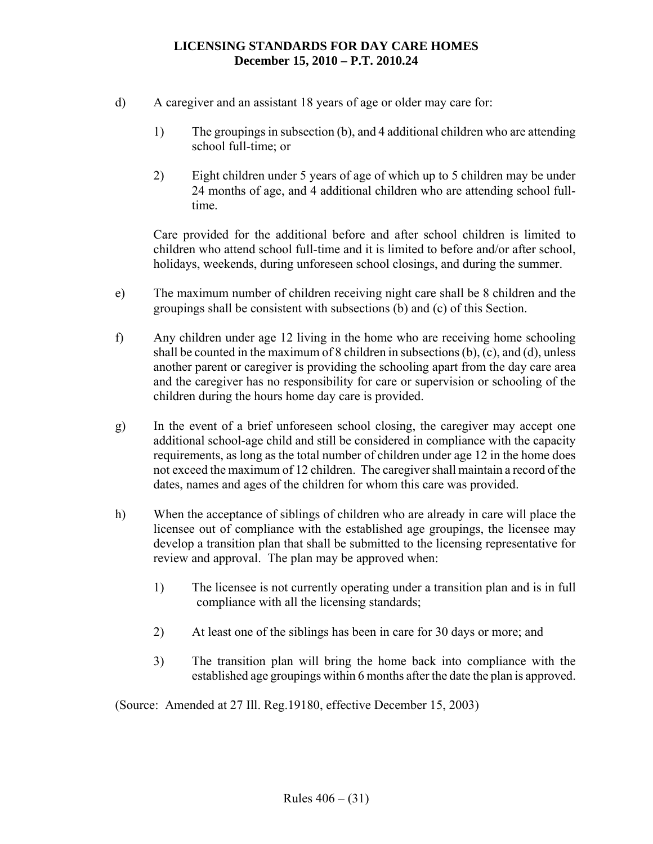- d) A caregiver and an assistant 18 years of age or older may care for:
	- 1) The groupings in subsection (b), and 4 additional children who are attending school full-time; or
	- 2) Eight children under 5 years of age of which up to 5 children may be under 24 months of age, and 4 additional children who are attending school fulltime.

Care provided for the additional before and after school children is limited to children who attend school full-time and it is limited to before and/or after school, holidays, weekends, during unforeseen school closings, and during the summer.

- e) The maximum number of children receiving night care shall be 8 children and the groupings shall be consistent with subsections (b) and (c) of this Section.
- f) Any children under age 12 living in the home who are receiving home schooling shall be counted in the maximum of 8 children in subsections (b), (c), and (d), unless another parent or caregiver is providing the schooling apart from the day care area and the caregiver has no responsibility for care or supervision or schooling of the children during the hours home day care is provided.
- g) In the event of a brief unforeseen school closing, the caregiver may accept one additional school-age child and still be considered in compliance with the capacity requirements, as long as the total number of children under age 12 in the home does not exceed the maximum of 12 children. The caregiver shall maintain a record of the dates, names and ages of the children for whom this care was provided.
- h) When the acceptance of siblings of children who are already in care will place the licensee out of compliance with the established age groupings, the licensee may develop a transition plan that shall be submitted to the licensing representative for review and approval. The plan may be approved when:
	- 1) The licensee is not currently operating under a transition plan and is in full compliance with all the licensing standards;
	- 2) At least one of the siblings has been in care for 30 days or more; and
	- 3) The transition plan will bring the home back into compliance with the established age groupings within 6 months after the date the plan is approved.

(Source: Amended at 27 Ill. Reg.19180, effective December 15, 2003)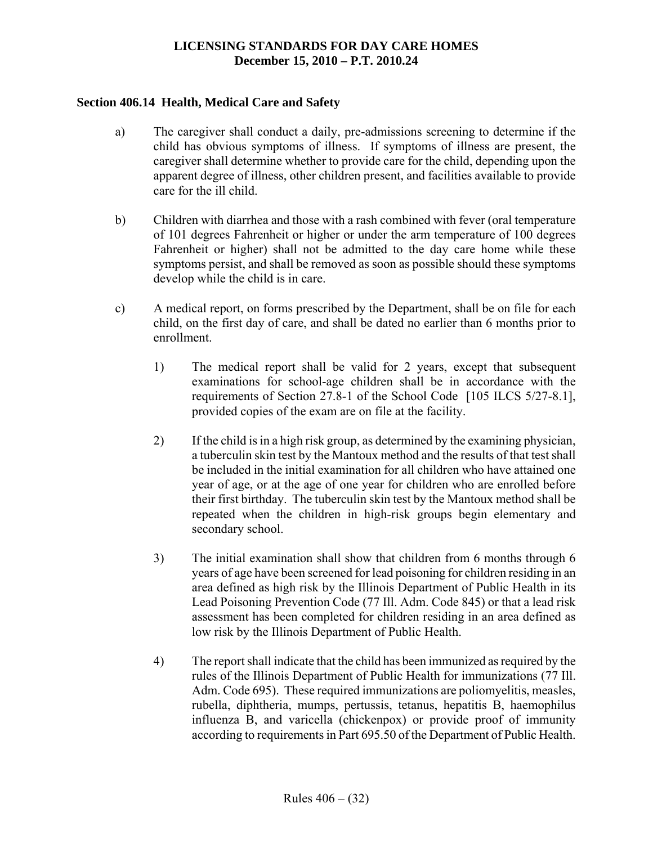# **Section 406.14 Health, Medical Care and Safety**

- a) The caregiver shall conduct a daily, pre-admissions screening to determine if the child has obvious symptoms of illness. If symptoms of illness are present, the caregiver shall determine whether to provide care for the child, depending upon the apparent degree of illness, other children present, and facilities available to provide care for the ill child.
- b) Children with diarrhea and those with a rash combined with fever (oral temperature of 101 degrees Fahrenheit or higher or under the arm temperature of 100 degrees Fahrenheit or higher) shall not be admitted to the day care home while these symptoms persist, and shall be removed as soon as possible should these symptoms develop while the child is in care.
- c) A medical report, on forms prescribed by the Department, shall be on file for each child, on the first day of care, and shall be dated no earlier than 6 months prior to enrollment.
	- 1) The medical report shall be valid for 2 years, except that subsequent examinations for school-age children shall be in accordance with the requirements of Section 27.8-1 of the School Code [105 ILCS 5/27-8.1], provided copies of the exam are on file at the facility.
	- 2) If the child is in a high risk group, as determined by the examining physician, a tuberculin skin test by the Mantoux method and the results of that test shall be included in the initial examination for all children who have attained one year of age, or at the age of one year for children who are enrolled before their first birthday. The tuberculin skin test by the Mantoux method shall be repeated when the children in high-risk groups begin elementary and secondary school.
	- 3) The initial examination shall show that children from 6 months through 6 years of age have been screened for lead poisoning for children residing in an area defined as high risk by the Illinois Department of Public Health in its Lead Poisoning Prevention Code (77 Ill. Adm. Code 845) or that a lead risk assessment has been completed for children residing in an area defined as low risk by the Illinois Department of Public Health.
	- 4) The report shall indicate that the child has been immunized as required by the rules of the Illinois Department of Public Health for immunizations (77 Ill. Adm. Code 695). These required immunizations are poliomyelitis, measles, rubella, diphtheria, mumps, pertussis, tetanus, hepatitis B, haemophilus influenza B, and varicella (chickenpox) or provide proof of immunity according to requirements in Part 695.50 of the Department of Public Health.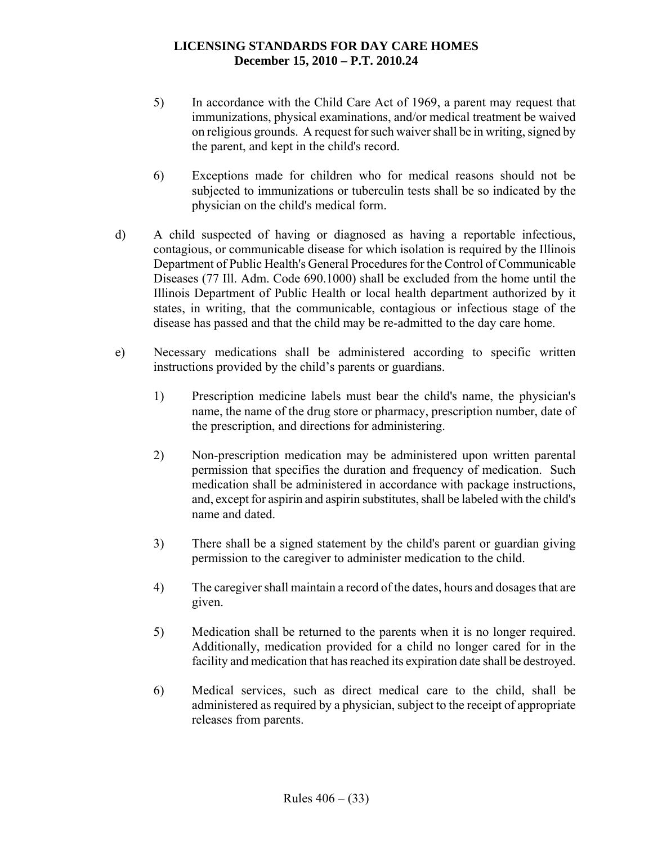- 5) In accordance with the Child Care Act of 1969, a parent may request that immunizations, physical examinations, and/or medical treatment be waived on religious grounds. A request for such waiver shall be in writing, signed by the parent, and kept in the child's record.
- 6) Exceptions made for children who for medical reasons should not be subjected to immunizations or tuberculin tests shall be so indicated by the physician on the child's medical form.
- d) A child suspected of having or diagnosed as having a reportable infectious, contagious, or communicable disease for which isolation is required by the Illinois Department of Public Health's General Procedures for the Control of Communicable Diseases (77 Ill. Adm. Code 690.1000) shall be excluded from the home until the Illinois Department of Public Health or local health department authorized by it states, in writing, that the communicable, contagious or infectious stage of the disease has passed and that the child may be re-admitted to the day care home.
- e) Necessary medications shall be administered according to specific written instructions provided by the child's parents or guardians.
	- 1) Prescription medicine labels must bear the child's name, the physician's name, the name of the drug store or pharmacy, prescription number, date of the prescription, and directions for administering.
	- 2) Non-prescription medication may be administered upon written parental permission that specifies the duration and frequency of medication. Such medication shall be administered in accordance with package instructions, and, except for aspirin and aspirin substitutes, shall be labeled with the child's name and dated.
	- 3) There shall be a signed statement by the child's parent or guardian giving permission to the caregiver to administer medication to the child.
	- 4) The caregiver shall maintain a record of the dates, hours and dosages that are given.
	- 5) Medication shall be returned to the parents when it is no longer required. Additionally, medication provided for a child no longer cared for in the facility and medication that has reached its expiration date shall be destroyed.
	- 6) Medical services, such as direct medical care to the child, shall be administered as required by a physician, subject to the receipt of appropriate releases from parents.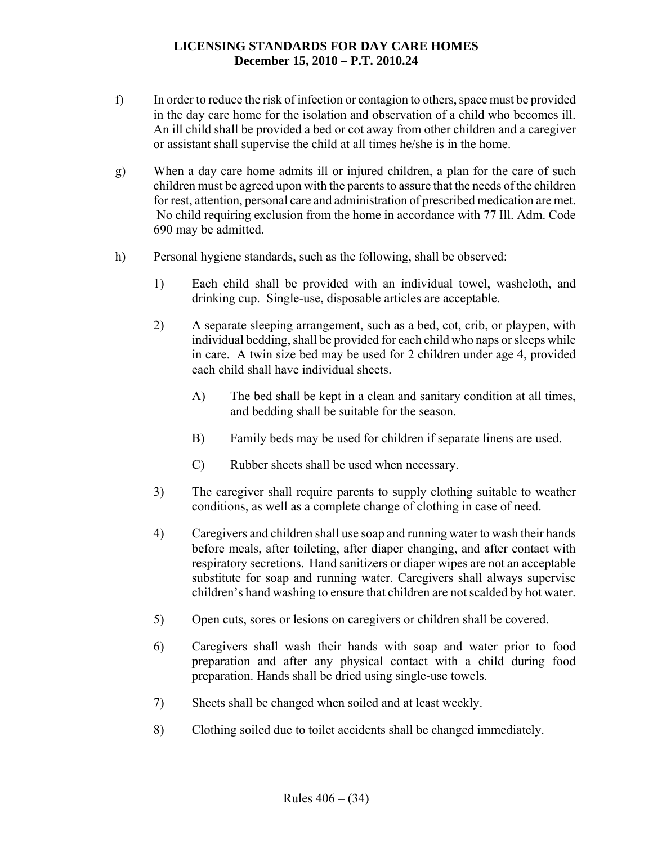- f) In order to reduce the risk of infection or contagion to others, space must be provided in the day care home for the isolation and observation of a child who becomes ill. An ill child shall be provided a bed or cot away from other children and a caregiver or assistant shall supervise the child at all times he/she is in the home.
- g) When a day care home admits ill or injured children, a plan for the care of such children must be agreed upon with the parents to assure that the needs of the children for rest, attention, personal care and administration of prescribed medication are met. No child requiring exclusion from the home in accordance with 77 Ill. Adm. Code 690 may be admitted.
- h) Personal hygiene standards, such as the following, shall be observed:
	- 1) Each child shall be provided with an individual towel, washcloth, and drinking cup. Single-use, disposable articles are acceptable.
	- 2) A separate sleeping arrangement, such as a bed, cot, crib, or playpen, with individual bedding, shall be provided for each child who naps or sleeps while in care. A twin size bed may be used for 2 children under age 4, provided each child shall have individual sheets.
		- A) The bed shall be kept in a clean and sanitary condition at all times, and bedding shall be suitable for the season.
		- B) Family beds may be used for children if separate linens are used.
		- C) Rubber sheets shall be used when necessary.
	- 3) The caregiver shall require parents to supply clothing suitable to weather conditions, as well as a complete change of clothing in case of need.
	- 4) Caregivers and children shall use soap and running water to wash their hands before meals, after toileting, after diaper changing, and after contact with respiratory secretions. Hand sanitizers or diaper wipes are not an acceptable substitute for soap and running water. Caregivers shall always supervise children's hand washing to ensure that children are not scalded by hot water.
	- 5) Open cuts, sores or lesions on caregivers or children shall be covered.
	- 6) Caregivers shall wash their hands with soap and water prior to food preparation and after any physical contact with a child during food preparation. Hands shall be dried using single-use towels.
	- 7) Sheets shall be changed when soiled and at least weekly.
	- 8) Clothing soiled due to toilet accidents shall be changed immediately.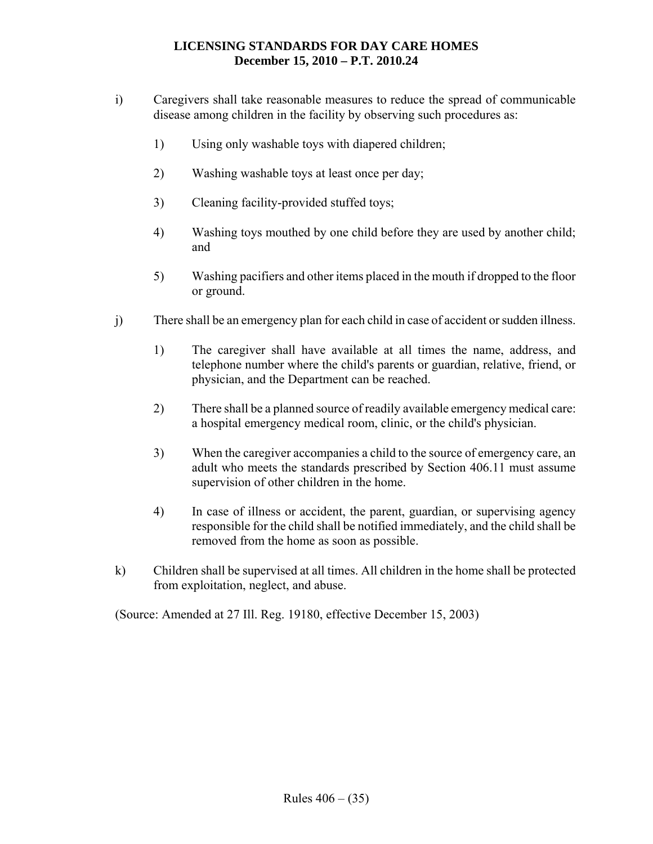- i) Caregivers shall take reasonable measures to reduce the spread of communicable disease among children in the facility by observing such procedures as:
	- 1) Using only washable toys with diapered children;
	- 2) Washing washable toys at least once per day;
	- 3) Cleaning facility-provided stuffed toys;
	- 4) Washing toys mouthed by one child before they are used by another child; and
	- 5) Washing pacifiers and other items placed in the mouth if dropped to the floor or ground.
- j) There shall be an emergency plan for each child in case of accident or sudden illness.
	- 1) The caregiver shall have available at all times the name, address, and telephone number where the child's parents or guardian, relative, friend, or physician, and the Department can be reached.
	- 2) There shall be a planned source of readily available emergency medical care: a hospital emergency medical room, clinic, or the child's physician.
	- 3) When the caregiver accompanies a child to the source of emergency care, an adult who meets the standards prescribed by Section 406.11 must assume supervision of other children in the home.
	- 4) In case of illness or accident, the parent, guardian, or supervising agency responsible for the child shall be notified immediately, and the child shall be removed from the home as soon as possible.
- k) Children shall be supervised at all times. All children in the home shall be protected from exploitation, neglect, and abuse.

(Source: Amended at 27 Ill. Reg. 19180, effective December 15, 2003)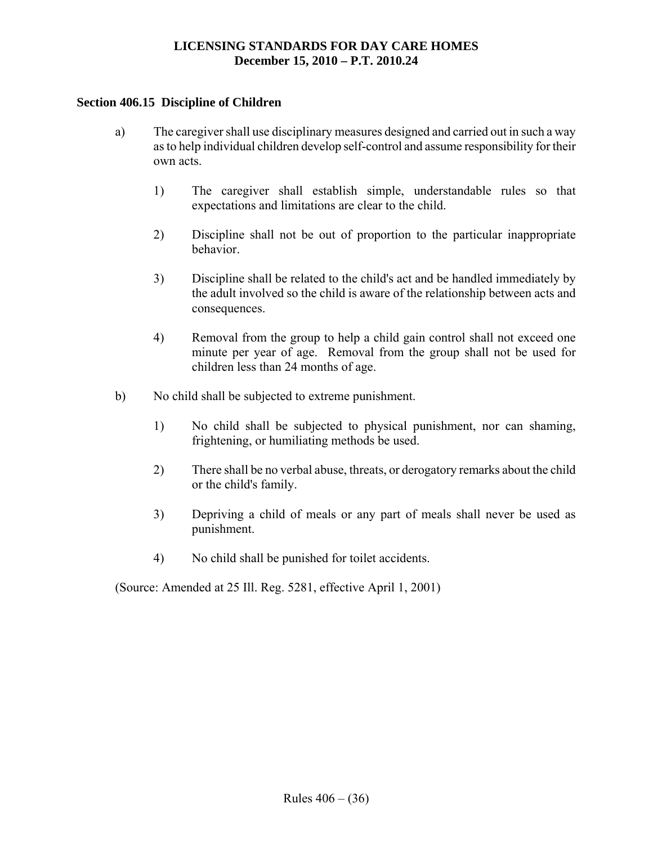# **Section 406.15 Discipline of Children**

- a) The caregiver shall use disciplinary measures designed and carried out in such a way as to help individual children develop self-control and assume responsibility for their own acts.
	- 1) The caregiver shall establish simple, understandable rules so that expectations and limitations are clear to the child.
	- 2) Discipline shall not be out of proportion to the particular inappropriate behavior.
	- 3) Discipline shall be related to the child's act and be handled immediately by the adult involved so the child is aware of the relationship between acts and consequences.
	- 4) Removal from the group to help a child gain control shall not exceed one minute per year of age. Removal from the group shall not be used for children less than 24 months of age.
- b) No child shall be subjected to extreme punishment.
	- 1) No child shall be subjected to physical punishment, nor can shaming, frightening, or humiliating methods be used.
	- 2) There shall be no verbal abuse, threats, or derogatory remarks about the child or the child's family.
	- 3) Depriving a child of meals or any part of meals shall never be used as punishment.
	- 4) No child shall be punished for toilet accidents.

(Source: Amended at 25 Ill. Reg. 5281, effective April 1, 2001)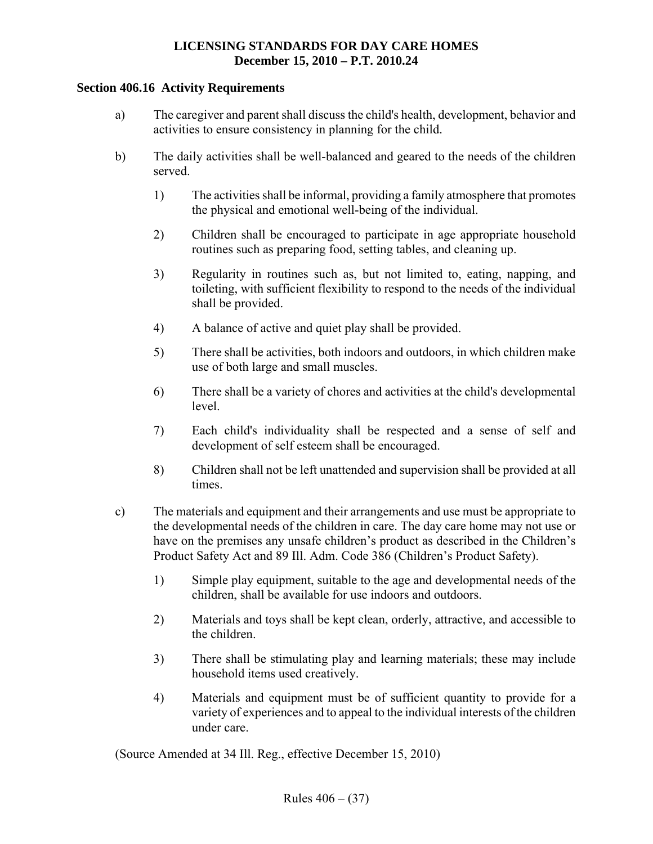### **Section 406.16 Activity Requirements**

- a) The caregiver and parent shall discuss the child's health, development, behavior and activities to ensure consistency in planning for the child.
- b) The daily activities shall be well-balanced and geared to the needs of the children served.
	- 1) The activities shall be informal, providing a family atmosphere that promotes the physical and emotional well-being of the individual.
	- 2) Children shall be encouraged to participate in age appropriate household routines such as preparing food, setting tables, and cleaning up.
	- 3) Regularity in routines such as, but not limited to, eating, napping, and toileting, with sufficient flexibility to respond to the needs of the individual shall be provided.
	- 4) A balance of active and quiet play shall be provided.
	- 5) There shall be activities, both indoors and outdoors, in which children make use of both large and small muscles.
	- 6) There shall be a variety of chores and activities at the child's developmental level.
	- 7) Each child's individuality shall be respected and a sense of self and development of self esteem shall be encouraged.
	- 8) Children shall not be left unattended and supervision shall be provided at all times.
- c) The materials and equipment and their arrangements and use must be appropriate to the developmental needs of the children in care. The day care home may not use or have on the premises any unsafe children's product as described in the Children's Product Safety Act and 89 Ill. Adm. Code 386 (Children's Product Safety).
	- 1) Simple play equipment, suitable to the age and developmental needs of the children, shall be available for use indoors and outdoors.
	- 2) Materials and toys shall be kept clean, orderly, attractive, and accessible to the children.
	- 3) There shall be stimulating play and learning materials; these may include household items used creatively.
	- 4) Materials and equipment must be of sufficient quantity to provide for a variety of experiences and to appeal to the individual interests of the children under care.

(Source Amended at 34 Ill. Reg., effective December 15, 2010)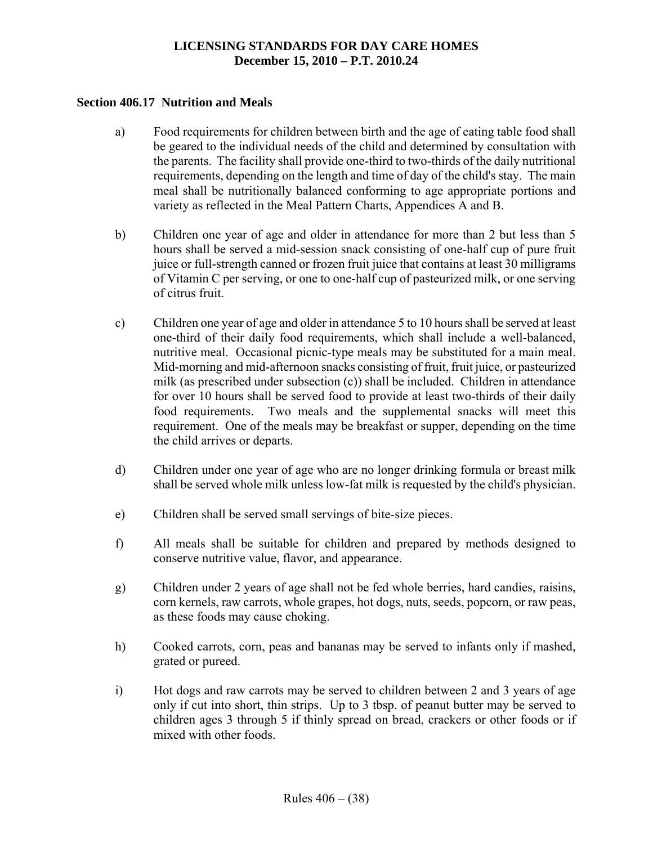### **Section 406.17 Nutrition and Meals**

- a) Food requirements for children between birth and the age of eating table food shall be geared to the individual needs of the child and determined by consultation with the parents. The facility shall provide one-third to two-thirds of the daily nutritional requirements, depending on the length and time of day of the child's stay. The main meal shall be nutritionally balanced conforming to age appropriate portions and variety as reflected in the Meal Pattern Charts, Appendices A and B.
- b) Children one year of age and older in attendance for more than 2 but less than 5 hours shall be served a mid-session snack consisting of one-half cup of pure fruit juice or full-strength canned or frozen fruit juice that contains at least 30 milligrams of Vitamin C per serving, or one to one-half cup of pasteurized milk, or one serving of citrus fruit.
- c) Children one year of age and older in attendance 5 to 10 hours shall be served at least one-third of their daily food requirements, which shall include a well-balanced, nutritive meal. Occasional picnic-type meals may be substituted for a main meal. Mid-morning and mid-afternoon snacks consisting of fruit, fruit juice, or pasteurized milk (as prescribed under subsection (c)) shall be included. Children in attendance for over 10 hours shall be served food to provide at least two-thirds of their daily food requirements. Two meals and the supplemental snacks will meet this requirement. One of the meals may be breakfast or supper, depending on the time the child arrives or departs.
- d) Children under one year of age who are no longer drinking formula or breast milk shall be served whole milk unless low-fat milk is requested by the child's physician.
- e) Children shall be served small servings of bite-size pieces.
- f) All meals shall be suitable for children and prepared by methods designed to conserve nutritive value, flavor, and appearance.
- g) Children under 2 years of age shall not be fed whole berries, hard candies, raisins, corn kernels, raw carrots, whole grapes, hot dogs, nuts, seeds, popcorn, or raw peas, as these foods may cause choking.
- h) Cooked carrots, corn, peas and bananas may be served to infants only if mashed, grated or pureed.
- i) Hot dogs and raw carrots may be served to children between 2 and 3 years of age only if cut into short, thin strips. Up to 3 tbsp. of peanut butter may be served to children ages 3 through 5 if thinly spread on bread, crackers or other foods or if mixed with other foods.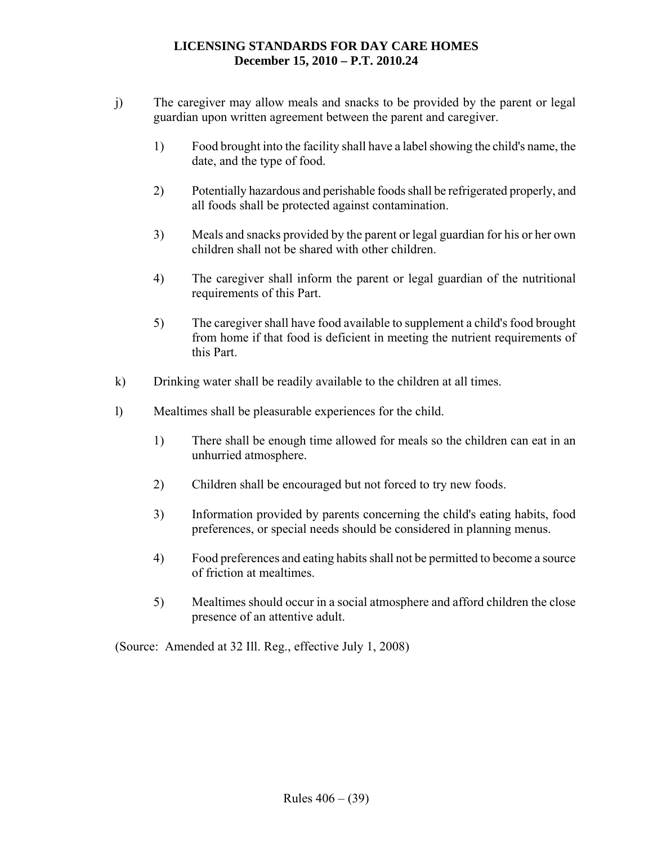- j) The caregiver may allow meals and snacks to be provided by the parent or legal guardian upon written agreement between the parent and caregiver.
	- 1) Food brought into the facility shall have a label showing the child's name, the date, and the type of food.
	- 2) Potentially hazardous and perishable foods shall be refrigerated properly, and all foods shall be protected against contamination.
	- 3) Meals and snacks provided by the parent or legal guardian for his or her own children shall not be shared with other children.
	- 4) The caregiver shall inform the parent or legal guardian of the nutritional requirements of this Part.
	- 5) The caregiver shall have food available to supplement a child's food brought from home if that food is deficient in meeting the nutrient requirements of this Part.
- k) Drinking water shall be readily available to the children at all times.
- l) Mealtimes shall be pleasurable experiences for the child.
	- 1) There shall be enough time allowed for meals so the children can eat in an unhurried atmosphere.
	- 2) Children shall be encouraged but not forced to try new foods.
	- 3) Information provided by parents concerning the child's eating habits, food preferences, or special needs should be considered in planning menus.
	- 4) Food preferences and eating habits shall not be permitted to become a source of friction at mealtimes.
	- 5) Mealtimes should occur in a social atmosphere and afford children the close presence of an attentive adult.

(Source: Amended at 32 Ill. Reg., effective July 1, 2008)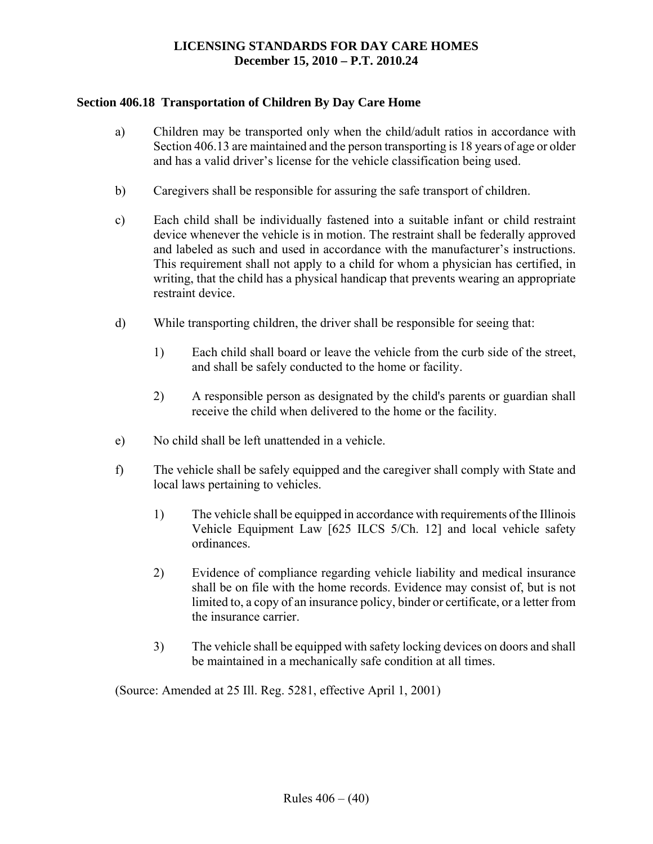# **Section 406.18 Transportation of Children By Day Care Home**

- a) Children may be transported only when the child/adult ratios in accordance with Section 406.13 are maintained and the person transporting is 18 years of age or older and has a valid driver's license for the vehicle classification being used.
- b) Caregivers shall be responsible for assuring the safe transport of children.
- c) Each child shall be individually fastened into a suitable infant or child restraint device whenever the vehicle is in motion. The restraint shall be federally approved and labeled as such and used in accordance with the manufacturer's instructions. This requirement shall not apply to a child for whom a physician has certified, in writing, that the child has a physical handicap that prevents wearing an appropriate restraint device.
- d) While transporting children, the driver shall be responsible for seeing that:
	- 1) Each child shall board or leave the vehicle from the curb side of the street, and shall be safely conducted to the home or facility.
	- 2) A responsible person as designated by the child's parents or guardian shall receive the child when delivered to the home or the facility.
- e) No child shall be left unattended in a vehicle.
- f) The vehicle shall be safely equipped and the caregiver shall comply with State and local laws pertaining to vehicles.
	- 1) The vehicle shall be equipped in accordance with requirements of the Illinois Vehicle Equipment Law [625 ILCS 5/Ch. 12] and local vehicle safety ordinances.
	- 2) Evidence of compliance regarding vehicle liability and medical insurance shall be on file with the home records. Evidence may consist of, but is not limited to, a copy of an insurance policy, binder or certificate, or a letter from the insurance carrier.
	- 3) The vehicle shall be equipped with safety locking devices on doors and shall be maintained in a mechanically safe condition at all times.

(Source: Amended at 25 Ill. Reg. 5281, effective April 1, 2001)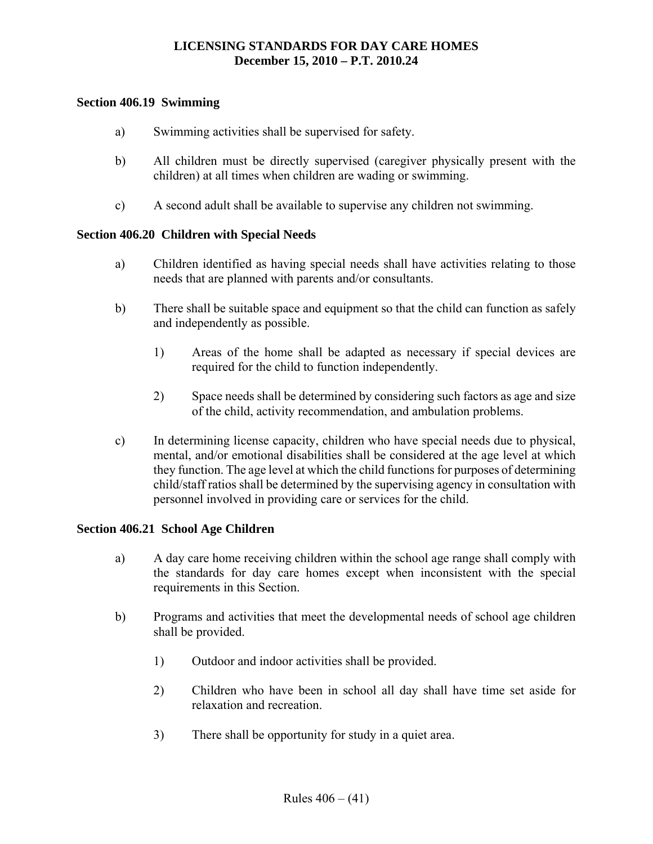#### **Section 406.19 Swimming**

- a) Swimming activities shall be supervised for safety.
- b) All children must be directly supervised (caregiver physically present with the children) at all times when children are wading or swimming.
- c) A second adult shall be available to supervise any children not swimming.

### **Section 406.20 Children with Special Needs**

- a) Children identified as having special needs shall have activities relating to those needs that are planned with parents and/or consultants.
- b) There shall be suitable space and equipment so that the child can function as safely and independently as possible.
	- 1) Areas of the home shall be adapted as necessary if special devices are required for the child to function independently.
	- 2) Space needs shall be determined by considering such factors as age and size of the child, activity recommendation, and ambulation problems.
- c) In determining license capacity, children who have special needs due to physical, mental, and/or emotional disabilities shall be considered at the age level at which they function. The age level at which the child functions for purposes of determining child/staff ratios shall be determined by the supervising agency in consultation with personnel involved in providing care or services for the child.

#### **Section 406.21 School Age Children**

- a) A day care home receiving children within the school age range shall comply with the standards for day care homes except when inconsistent with the special requirements in this Section.
- b) Programs and activities that meet the developmental needs of school age children shall be provided.
	- 1) Outdoor and indoor activities shall be provided.
	- 2) Children who have been in school all day shall have time set aside for relaxation and recreation.
	- 3) There shall be opportunity for study in a quiet area.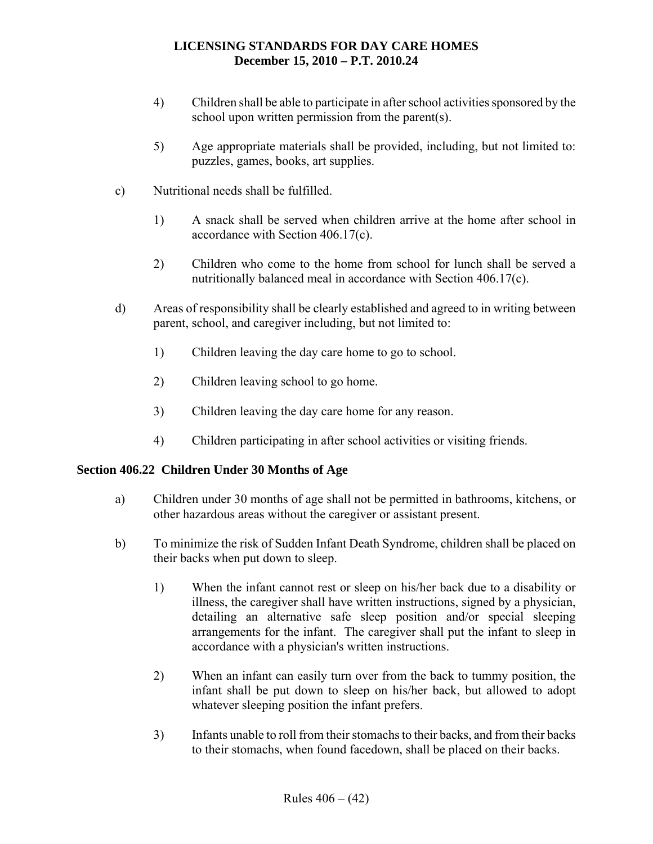- 4) Children shall be able to participate in after school activities sponsored by the school upon written permission from the parent(s).
- 5) Age appropriate materials shall be provided, including, but not limited to: puzzles, games, books, art supplies.
- c) Nutritional needs shall be fulfilled.
	- 1) A snack shall be served when children arrive at the home after school in accordance with Section 406.17(c).
	- 2) Children who come to the home from school for lunch shall be served a nutritionally balanced meal in accordance with Section 406.17(c).
- d) Areas of responsibility shall be clearly established and agreed to in writing between parent, school, and caregiver including, but not limited to:
	- 1) Children leaving the day care home to go to school.
	- 2) Children leaving school to go home.
	- 3) Children leaving the day care home for any reason.
	- 4) Children participating in after school activities or visiting friends.

#### **Section 406.22 Children Under 30 Months of Age**

- a) Children under 30 months of age shall not be permitted in bathrooms, kitchens, or other hazardous areas without the caregiver or assistant present.
- b) To minimize the risk of Sudden Infant Death Syndrome, children shall be placed on their backs when put down to sleep.
	- 1) When the infant cannot rest or sleep on his/her back due to a disability or illness, the caregiver shall have written instructions, signed by a physician, detailing an alternative safe sleep position and/or special sleeping arrangements for the infant. The caregiver shall put the infant to sleep in accordance with a physician's written instructions.
	- 2) When an infant can easily turn over from the back to tummy position, the infant shall be put down to sleep on his/her back, but allowed to adopt whatever sleeping position the infant prefers.
	- 3) Infants unable to roll from their stomachs to their backs, and from their backs to their stomachs, when found facedown, shall be placed on their backs.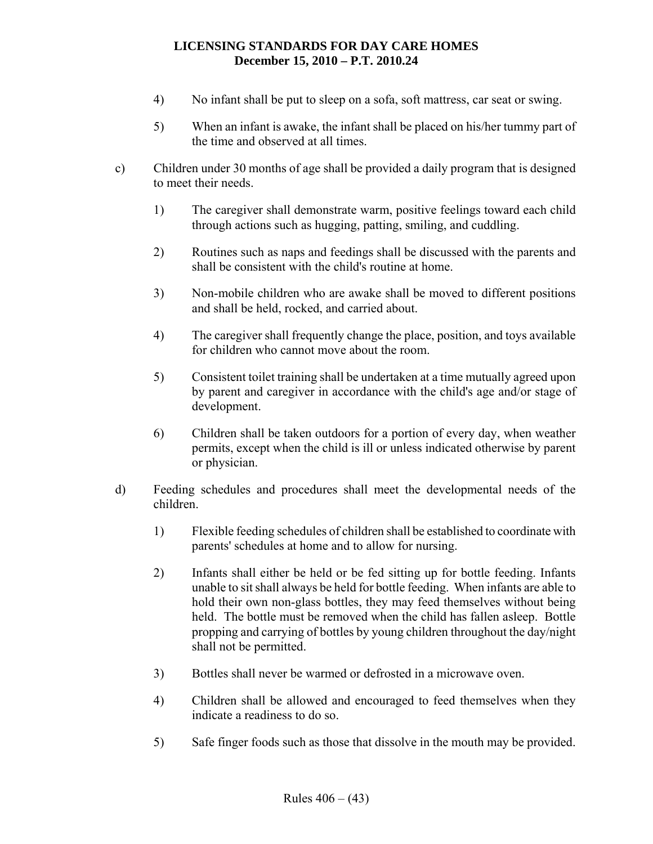- 4) No infant shall be put to sleep on a sofa, soft mattress, car seat or swing.
- 5) When an infant is awake, the infant shall be placed on his/her tummy part of the time and observed at all times.
- c) Children under 30 months of age shall be provided a daily program that is designed to meet their needs.
	- 1) The caregiver shall demonstrate warm, positive feelings toward each child through actions such as hugging, patting, smiling, and cuddling.
	- 2) Routines such as naps and feedings shall be discussed with the parents and shall be consistent with the child's routine at home.
	- 3) Non-mobile children who are awake shall be moved to different positions and shall be held, rocked, and carried about.
	- 4) The caregiver shall frequently change the place, position, and toys available for children who cannot move about the room.
	- 5) Consistent toilet training shall be undertaken at a time mutually agreed upon by parent and caregiver in accordance with the child's age and/or stage of development.
	- 6) Children shall be taken outdoors for a portion of every day, when weather permits, except when the child is ill or unless indicated otherwise by parent or physician.
- d) Feeding schedules and procedures shall meet the developmental needs of the children.
	- 1) Flexible feeding schedules of children shall be established to coordinate with parents' schedules at home and to allow for nursing.
	- 2) Infants shall either be held or be fed sitting up for bottle feeding. Infants unable to sit shall always be held for bottle feeding. When infants are able to hold their own non-glass bottles, they may feed themselves without being held. The bottle must be removed when the child has fallen asleep. Bottle propping and carrying of bottles by young children throughout the day/night shall not be permitted.
	- 3) Bottles shall never be warmed or defrosted in a microwave oven.
	- 4) Children shall be allowed and encouraged to feed themselves when they indicate a readiness to do so.
	- 5) Safe finger foods such as those that dissolve in the mouth may be provided.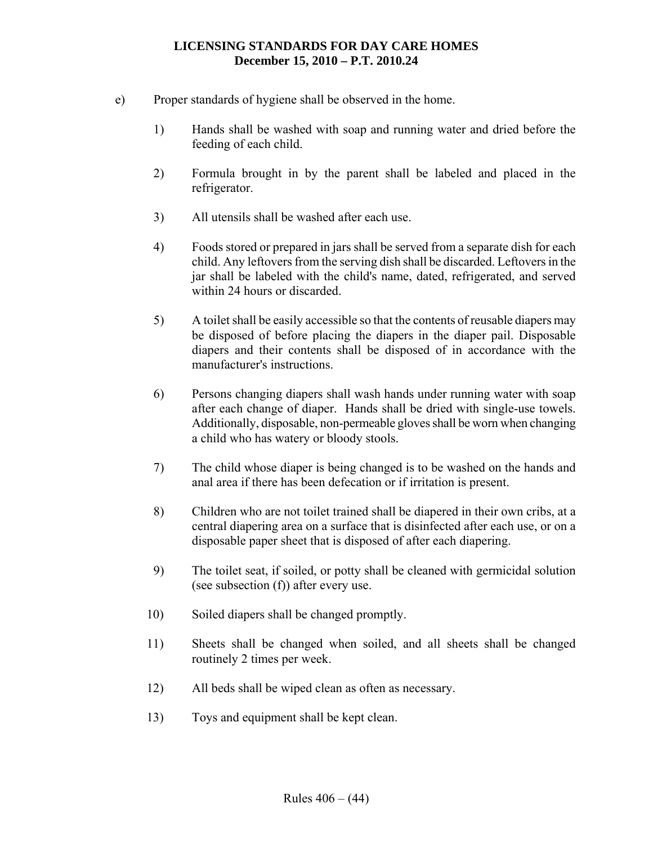- e) Proper standards of hygiene shall be observed in the home.
	- 1) Hands shall be washed with soap and running water and dried before the feeding of each child.
	- 2) Formula brought in by the parent shall be labeled and placed in the refrigerator.
	- 3) All utensils shall be washed after each use.
	- 4) Foods stored or prepared in jars shall be served from a separate dish for each child. Any leftovers from the serving dish shall be discarded. Leftovers in the jar shall be labeled with the child's name, dated, refrigerated, and served within 24 hours or discarded.
	- 5) A toilet shall be easily accessible so that the contents of reusable diapers may be disposed of before placing the diapers in the diaper pail. Disposable diapers and their contents shall be disposed of in accordance with the manufacturer's instructions.
	- 6) Persons changing diapers shall wash hands under running water with soap after each change of diaper. Hands shall be dried with single-use towels. Additionally, disposable, non-permeable gloves shall be worn when changing a child who has watery or bloody stools.
	- 7) The child whose diaper is being changed is to be washed on the hands and anal area if there has been defecation or if irritation is present.
	- 8) Children who are not toilet trained shall be diapered in their own cribs, at a central diapering area on a surface that is disinfected after each use, or on a disposable paper sheet that is disposed of after each diapering.
	- 9) The toilet seat, if soiled, or potty shall be cleaned with germicidal solution (see subsection (f)) after every use.
	- 10) Soiled diapers shall be changed promptly.
	- 11) Sheets shall be changed when soiled, and all sheets shall be changed routinely 2 times per week.
	- 12) All beds shall be wiped clean as often as necessary.
	- 13) Toys and equipment shall be kept clean.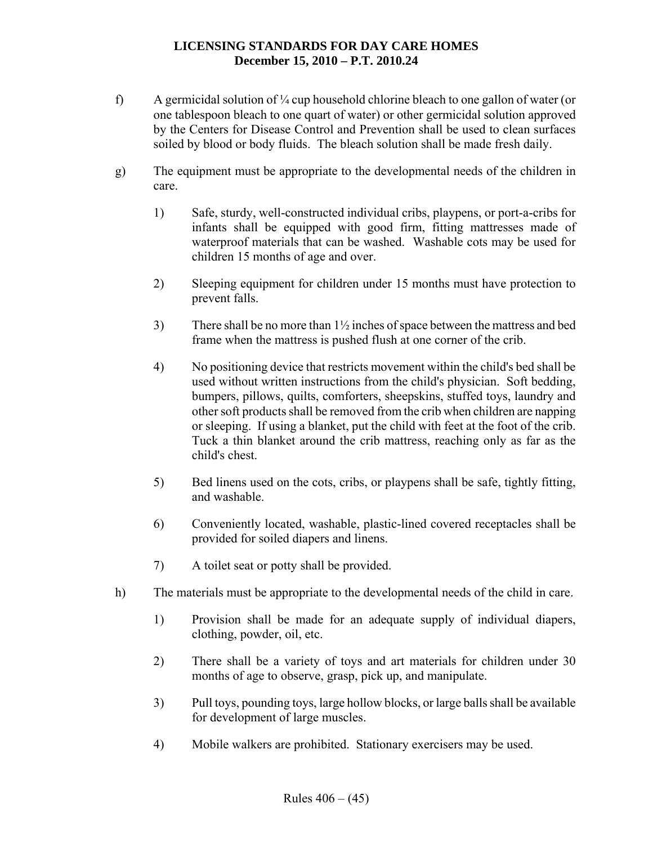- f) A germicidal solution of ¼ cup household chlorine bleach to one gallon of water (or one tablespoon bleach to one quart of water) or other germicidal solution approved by the Centers for Disease Control and Prevention shall be used to clean surfaces soiled by blood or body fluids. The bleach solution shall be made fresh daily.
- g) The equipment must be appropriate to the developmental needs of the children in care.
	- 1) Safe, sturdy, well-constructed individual cribs, playpens, or port-a-cribs for infants shall be equipped with good firm, fitting mattresses made of waterproof materials that can be washed. Washable cots may be used for children 15 months of age and over.
	- 2) Sleeping equipment for children under 15 months must have protection to prevent falls.
	- 3) There shall be no more than 1½ inches of space between the mattress and bed frame when the mattress is pushed flush at one corner of the crib.
	- 4) No positioning device that restricts movement within the child's bed shall be used without written instructions from the child's physician. Soft bedding, bumpers, pillows, quilts, comforters, sheepskins, stuffed toys, laundry and other soft products shall be removed from the crib when children are napping or sleeping. If using a blanket, put the child with feet at the foot of the crib. Tuck a thin blanket around the crib mattress, reaching only as far as the child's chest.
	- 5) Bed linens used on the cots, cribs, or playpens shall be safe, tightly fitting, and washable.
	- 6) Conveniently located, washable, plastic-lined covered receptacles shall be provided for soiled diapers and linens.
	- 7) A toilet seat or potty shall be provided.
- h) The materials must be appropriate to the developmental needs of the child in care.
	- 1) Provision shall be made for an adequate supply of individual diapers, clothing, powder, oil, etc.
	- 2) There shall be a variety of toys and art materials for children under 30 months of age to observe, grasp, pick up, and manipulate.
	- 3) Pull toys, pounding toys, large hollow blocks, or large balls shall be available for development of large muscles.
	- 4) Mobile walkers are prohibited. Stationary exercisers may be used.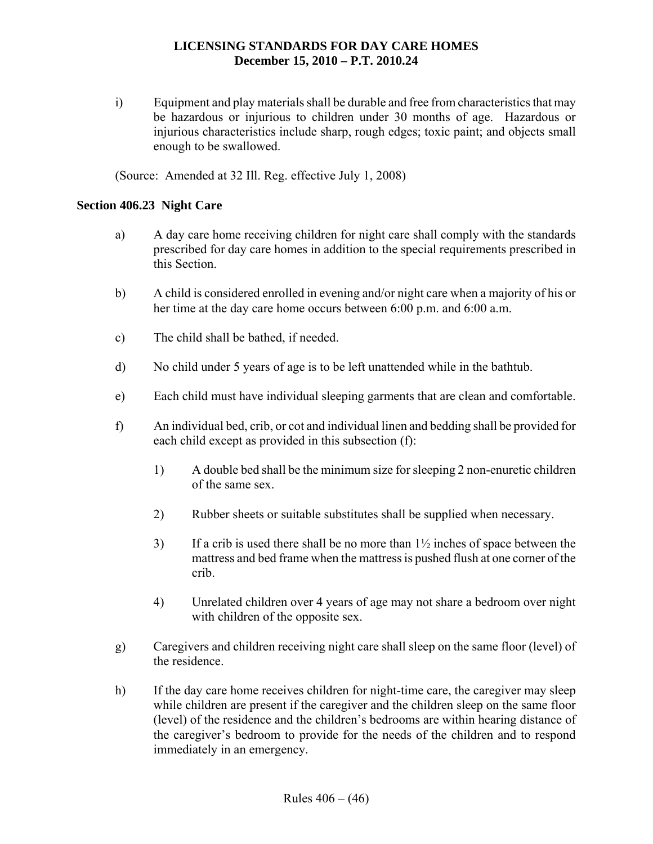i) Equipment and play materials shall be durable and free from characteristics that may be hazardous or injurious to children under 30 months of age. Hazardous or injurious characteristics include sharp, rough edges; toxic paint; and objects small enough to be swallowed.

(Source: Amended at 32 Ill. Reg. effective July 1, 2008)

### **Section 406.23 Night Care**

- a) A day care home receiving children for night care shall comply with the standards prescribed for day care homes in addition to the special requirements prescribed in this Section.
- b) A child is considered enrolled in evening and/or night care when a majority of his or her time at the day care home occurs between 6:00 p.m. and 6:00 a.m.
- c) The child shall be bathed, if needed.
- d) No child under 5 years of age is to be left unattended while in the bathtub.
- e) Each child must have individual sleeping garments that are clean and comfortable.
- f) An individual bed, crib, or cot and individual linen and bedding shall be provided for each child except as provided in this subsection (f):
	- 1) A double bed shall be the minimum size for sleeping 2 non-enuretic children of the same sex.
	- 2) Rubber sheets or suitable substitutes shall be supplied when necessary.
	- 3) If a crib is used there shall be no more than 1½ inches of space between the mattress and bed frame when the mattress is pushed flush at one corner of the crib.
	- 4) Unrelated children over 4 years of age may not share a bedroom over night with children of the opposite sex.
- g) Caregivers and children receiving night care shall sleep on the same floor (level) of the residence.
- h) If the day care home receives children for night-time care, the caregiver may sleep while children are present if the caregiver and the children sleep on the same floor (level) of the residence and the children's bedrooms are within hearing distance of the caregiver's bedroom to provide for the needs of the children and to respond immediately in an emergency.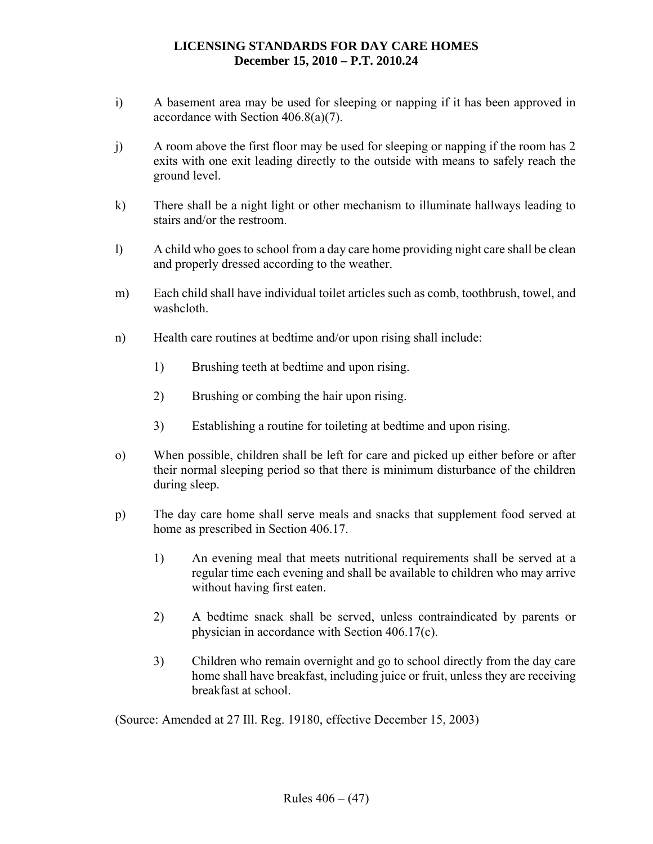- i) A basement area may be used for sleeping or napping if it has been approved in accordance with Section 406.8(a)(7).
- j) A room above the first floor may be used for sleeping or napping if the room has 2 exits with one exit leading directly to the outside with means to safely reach the ground level.
- k) There shall be a night light or other mechanism to illuminate hallways leading to stairs and/or the restroom.
- l) A child who goes to school from a day care home providing night care shall be clean and properly dressed according to the weather.
- m) Each child shall have individual toilet articles such as comb, toothbrush, towel, and washcloth.
- n) Health care routines at bedtime and/or upon rising shall include:
	- 1) Brushing teeth at bedtime and upon rising.
	- 2) Brushing or combing the hair upon rising.
	- 3) Establishing a routine for toileting at bedtime and upon rising.
- o) When possible, children shall be left for care and picked up either before or after their normal sleeping period so that there is minimum disturbance of the children during sleep.
- p) The day care home shall serve meals and snacks that supplement food served at home as prescribed in Section 406.17.
	- 1) An evening meal that meets nutritional requirements shall be served at a regular time each evening and shall be available to children who may arrive without having first eaten.
	- 2) A bedtime snack shall be served, unless contraindicated by parents or physician in accordance with Section 406.17(c).
	- 3) Children who remain overnight and go to school directly from the day care home shall have breakfast, including juice or fruit, unless they are receiving breakfast at school.

(Source: Amended at 27 Ill. Reg. 19180, effective December 15, 2003)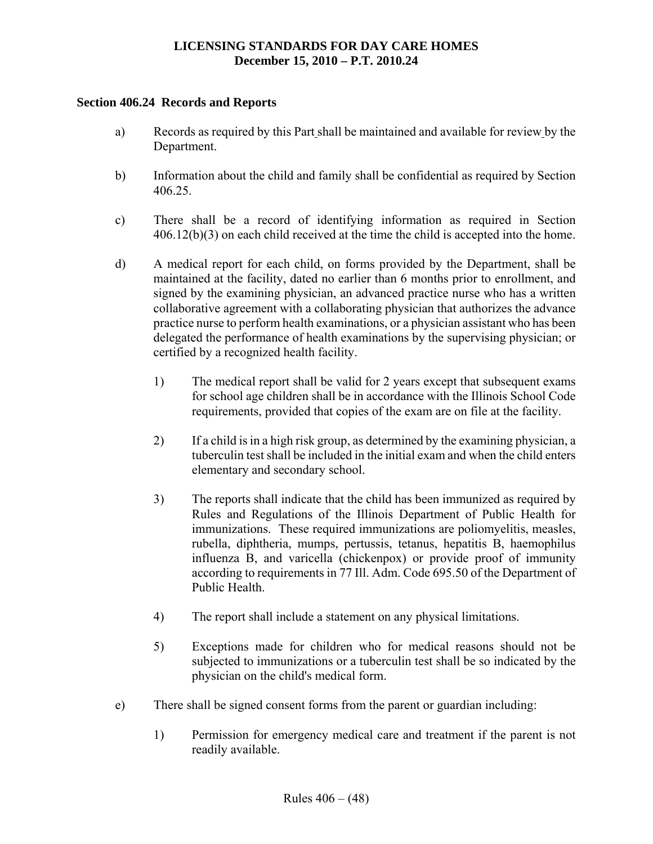#### **Section 406.24 Records and Reports**

- a) Records as required by this Part shall be maintained and available for review by the Department.
- b) Information about the child and family shall be confidential as required by Section 406.25.
- c) There shall be a record of identifying information as required in Section 406.12(b)(3) on each child received at the time the child is accepted into the home.
- d) A medical report for each child, on forms provided by the Department, shall be maintained at the facility, dated no earlier than 6 months prior to enrollment, and signed by the examining physician, an advanced practice nurse who has a written collaborative agreement with a collaborating physician that authorizes the advance practice nurse to perform health examinations, or a physician assistant who has been delegated the performance of health examinations by the supervising physician; or certified by a recognized health facility.
	- 1) The medical report shall be valid for 2 years except that subsequent exams for school age children shall be in accordance with the Illinois School Code requirements, provided that copies of the exam are on file at the facility.
	- 2) If a child is in a high risk group, as determined by the examining physician, a tuberculin test shall be included in the initial exam and when the child enters elementary and secondary school.
	- 3) The reports shall indicate that the child has been immunized as required by Rules and Regulations of the Illinois Department of Public Health for immunizations. These required immunizations are poliomyelitis, measles, rubella, diphtheria, mumps, pertussis, tetanus, hepatitis B, haemophilus influenza B, and varicella (chickenpox) or provide proof of immunity according to requirements in 77 Ill. Adm. Code 695.50 of the Department of Public Health.
	- 4) The report shall include a statement on any physical limitations.
	- 5) Exceptions made for children who for medical reasons should not be subjected to immunizations or a tuberculin test shall be so indicated by the physician on the child's medical form.
- e) There shall be signed consent forms from the parent or guardian including:
	- 1) Permission for emergency medical care and treatment if the parent is not readily available.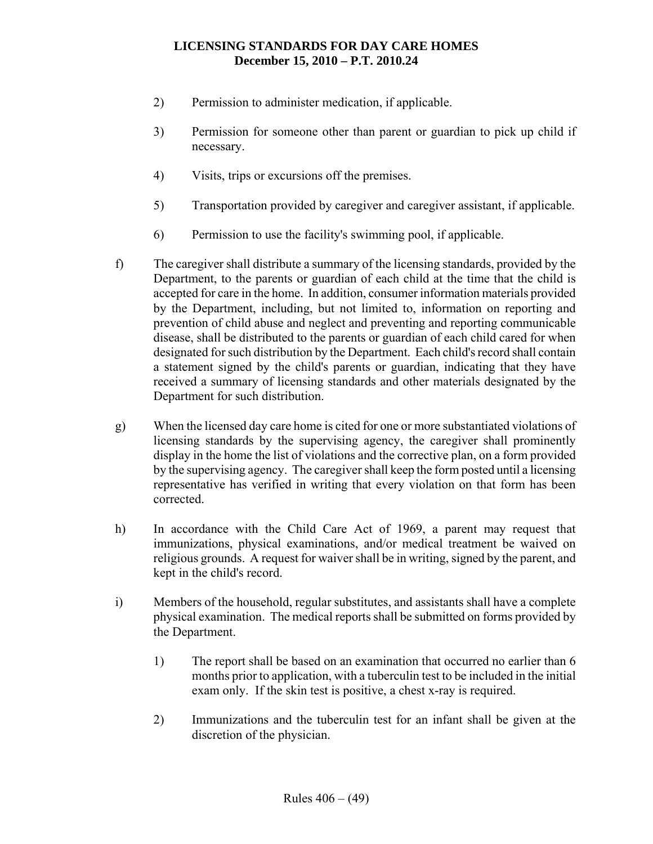- 2) Permission to administer medication, if applicable.
- 3) Permission for someone other than parent or guardian to pick up child if necessary.
- 4) Visits, trips or excursions off the premises.
- 5) Transportation provided by caregiver and caregiver assistant, if applicable.
- 6) Permission to use the facility's swimming pool, if applicable.
- f) The caregiver shall distribute a summary of the licensing standards, provided by the Department, to the parents or guardian of each child at the time that the child is accepted for care in the home. In addition, consumer information materials provided by the Department, including, but not limited to, information on reporting and prevention of child abuse and neglect and preventing and reporting communicable disease, shall be distributed to the parents or guardian of each child cared for when designated for such distribution by the Department. Each child's record shall contain a statement signed by the child's parents or guardian, indicating that they have received a summary of licensing standards and other materials designated by the Department for such distribution.
- g) When the licensed day care home is cited for one or more substantiated violations of licensing standards by the supervising agency, the caregiver shall prominently display in the home the list of violations and the corrective plan, on a form provided by the supervising agency. The caregiver shall keep the form posted until a licensing representative has verified in writing that every violation on that form has been corrected.
- h) In accordance with the Child Care Act of 1969, a parent may request that immunizations, physical examinations, and/or medical treatment be waived on religious grounds. A request for waiver shall be in writing, signed by the parent, and kept in the child's record.
- i) Members of the household, regular substitutes, and assistants shall have a complete physical examination. The medical reports shall be submitted on forms provided by the Department.
	- 1) The report shall be based on an examination that occurred no earlier than 6 months prior to application, with a tuberculin test to be included in the initial exam only. If the skin test is positive, a chest x-ray is required.
	- 2) Immunizations and the tuberculin test for an infant shall be given at the discretion of the physician.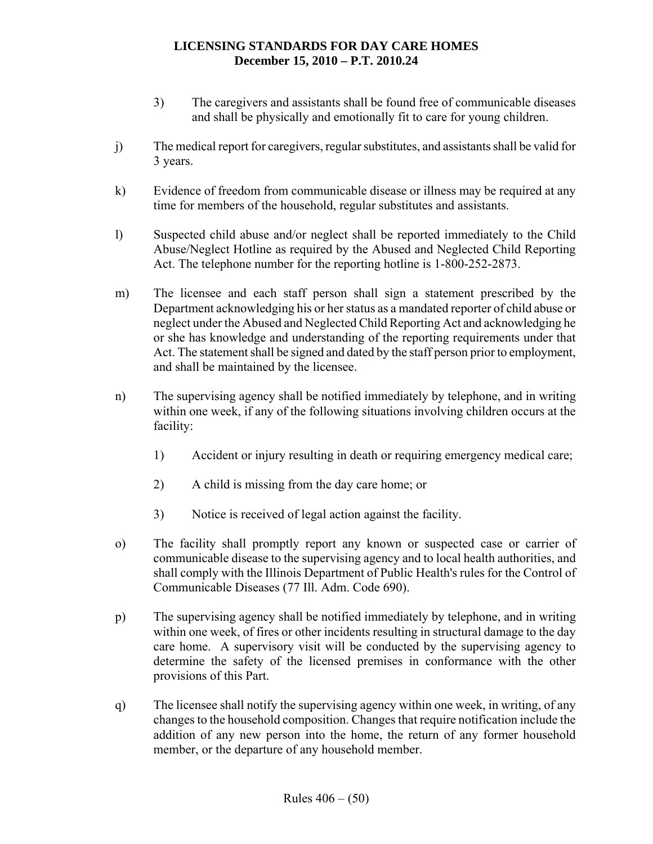- 3) The caregivers and assistants shall be found free of communicable diseases and shall be physically and emotionally fit to care for young children.
- j) The medical report for caregivers, regular substitutes, and assistants shall be valid for 3 years.
- k) Evidence of freedom from communicable disease or illness may be required at any time for members of the household, regular substitutes and assistants.
- l) Suspected child abuse and/or neglect shall be reported immediately to the Child Abuse/Neglect Hotline as required by the Abused and Neglected Child Reporting Act. The telephone number for the reporting hotline is 1-800-252-2873.
- m) The licensee and each staff person shall sign a statement prescribed by the Department acknowledging his or her status as a mandated reporter of child abuse or neglect under the Abused and Neglected Child Reporting Act and acknowledging he or she has knowledge and understanding of the reporting requirements under that Act. The statement shall be signed and dated by the staff person prior to employment, and shall be maintained by the licensee.
- n) The supervising agency shall be notified immediately by telephone, and in writing within one week, if any of the following situations involving children occurs at the facility:
	- 1) Accident or injury resulting in death or requiring emergency medical care;
	- 2) A child is missing from the day care home; or
	- 3) Notice is received of legal action against the facility.
- o) The facility shall promptly report any known or suspected case or carrier of communicable disease to the supervising agency and to local health authorities, and shall comply with the Illinois Department of Public Health's rules for the Control of Communicable Diseases (77 Ill. Adm. Code 690).
- p) The supervising agency shall be notified immediately by telephone, and in writing within one week, of fires or other incidents resulting in structural damage to the day care home. A supervisory visit will be conducted by the supervising agency to determine the safety of the licensed premises in conformance with the other provisions of this Part.
- q) The licensee shall notify the supervising agency within one week, in writing, of any changes to the household composition. Changes that require notification include the addition of any new person into the home, the return of any former household member, or the departure of any household member.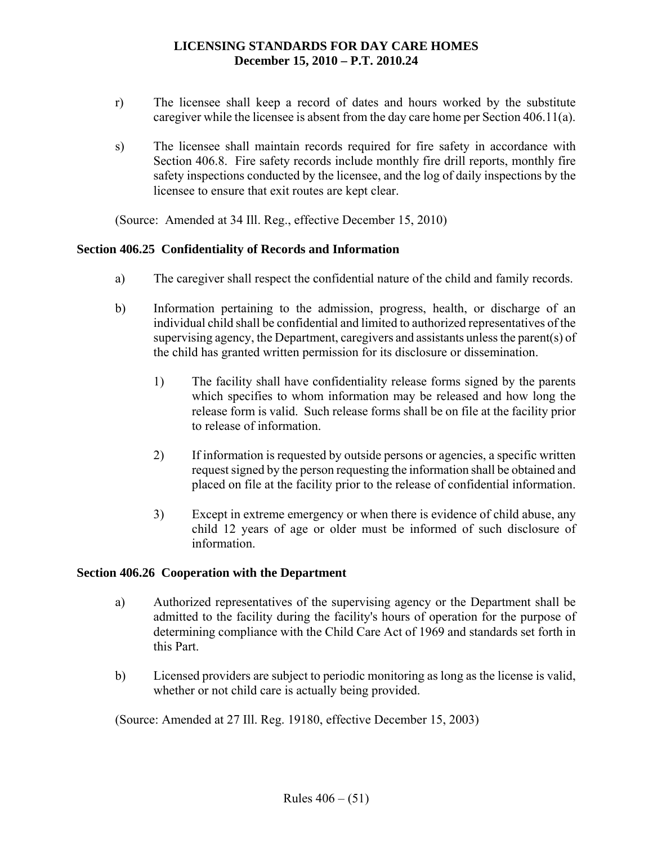- r) The licensee shall keep a record of dates and hours worked by the substitute caregiver while the licensee is absent from the day care home per Section 406.11(a).
- s) The licensee shall maintain records required for fire safety in accordance with Section 406.8. Fire safety records include monthly fire drill reports, monthly fire safety inspections conducted by the licensee, and the log of daily inspections by the licensee to ensure that exit routes are kept clear.

(Source: Amended at 34 Ill. Reg., effective December 15, 2010)

### **Section 406.25 Confidentiality of Records and Information**

- a) The caregiver shall respect the confidential nature of the child and family records.
- b) Information pertaining to the admission, progress, health, or discharge of an individual child shall be confidential and limited to authorized representatives of the supervising agency, the Department, caregivers and assistants unless the parent(s) of the child has granted written permission for its disclosure or dissemination.
	- 1) The facility shall have confidentiality release forms signed by the parents which specifies to whom information may be released and how long the release form is valid. Such release forms shall be on file at the facility prior to release of information.
	- 2) If information is requested by outside persons or agencies, a specific written request signed by the person requesting the information shall be obtained and placed on file at the facility prior to the release of confidential information.
	- 3) Except in extreme emergency or when there is evidence of child abuse, any child 12 years of age or older must be informed of such disclosure of information.

#### **Section 406.26 Cooperation with the Department**

- a) Authorized representatives of the supervising agency or the Department shall be admitted to the facility during the facility's hours of operation for the purpose of determining compliance with the Child Care Act of 1969 and standards set forth in this Part.
- b) Licensed providers are subject to periodic monitoring as long as the license is valid, whether or not child care is actually being provided.

(Source: Amended at 27 Ill. Reg. 19180, effective December 15, 2003)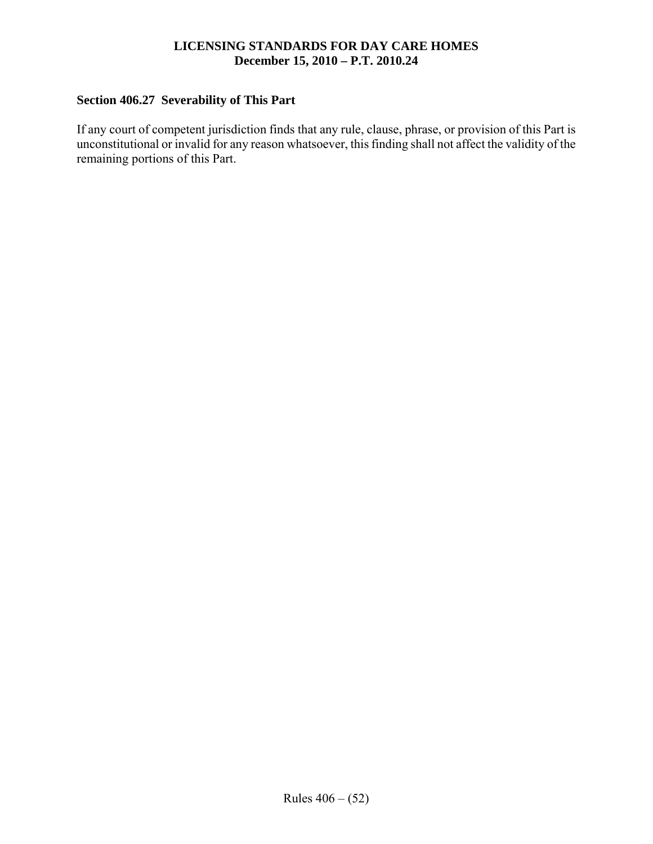# **Section 406.27 Severability of This Part**

If any court of competent jurisdiction finds that any rule, clause, phrase, or provision of this Part is unconstitutional or invalid for any reason whatsoever, this finding shall not affect the validity of the remaining portions of this Part.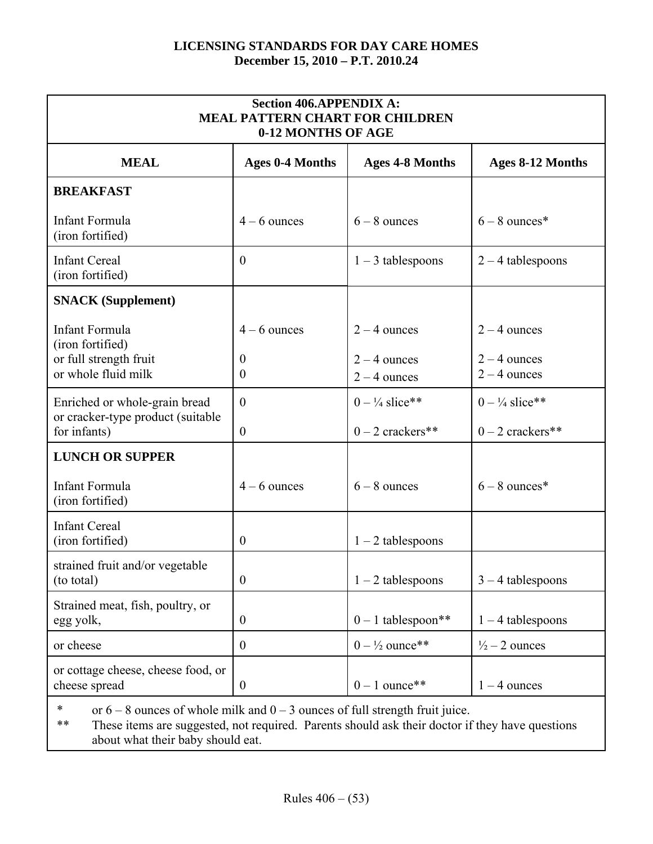| <b>Section 406.APPENDIX A:</b><br><b>MEAL PATTERN CHART FOR CHILDREN</b><br>0-12 MONTHS OF AGE |                                                  |                                  |                                  |  |  |  |  |
|------------------------------------------------------------------------------------------------|--------------------------------------------------|----------------------------------|----------------------------------|--|--|--|--|
| <b>MEAL</b>                                                                                    | <b>Ages 0-4 Months</b><br><b>Ages 4-8 Months</b> |                                  | Ages 8-12 Months                 |  |  |  |  |
| <b>BREAKFAST</b>                                                                               |                                                  |                                  |                                  |  |  |  |  |
| <b>Infant Formula</b><br>(iron fortified)                                                      | $4 - 6$ ounces                                   | $6 - 8$ ounces                   | $6 - 8$ ounces*                  |  |  |  |  |
| <b>Infant Cereal</b><br>(iron fortified)                                                       | $\theta$                                         | $1 - 3$ tablespoons              | $2 - 4$ tablespoons              |  |  |  |  |
| <b>SNACK</b> (Supplement)                                                                      |                                                  |                                  |                                  |  |  |  |  |
| <b>Infant Formula</b><br>(iron fortified)                                                      | $4 - 6$ ounces                                   | $2 - 4$ ounces                   | $2 - 4$ ounces                   |  |  |  |  |
| or full strength fruit<br>or whole fluid milk                                                  | $\overline{0}$<br>$\boldsymbol{0}$               | $2 - 4$ ounces<br>$2 - 4$ ounces | $2 - 4$ ounces<br>$2 - 4$ ounces |  |  |  |  |
| Enriched or whole-grain bread<br>or cracker-type product (suitable                             | $\theta$                                         | $0 - \frac{1}{4}$ slice**        | $0 - \frac{1}{4}$ slice**        |  |  |  |  |
| for infants)                                                                                   | $\overline{0}$                                   | $0 - 2$ crackers**               | $0-2$ crackers**                 |  |  |  |  |
| <b>LUNCH OR SUPPER</b>                                                                         |                                                  |                                  |                                  |  |  |  |  |
| Infant Formula<br>(iron fortified)                                                             | $4 - 6$ ounces                                   | $6 - 8$ ounces                   | $6 - 8$ ounces*                  |  |  |  |  |
| <b>Infant Cereal</b><br>(iron fortified)                                                       | $\boldsymbol{0}$                                 | $1 - 2$ tablespoons              |                                  |  |  |  |  |
| strained fruit and/or vegetable<br>(to total)                                                  | $\boldsymbol{0}$                                 | $1 - 2$ tablespoons              | $3 - 4$ tablespoons              |  |  |  |  |
| Strained meat, fish, poultry, or<br>egg yolk,                                                  | $\boldsymbol{0}$                                 | $0 - 1$ tablespoon**             | $1 - 4$ tablespoons              |  |  |  |  |
| or cheese                                                                                      | $\boldsymbol{0}$                                 | $0 - \frac{1}{2}$ ounce**        | $\frac{1}{2}$ – 2 ounces         |  |  |  |  |
| or cottage cheese, cheese food, or<br>cheese spread                                            | $\boldsymbol{0}$                                 | $0 - 1$ ounce**                  | $1 - 4$ ounces                   |  |  |  |  |

\* or  $6 - 8$  ounces of whole milk and  $0 - 3$  ounces of full strength fruit juice.<br>\*\* These items are suggested, not required. Parents should ask their doctor if

These items are suggested, not required. Parents should ask their doctor if they have questions about what their baby should eat.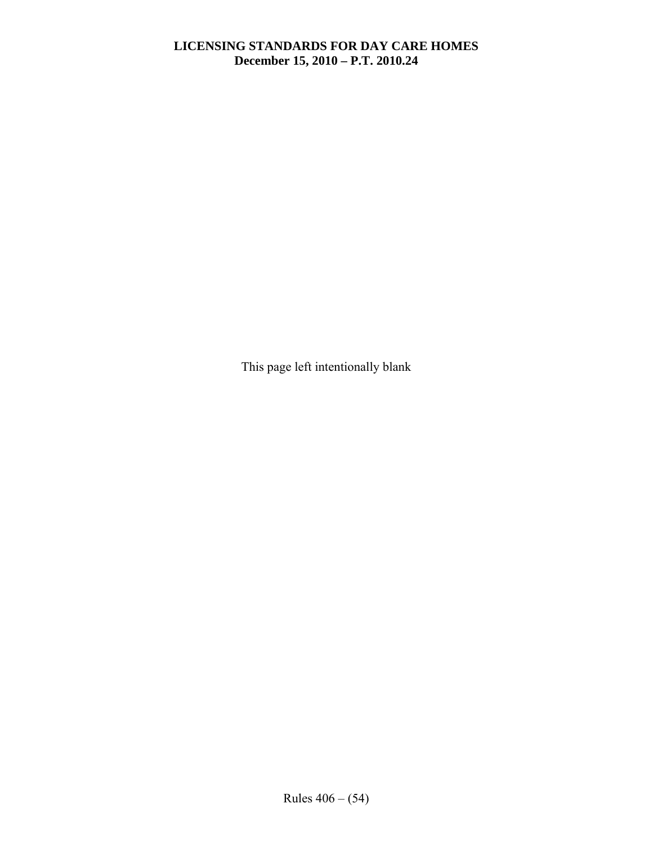This page left intentionally blank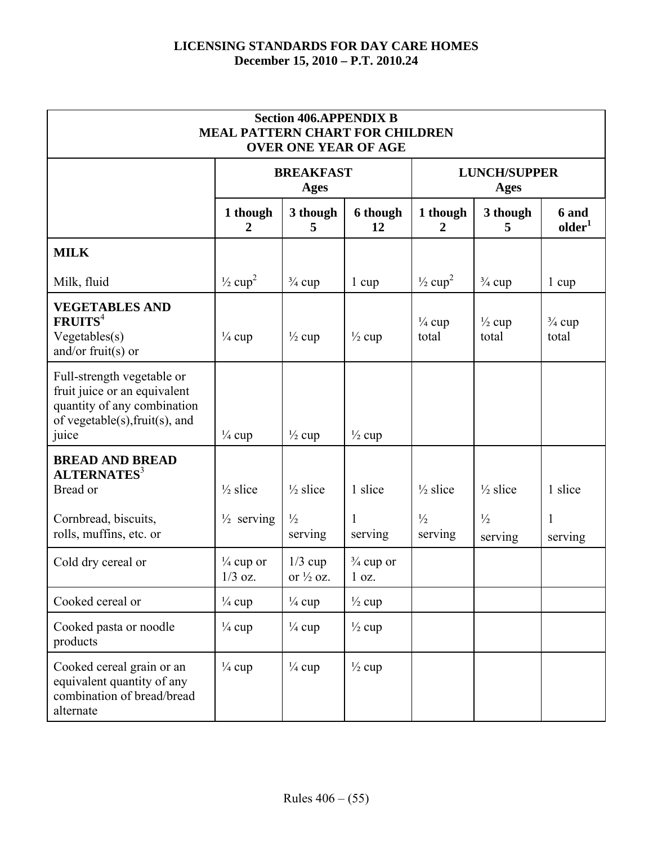| <b>Section 406.APPENDIX B</b><br><b>MEAL PATTERN CHART FOR CHILDREN</b><br><b>OVER ONE YEAR OF AGE</b>                               |                                   |                                   |                               |                                |                            |                             |  |  |
|--------------------------------------------------------------------------------------------------------------------------------------|-----------------------------------|-----------------------------------|-------------------------------|--------------------------------|----------------------------|-----------------------------|--|--|
|                                                                                                                                      | <b>BREAKFAST</b><br>Ages          |                                   |                               | <b>LUNCH/SUPPER</b><br>Ages    |                            |                             |  |  |
|                                                                                                                                      | 1 though<br>2                     | 3 though<br>5                     | 6 though<br>12                | 1 though<br>$\overline{2}$     | 3 though<br>5              | 6 and<br>older <sup>1</sup> |  |  |
| <b>MILK</b>                                                                                                                          |                                   |                                   |                               |                                |                            |                             |  |  |
| Milk, fluid                                                                                                                          | $\frac{1}{2}$ cup <sup>2</sup>    | $\frac{3}{4}$ cup                 | $1 \text{ cup}$               | $\frac{1}{2}$ cup <sup>2</sup> | $\frac{3}{4}$ cup          | $1 \text{ cup}$             |  |  |
| <b>VEGETABLES AND</b><br>FRUITS <sup>4</sup><br>Vegetables(s)<br>and/or fruit(s) or                                                  | $\frac{1}{4}$ cup                 | $\frac{1}{2}$ cup                 | $\frac{1}{2}$ cup             | $\frac{1}{4}$ cup<br>total     | $\frac{1}{2}$ cup<br>total | $\frac{3}{4}$ cup<br>total  |  |  |
| Full-strength vegetable or<br>fruit juice or an equivalent<br>quantity of any combination<br>of vegetable(s), fruit(s), and<br>juice | $\frac{1}{4}$ cup                 | $\frac{1}{2}$ cup                 | $\frac{1}{2}$ cup             |                                |                            |                             |  |  |
| <b>BREAD AND BREAD</b><br>ALTERNATES <sup>3</sup><br>Bread or                                                                        | $\frac{1}{2}$ slice               | $\frac{1}{2}$ slice               | 1 slice                       | $\frac{1}{2}$ slice            | $\frac{1}{2}$ slice        | 1 slice                     |  |  |
| Cornbread, biscuits,<br>rolls, muffins, etc. or                                                                                      | $\frac{1}{2}$ serving             | $\frac{1}{2}$<br>serving          | 1<br>serving                  | $\frac{1}{2}$<br>serving       | $\frac{1}{2}$<br>serving   | $\mathbf{1}$<br>serving     |  |  |
| Cold dry cereal or                                                                                                                   | $\frac{1}{4}$ cup or<br>$1/3$ oz. | $1/3$ cup<br>or $\frac{1}{2}$ oz. | $\frac{3}{4}$ cup or<br>1 oz. |                                |                            |                             |  |  |
| Cooked cereal or                                                                                                                     | $\frac{1}{4}$ cup                 | $\frac{1}{4}$ cup                 | $\frac{1}{2}$ cup             |                                |                            |                             |  |  |
| Cooked pasta or noodle<br>products                                                                                                   | $\frac{1}{4}$ cup                 | $\frac{1}{4}$ cup                 | $\frac{1}{2}$ cup             |                                |                            |                             |  |  |
| Cooked cereal grain or an<br>equivalent quantity of any<br>combination of bread/bread<br>alternate                                   | $\frac{1}{4}$ cup                 | $\frac{1}{4}$ cup                 | $\frac{1}{2}$ cup             |                                |                            |                             |  |  |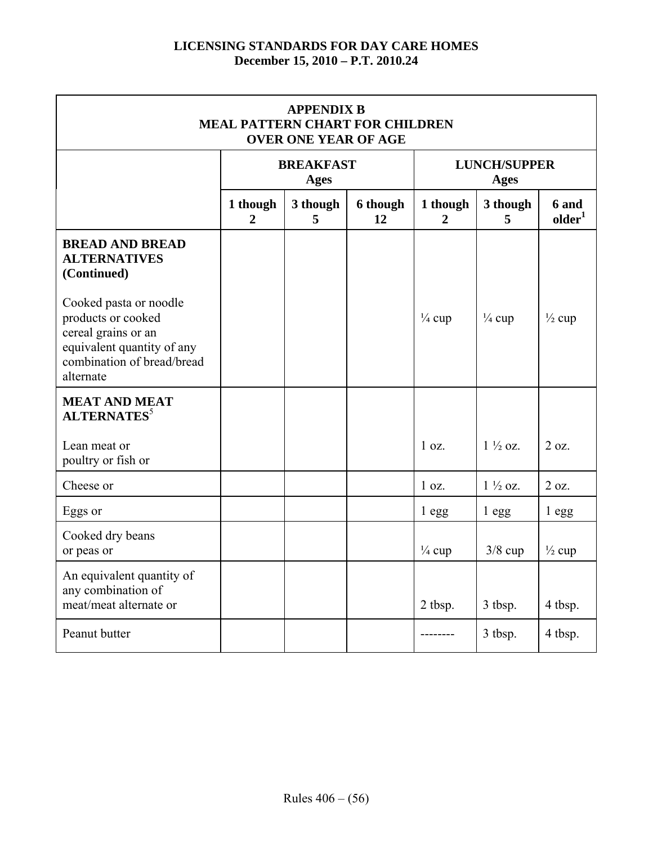| <b>APPENDIX B</b><br><b>MEAL PATTERN CHART FOR CHILDREN</b><br><b>OVER ONE YEAR OF AGE</b>                                                                                                                   |                            |               |                       |                                    |                    |                             |  |  |
|--------------------------------------------------------------------------------------------------------------------------------------------------------------------------------------------------------------|----------------------------|---------------|-----------------------|------------------------------------|--------------------|-----------------------------|--|--|
|                                                                                                                                                                                                              | <b>BREAKFAST</b><br>Ages   |               |                       | <b>LUNCH/SUPPER</b><br><b>Ages</b> |                    |                             |  |  |
|                                                                                                                                                                                                              | 1 though<br>$\overline{2}$ | 3 though<br>5 | <b>6 though</b><br>12 | 1 though<br>$\overline{2}$         | 3 though<br>5      | 6 and<br>older <sup>1</sup> |  |  |
| <b>BREAD AND BREAD</b><br><b>ALTERNATIVES</b><br>(Continued)<br>Cooked pasta or noodle<br>products or cooked<br>cereal grains or an<br>equivalent quantity of any<br>combination of bread/bread<br>alternate |                            |               |                       | $\frac{1}{4}$ cup                  | $\frac{1}{4}$ cup  | $\frac{1}{2}$ cup           |  |  |
| <b>MEAT AND MEAT</b><br><b>ALTERNATES</b> <sup>5</sup>                                                                                                                                                       |                            |               |                       |                                    |                    |                             |  |  |
| Lean meat or<br>poultry or fish or                                                                                                                                                                           |                            |               |                       | 1 oz.                              | $1\frac{1}{2}$ oz. | 2 oz.                       |  |  |
| Cheese or                                                                                                                                                                                                    |                            |               |                       | 1 oz.                              | $1\frac{1}{2}$ oz. | 2 oz.                       |  |  |
| Eggs or                                                                                                                                                                                                      |                            |               |                       | 1 egg                              | 1egg               | 1 egg                       |  |  |
| Cooked dry beans<br>or peas or                                                                                                                                                                               |                            |               |                       | $\frac{1}{4}$ cup                  | $3/8$ cup          | $\frac{1}{2}$ cup           |  |  |
| An equivalent quantity of<br>any combination of<br>meat/meat alternate or                                                                                                                                    |                            |               |                       | 2 tbsp.                            | 3 tbsp.            | 4 tbsp.                     |  |  |
| Peanut butter                                                                                                                                                                                                |                            |               |                       |                                    | $3$ tbsp.          | 4 tbsp.                     |  |  |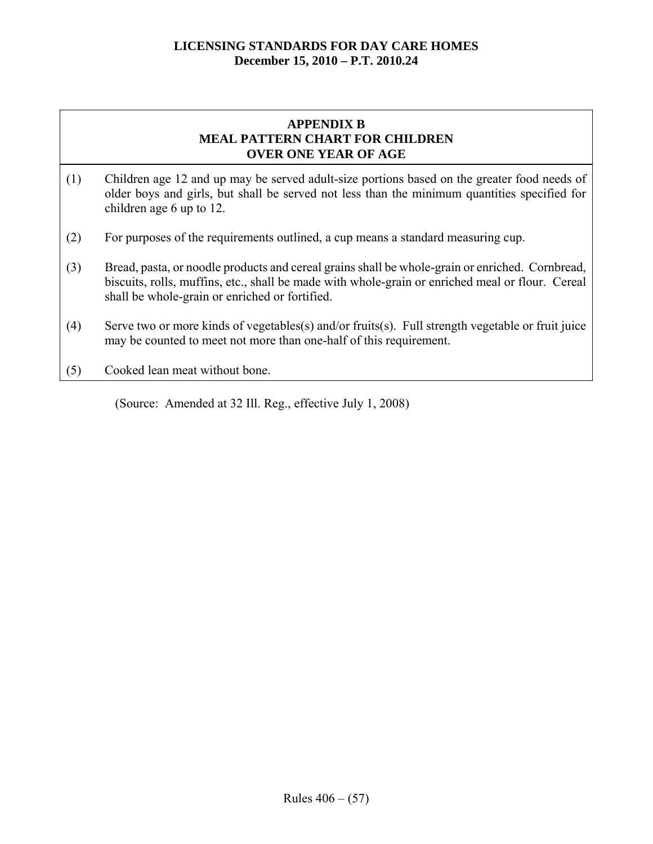# **APPENDIX B MEAL PATTERN CHART FOR CHILDREN OVER ONE YEAR OF AGE**

- (1) Children age 12 and up may be served adult-size portions based on the greater food needs of older boys and girls, but shall be served not less than the minimum quantities specified for children age 6 up to 12.
- (2) For purposes of the requirements outlined, a cup means a standard measuring cup.
- (3) Bread, pasta, or noodle products and cereal grains shall be whole-grain or enriched. Cornbread, biscuits, rolls, muffins, etc., shall be made with whole-grain or enriched meal or flour. Cereal shall be whole-grain or enriched or fortified.
- (4) Serve two or more kinds of vegetables(s) and/or fruits(s). Full strength vegetable or fruit juice may be counted to meet not more than one-half of this requirement.
- (5) Cooked lean meat without bone.

(Source: Amended at 32 Ill. Reg., effective July 1, 2008)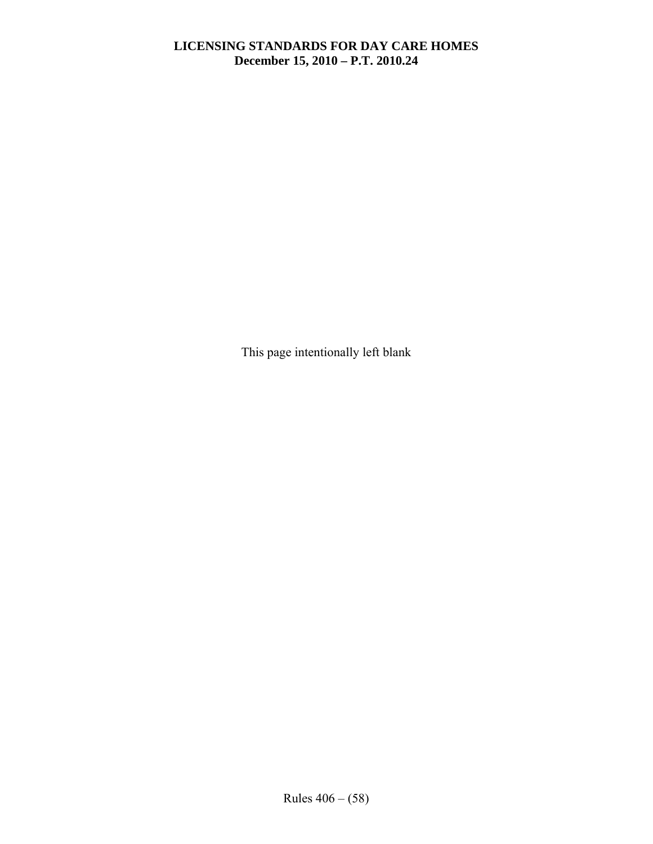This page intentionally left blank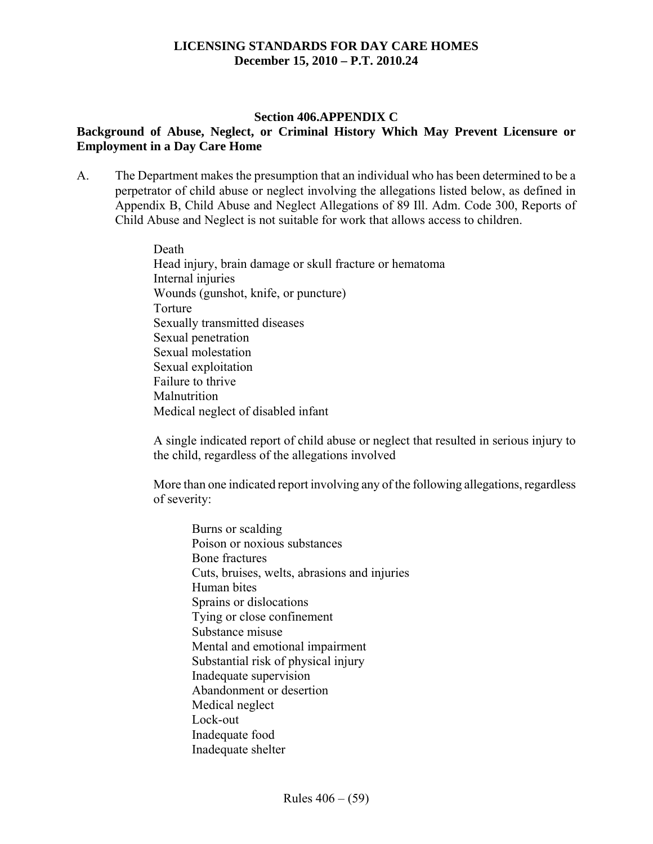#### **Section 406.APPENDIX C**

# **Background of Abuse, Neglect, or Criminal History Which May Prevent Licensure or Employment in a Day Care Home**

A. The Department makes the presumption that an individual who has been determined to be a perpetrator of child abuse or neglect involving the allegations listed below, as defined in Appendix B, Child Abuse and Neglect Allegations of 89 Ill. Adm. Code 300, Reports of Child Abuse and Neglect is not suitable for work that allows access to children.

> Death Head injury, brain damage or skull fracture or hematoma Internal injuries Wounds (gunshot, knife, or puncture) Torture Sexually transmitted diseases Sexual penetration Sexual molestation Sexual exploitation Failure to thrive Malnutrition Medical neglect of disabled infant

A single indicated report of child abuse or neglect that resulted in serious injury to the child, regardless of the allegations involved

More than one indicated report involving any of the following allegations, regardless of severity:

Burns or scalding Poison or noxious substances Bone fractures Cuts, bruises, welts, abrasions and injuries Human bites Sprains or dislocations Tying or close confinement Substance misuse Mental and emotional impairment Substantial risk of physical injury Inadequate supervision Abandonment or desertion Medical neglect Lock-out Inadequate food Inadequate shelter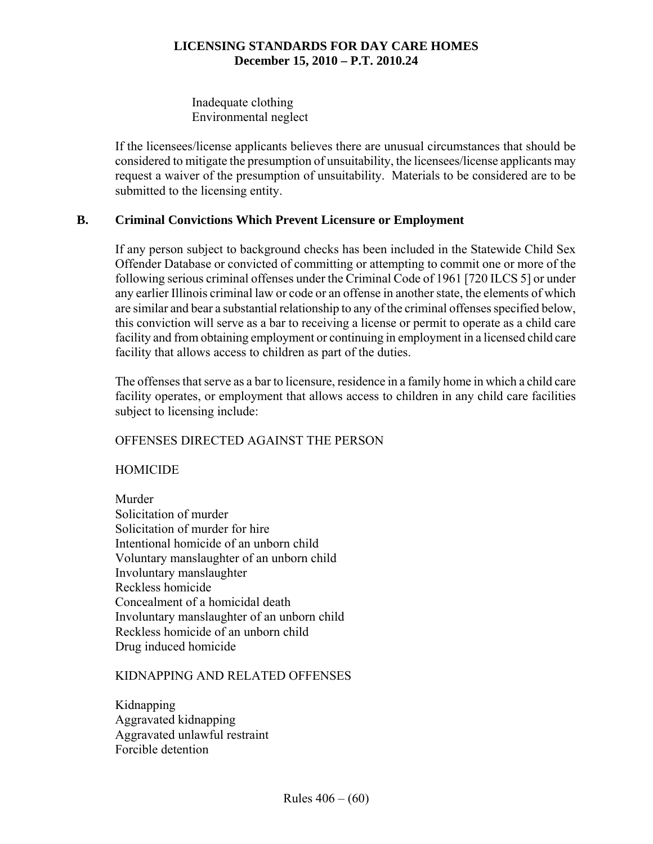Inadequate clothing Environmental neglect

If the licensees/license applicants believes there are unusual circumstances that should be considered to mitigate the presumption of unsuitability, the licensees/license applicants may request a waiver of the presumption of unsuitability. Materials to be considered are to be submitted to the licensing entity.

### **B. Criminal Convictions Which Prevent Licensure or Employment**

If any person subject to background checks has been included in the Statewide Child Sex Offender Database or convicted of committing or attempting to commit one or more of the following serious criminal offenses under the Criminal Code of 1961 [720 ILCS 5] or under any earlier Illinois criminal law or code or an offense in another state, the elements of which are similar and bear a substantial relationship to any of the criminal offenses specified below, this conviction will serve as a bar to receiving a license or permit to operate as a child care facility and from obtaining employment or continuing in employment in a licensed child care facility that allows access to children as part of the duties.

The offenses that serve as a bar to licensure, residence in a family home in which a child care facility operates, or employment that allows access to children in any child care facilities subject to licensing include:

# OFFENSES DIRECTED AGAINST THE PERSON

#### **HOMICIDE**

Murder Solicitation of murder Solicitation of murder for hire Intentional homicide of an unborn child Voluntary manslaughter of an unborn child Involuntary manslaughter Reckless homicide Concealment of a homicidal death Involuntary manslaughter of an unborn child Reckless homicide of an unborn child Drug induced homicide

#### KIDNAPPING AND RELATED OFFENSES

Kidnapping Aggravated kidnapping Aggravated unlawful restraint Forcible detention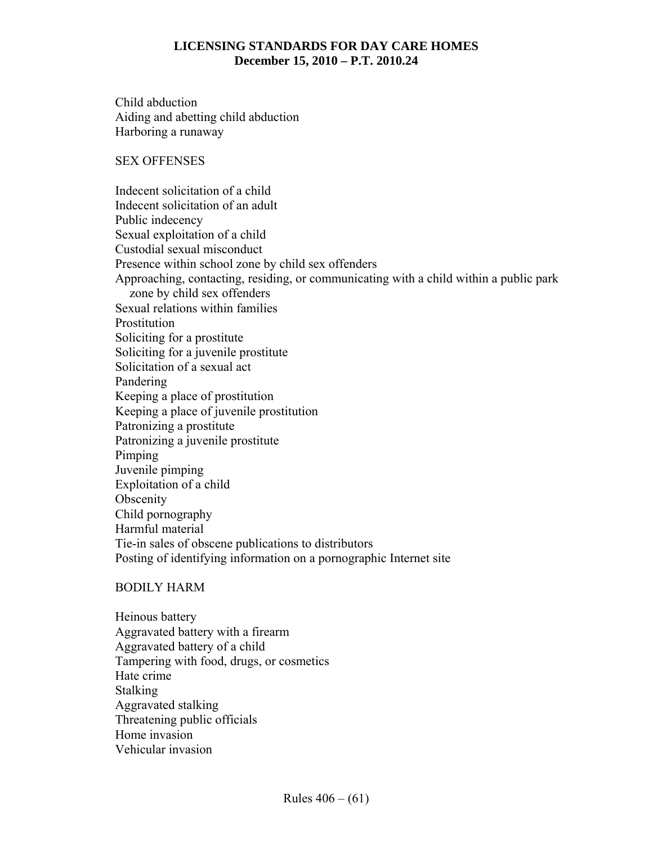Child abduction Aiding and abetting child abduction Harboring a runaway

#### SEX OFFENSES

Indecent solicitation of a child Indecent solicitation of an adult Public indecency Sexual exploitation of a child Custodial sexual misconduct Presence within school zone by child sex offenders Approaching, contacting, residing, or communicating with a child within a public park zone by child sex offenders Sexual relations within families Prostitution Soliciting for a prostitute Soliciting for a juvenile prostitute Solicitation of a sexual act Pandering Keeping a place of prostitution Keeping a place of juvenile prostitution Patronizing a prostitute Patronizing a juvenile prostitute Pimping Juvenile pimping Exploitation of a child **Obscenity** Child pornography Harmful material Tie-in sales of obscene publications to distributors Posting of identifying information on a pornographic Internet site

# BODILY HARM

Heinous battery Aggravated battery with a firearm Aggravated battery of a child Tampering with food, drugs, or cosmetics Hate crime Stalking Aggravated stalking Threatening public officials Home invasion Vehicular invasion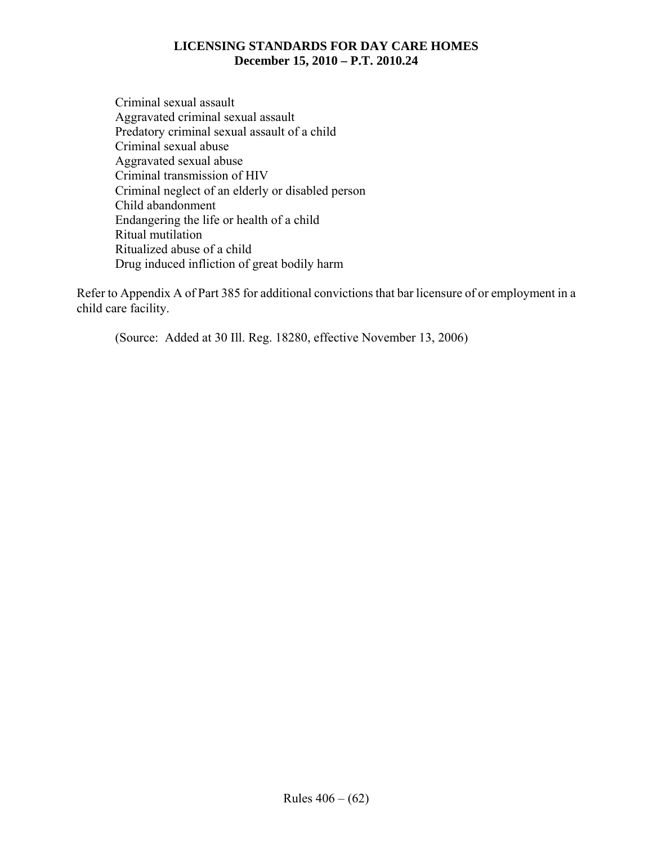Criminal sexual assault Aggravated criminal sexual assault Predatory criminal sexual assault of a child Criminal sexual abuse Aggravated sexual abuse Criminal transmission of HIV Criminal neglect of an elderly or disabled person Child abandonment Endangering the life or health of a child Ritual mutilation Ritualized abuse of a child Drug induced infliction of great bodily harm

Refer to Appendix A of Part 385 for additional convictions that bar licensure of or employment in a child care facility.

(Source: Added at 30 Ill. Reg. 18280, effective November 13, 2006)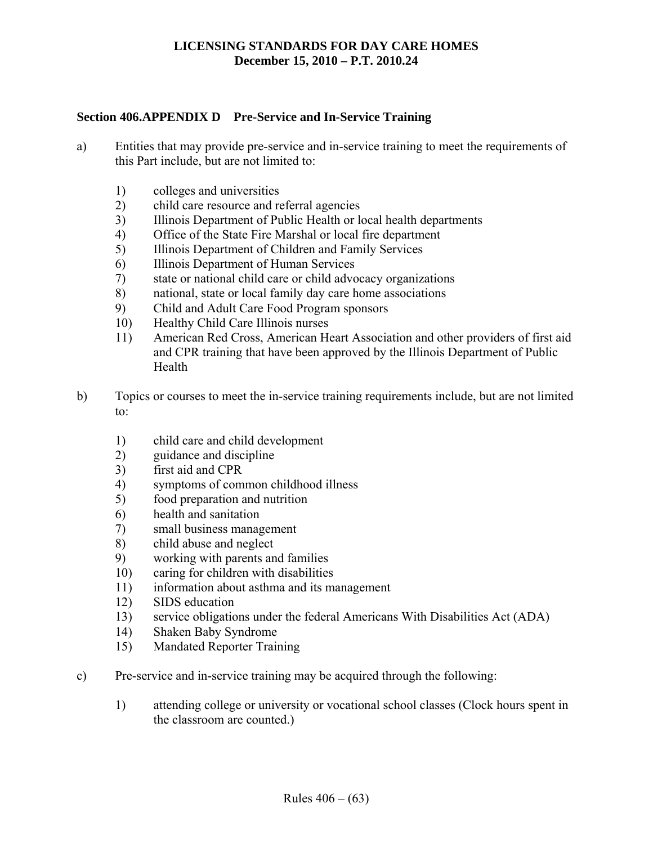# **Section 406.APPENDIX D Pre-Service and In-Service Training**

- a) Entities that may provide pre-service and in-service training to meet the requirements of this Part include, but are not limited to:
	- 1) colleges and universities
	- 2) child care resource and referral agencies
	- 3) Illinois Department of Public Health or local health departments
	- 4) Office of the State Fire Marshal or local fire department
	- 5) Illinois Department of Children and Family Services
	- 6) Illinois Department of Human Services
	- 7) state or national child care or child advocacy organizations
	- 8) national, state or local family day care home associations
	- 9) Child and Adult Care Food Program sponsors
	- 10) Healthy Child Care Illinois nurses
	- 11) American Red Cross, American Heart Association and other providers of first aid and CPR training that have been approved by the Illinois Department of Public Health
- b) Topics or courses to meet the in-service training requirements include, but are not limited to:
	- 1) child care and child development
	- 2) guidance and discipline
	- 3) first aid and CPR
	- 4) symptoms of common childhood illness
	- 5) food preparation and nutrition
	- 6) health and sanitation
	- 7) small business management
	- 8) child abuse and neglect
	- 9) working with parents and families
	- 10) caring for children with disabilities
	- 11) information about asthma and its management
	- 12) SIDS education
	- 13) service obligations under the federal Americans With Disabilities Act (ADA)
	- 14) Shaken Baby Syndrome
	- 15) Mandated Reporter Training
- c) Pre-service and in-service training may be acquired through the following:
	- 1) attending college or university or vocational school classes (Clock hours spent in the classroom are counted.)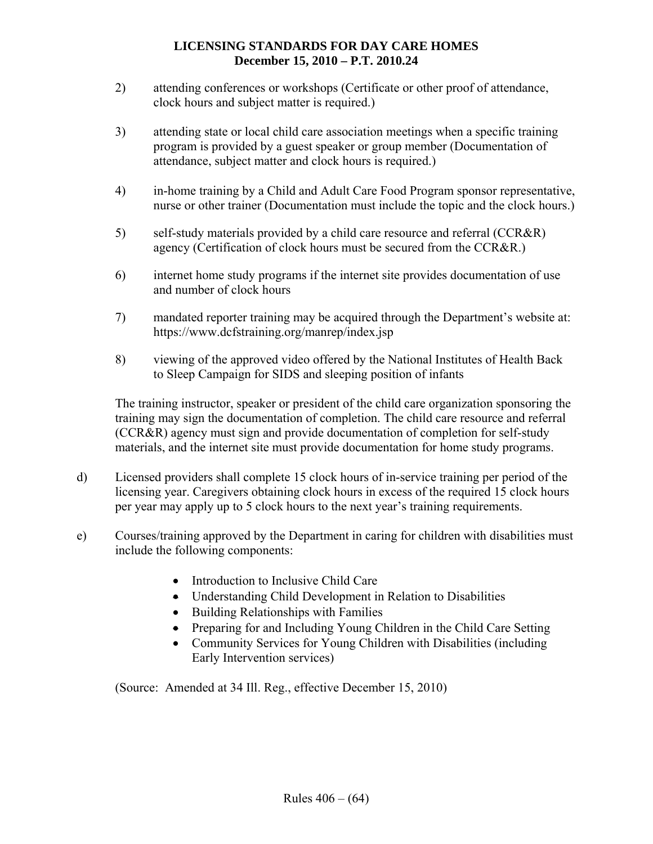- 2) attending conferences or workshops (Certificate or other proof of attendance, clock hours and subject matter is required.)
- 3) attending state or local child care association meetings when a specific training program is provided by a guest speaker or group member (Documentation of attendance, subject matter and clock hours is required.)
- 4) in-home training by a Child and Adult Care Food Program sponsor representative, nurse or other trainer (Documentation must include the topic and the clock hours.)
- 5) self-study materials provided by a child care resource and referral (CCR&R) agency (Certification of clock hours must be secured from the CCR&R.)
- 6) internet home study programs if the internet site provides documentation of use and number of clock hours
- 7) mandated reporter training may be acquired through the Department's website at: <https://www.dcfstraining.org/manrep/index.jsp>
- 8) viewing of the approved video offered by the National Institutes of Health Back to Sleep Campaign for SIDS and sleeping position of infants

The training instructor, speaker or president of the child care organization sponsoring the training may sign the documentation of completion. The child care resource and referral (CCR&R) agency must sign and provide documentation of completion for self-study materials, and the internet site must provide documentation for home study programs.

- d) Licensed providers shall complete 15 clock hours of in-service training per period of the licensing year. Caregivers obtaining clock hours in excess of the required 15 clock hours per year may apply up to 5 clock hours to the next year's training requirements.
- e) Courses/training approved by the Department in caring for children with disabilities must include the following components:
	- Introduction to Inclusive Child Care
	- Understanding Child Development in Relation to Disabilities
	- Building Relationships with Families
	- Preparing for and Including Young Children in the Child Care Setting
	- Community Services for Young Children with Disabilities (including Early Intervention services)

(Source: Amended at 34 Ill. Reg., effective December 15, 2010)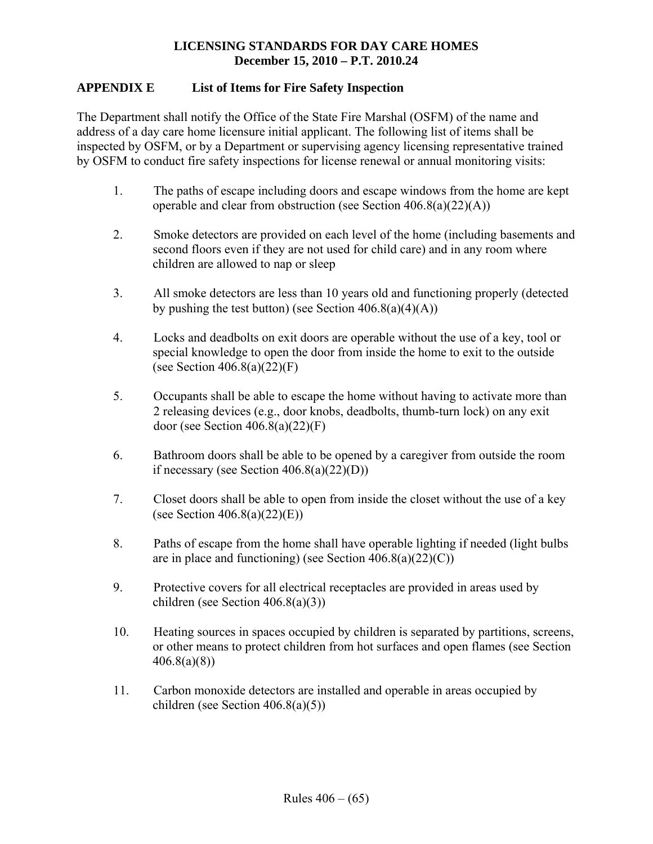# **APPENDIX E List of Items for Fire Safety Inspection**

The Department shall notify the Office of the State Fire Marshal (OSFM) of the name and address of a day care home licensure initial applicant. The following list of items shall be inspected by OSFM, or by a Department or supervising agency licensing representative trained by OSFM to conduct fire safety inspections for license renewal or annual monitoring visits:

- 1. The paths of escape including doors and escape windows from the home are kept operable and clear from obstruction (see Section 406.8(a)(22)(A))
- 2. Smoke detectors are provided on each level of the home (including basements and second floors even if they are not used for child care) and in any room where children are allowed to nap or sleep
- 3. All smoke detectors are less than 10 years old and functioning properly (detected by pushing the test button) (see Section  $406.8(a)(4)(A)$ )
- 4. Locks and deadbolts on exit doors are operable without the use of a key, tool or special knowledge to open the door from inside the home to exit to the outside (see Section  $406.8(a)(22)(F)$ )
- 5. Occupants shall be able to escape the home without having to activate more than 2 releasing devices (e.g., door knobs, deadbolts, thumb-turn lock) on any exit door (see Section 406.8(a)(22)(F)
- 6. Bathroom doors shall be able to be opened by a caregiver from outside the room if necessary (see Section  $406.8(a)(22)(D)$ )
- 7. Closet doors shall be able to open from inside the closet without the use of a key (see Section  $406.8(a)(22)(E)$ )
- 8. Paths of escape from the home shall have operable lighting if needed (light bulbs are in place and functioning) (see Section  $406.8(a)(22)(C)$ )
- 9. Protective covers for all electrical receptacles are provided in areas used by children (see Section 406.8(a)(3))
- 10. Heating sources in spaces occupied by children is separated by partitions, screens, or other means to protect children from hot surfaces and open flames (see Section 406.8(a)(8))
- 11. Carbon monoxide detectors are installed and operable in areas occupied by children (see Section 406.8(a)(5))